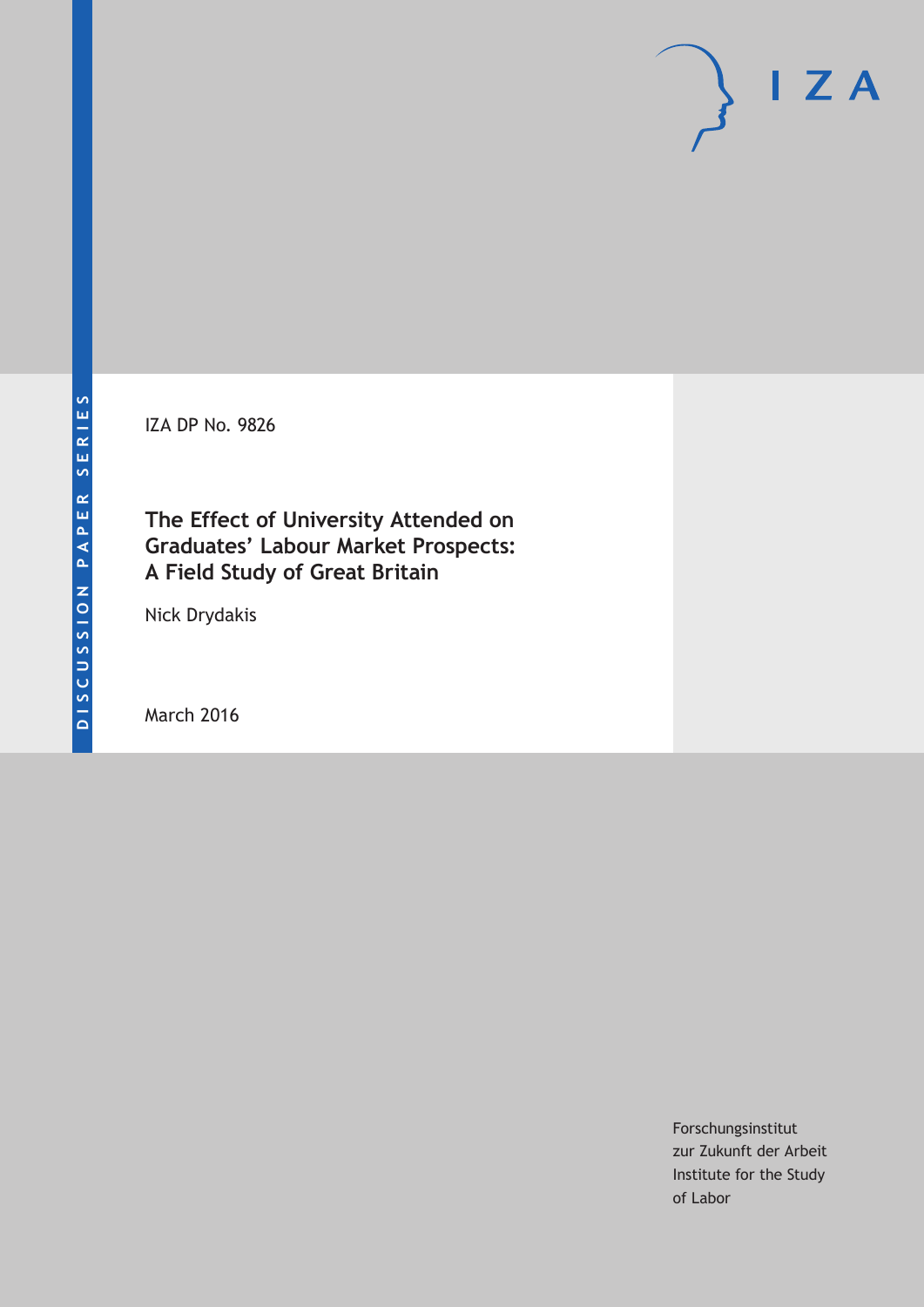IZA DP No. 9826

**The Effect of University Attended on Graduates' Labour Market Prospects: A Field Study of Great Britain**

Nick Drydakis

March 2016

Forschungsinstitut zur Zukunft der Arbeit Institute for the Study of Labor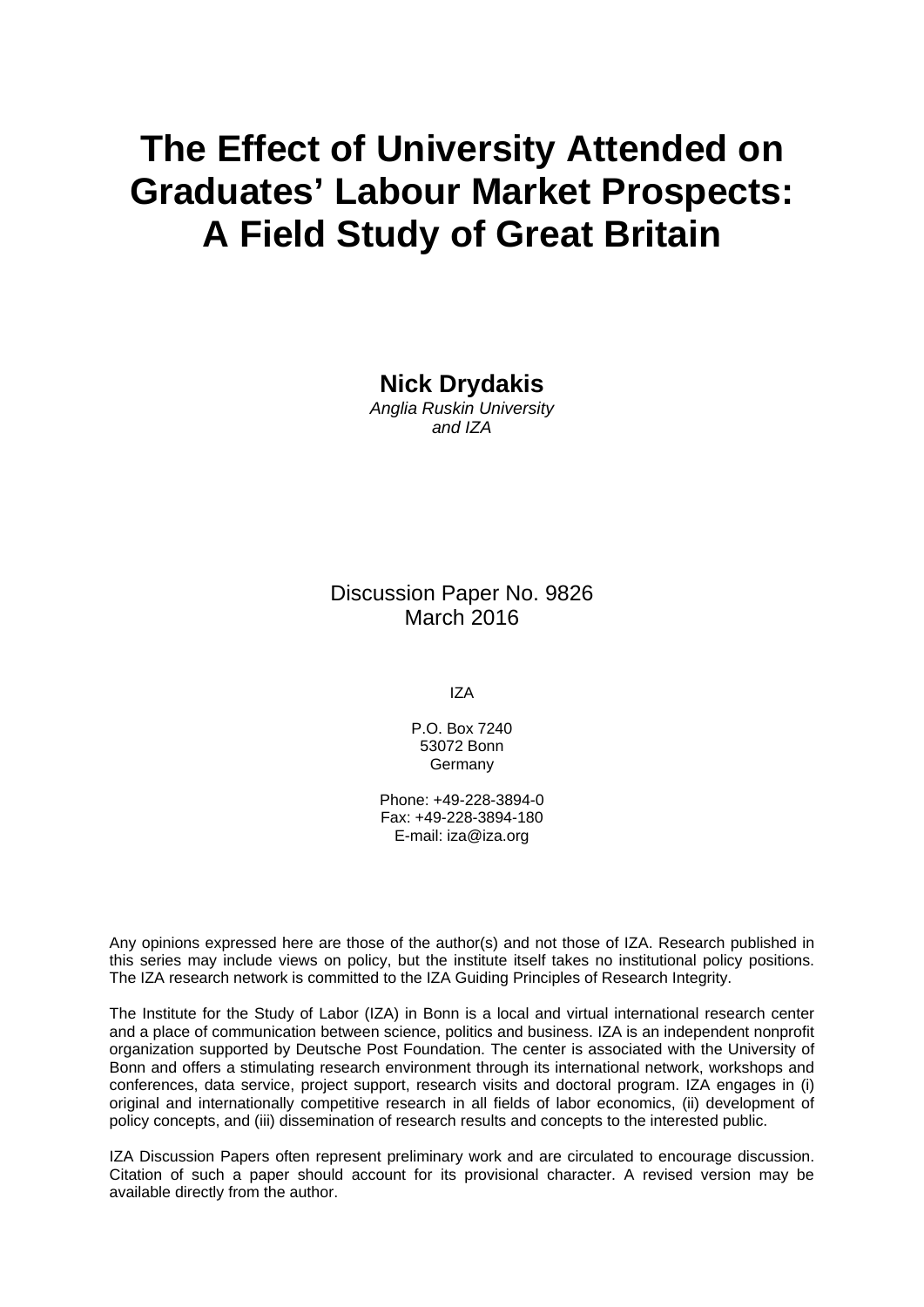# **The Effect of University Attended on Graduates' Labour Market Prospects: A Field Study of Great Britain**

**Nick Drydakis** 

*Anglia Ruskin University and IZA* 

Discussion Paper No. 9826 March 2016

IZA

P.O. Box 7240 53072 Bonn Germany

Phone: +49-228-3894-0 Fax: +49-228-3894-180 E-mail: iza@iza.org

Any opinions expressed here are those of the author(s) and not those of IZA. Research published in this series may include views on policy, but the institute itself takes no institutional policy positions. The IZA research network is committed to the IZA Guiding Principles of Research Integrity.

The Institute for the Study of Labor (IZA) in Bonn is a local and virtual international research center and a place of communication between science, politics and business. IZA is an independent nonprofit organization supported by Deutsche Post Foundation. The center is associated with the University of Bonn and offers a stimulating research environment through its international network, workshops and conferences, data service, project support, research visits and doctoral program. IZA engages in (i) original and internationally competitive research in all fields of labor economics, (ii) development of policy concepts, and (iii) dissemination of research results and concepts to the interested public.

IZA Discussion Papers often represent preliminary work and are circulated to encourage discussion. Citation of such a paper should account for its provisional character. A revised version may be available directly from the author.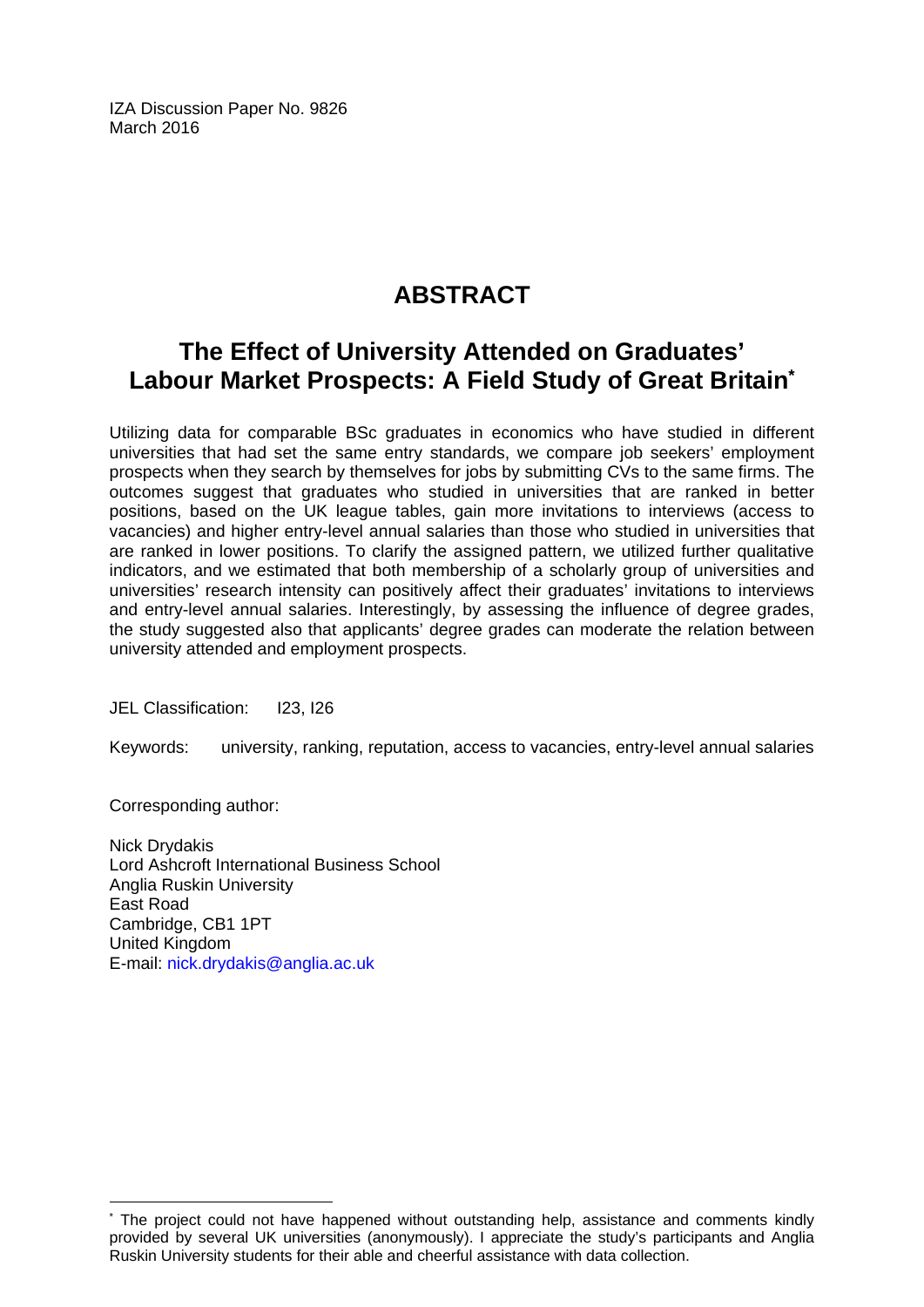IZA Discussion Paper No. 9826 March 2016

# **ABSTRACT**

# **The Effect of University Attended on Graduates' Labour Market Prospects: A Field Study of Great Britain\***

Utilizing data for comparable BSc graduates in economics who have studied in different universities that had set the same entry standards, we compare job seekers' employment prospects when they search by themselves for jobs by submitting CVs to the same firms. The outcomes suggest that graduates who studied in universities that are ranked in better positions, based on the UK league tables, gain more invitations to interviews (access to vacancies) and higher entry-level annual salaries than those who studied in universities that are ranked in lower positions. To clarify the assigned pattern, we utilized further qualitative indicators, and we estimated that both membership of a scholarly group of universities and universities' research intensity can positively affect their graduates' invitations to interviews and entry-level annual salaries. Interestingly, by assessing the influence of degree grades, the study suggested also that applicants' degree grades can moderate the relation between university attended and employment prospects.

JEL Classification: I23, I26

Keywords: university, ranking, reputation, access to vacancies, entry-level annual salaries

Corresponding author:

 $\overline{\phantom{a}}$ 

Nick Drydakis Lord Ashcroft International Business School Anglia Ruskin University East Road Cambridge, CB1 1PT United Kingdom E-mail: nick.drydakis@anglia.ac.uk

<sup>\*</sup> The project could not have happened without outstanding help, assistance and comments kindly provided by several UK universities (anonymously). I appreciate the study's participants and Anglia Ruskin University students for their able and cheerful assistance with data collection.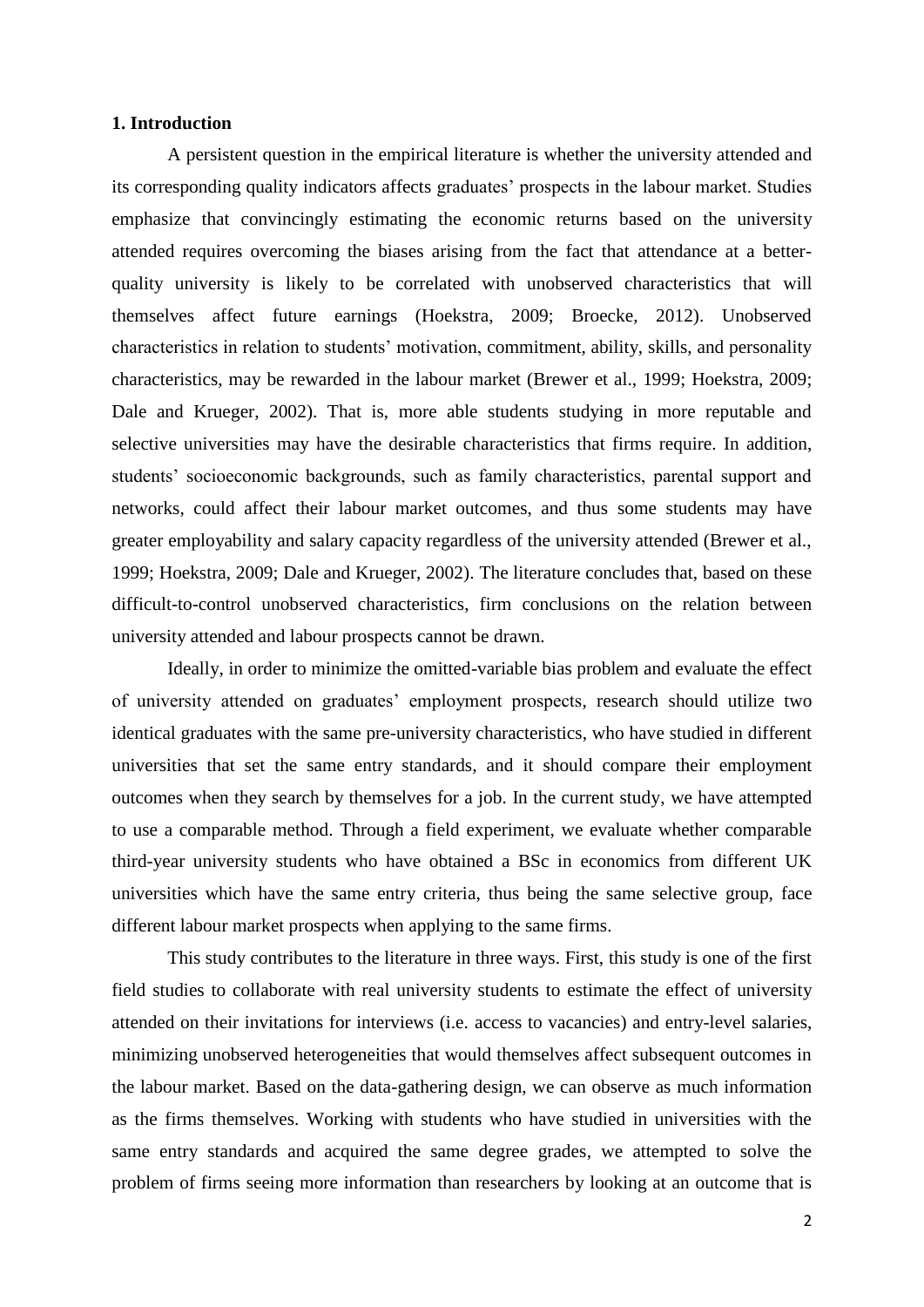#### **1. Introduction**

A persistent question in the empirical literature is whether the university attended and its corresponding quality indicators affects graduates' prospects in the labour market. Studies emphasize that convincingly estimating the economic returns based on the university attended requires overcoming the biases arising from the fact that attendance at a betterquality university is likely to be correlated with unobserved characteristics that will themselves affect future earnings (Hoekstra, 2009; Broecke, 2012). Unobserved characteristics in relation to students' motivation, commitment, ability, skills, and personality characteristics, may be rewarded in the labour market (Brewer et al., 1999; Hoekstra, 2009; Dale and Krueger, 2002). That is, more able students studying in more reputable and selective universities may have the desirable characteristics that firms require. In addition, students' socioeconomic backgrounds, such as family characteristics, parental support and networks, could affect their labour market outcomes, and thus some students may have greater employability and salary capacity regardless of the university attended (Brewer et al., 1999; Hoekstra, 2009; Dale and Krueger, 2002). The literature concludes that, based on these difficult-to-control unobserved characteristics, firm conclusions on the relation between university attended and labour prospects cannot be drawn.

Ideally, in order to minimize the omitted-variable bias problem and evaluate the effect of university attended on graduates' employment prospects, research should utilize two identical graduates with the same pre-university characteristics, who have studied in different universities that set the same entry standards, and it should compare their employment outcomes when they search by themselves for a job. In the current study, we have attempted to use a comparable method. Through a field experiment, we evaluate whether comparable third-year university students who have obtained a BSc in economics from different UK universities which have the same entry criteria, thus being the same selective group, face different labour market prospects when applying to the same firms.

This study contributes to the literature in three ways. First, this study is one of the first field studies to collaborate with real university students to estimate the effect of university attended on their invitations for interviews (i.e. access to vacancies) and entry-level salaries, minimizing unobserved heterogeneities that would themselves affect subsequent outcomes in the labour market. Based on the data-gathering design, we can observe as much information as the firms themselves. Working with students who have studied in universities with the same entry standards and acquired the same degree grades, we attempted to solve the problem of firms seeing more information than researchers by looking at an outcome that is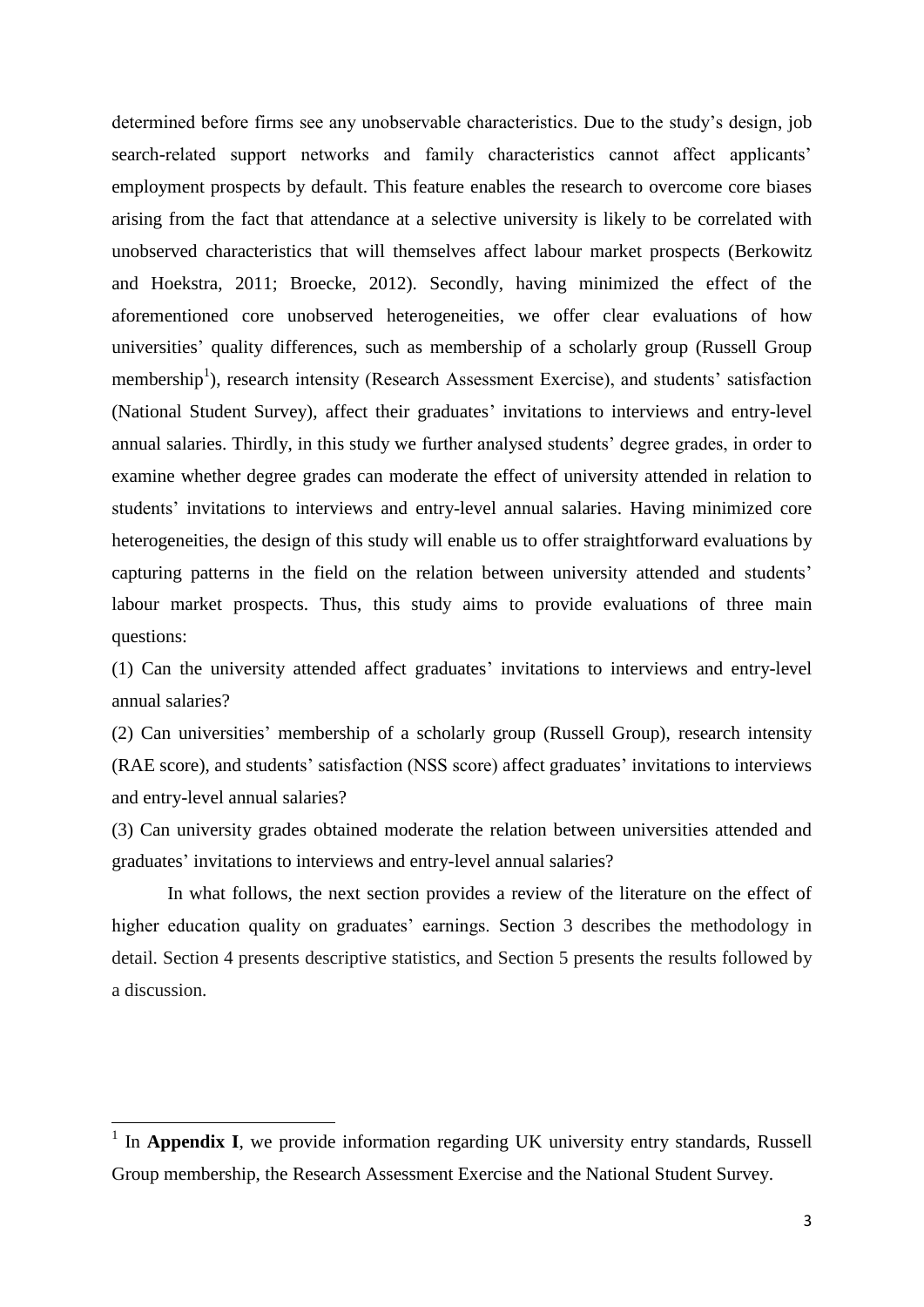determined before firms see any unobservable characteristics. Due to the study's design, job search-related support networks and family characteristics cannot affect applicants' employment prospects by default. This feature enables the research to overcome core biases arising from the fact that attendance at a selective university is likely to be correlated with unobserved characteristics that will themselves affect labour market prospects (Berkowitz and Hoekstra, 2011; Broecke, 2012). Secondly, having minimized the effect of the aforementioned core unobserved heterogeneities, we offer clear evaluations of how universities' quality differences, such as membership of a scholarly group (Russell Group membership<sup>1</sup>), research intensity (Research Assessment Exercise), and students' satisfaction (National Student Survey), affect their graduates' invitations to interviews and entry-level annual salaries. Thirdly, in this study we further analysed students' degree grades, in order to examine whether degree grades can moderate the effect of university attended in relation to students' invitations to interviews and entry-level annual salaries. Having minimized core heterogeneities, the design of this study will enable us to offer straightforward evaluations by capturing patterns in the field on the relation between university attended and students' labour market prospects. Thus, this study aims to provide evaluations of three main questions:

(1) Can the university attended affect graduates' invitations to interviews and entry-level annual salaries?

(2) Can universities' membership of a scholarly group (Russell Group), research intensity (RAE score), and students' satisfaction (NSS score) affect graduates' invitations to interviews and entry-level annual salaries?

(3) Can university grades obtained moderate the relation between universities attended and graduates' invitations to interviews and entry-level annual salaries?

In what follows, the next section provides a review of the literature on the effect of higher education quality on graduates' earnings. Section 3 describes the methodology in detail. Section 4 presents descriptive statistics, and Section 5 presents the results followed by a discussion.

**.** 

<sup>&</sup>lt;sup>1</sup> In **Appendix I**, we provide information regarding UK university entry standards, Russell Group membership, the Research Assessment Exercise and the National Student Survey.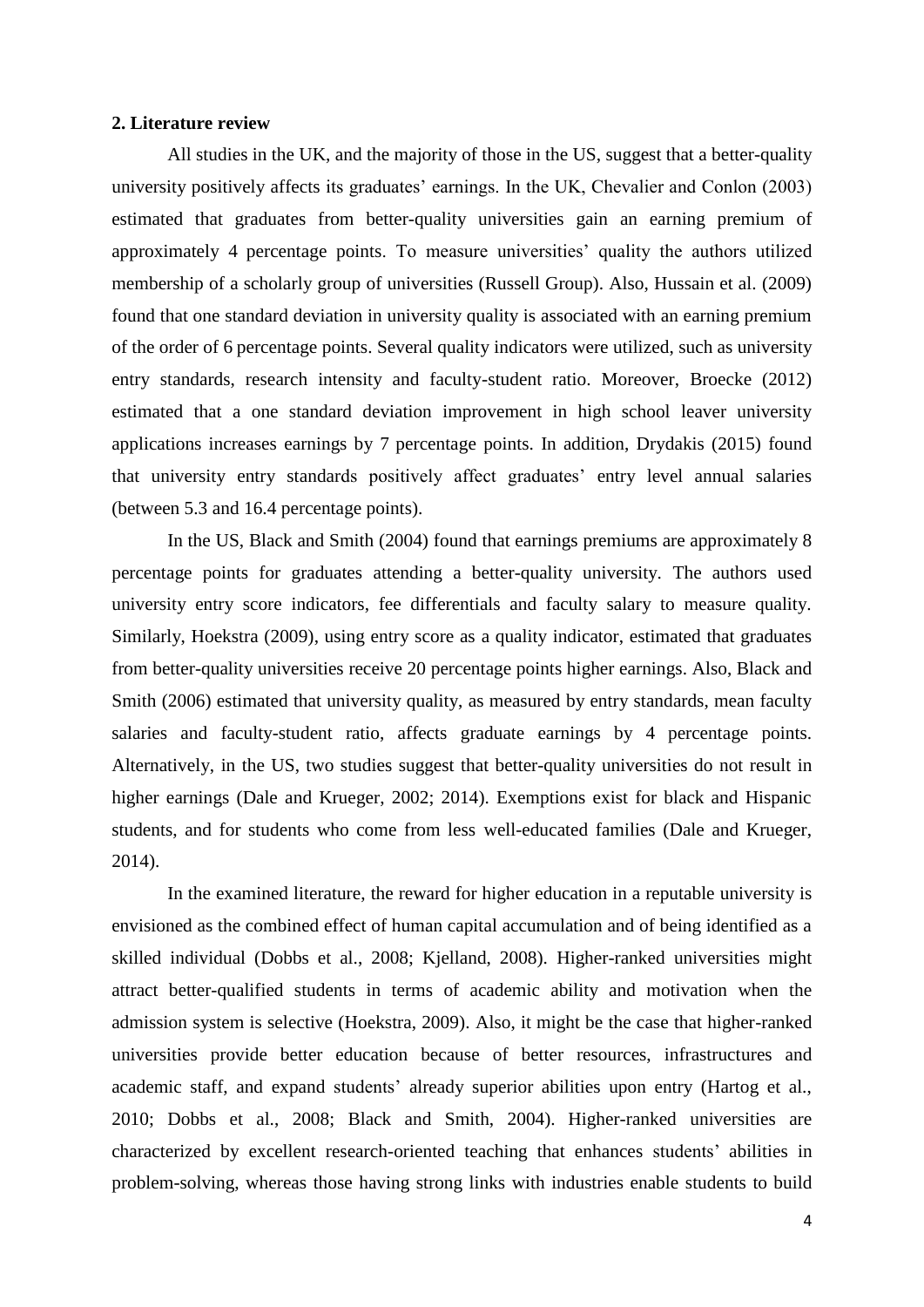#### **2. Literature review**

All studies in the UK, and the majority of those in the US, suggest that a better-quality university positively affects its graduates' earnings. In the UK, Chevalier and Conlon (2003) estimated that graduates from better-quality universities gain an earning premium of approximately 4 percentage points. To measure universities' quality the authors utilized membership of a scholarly group of universities (Russell Group). Also, Hussain et al. (2009) found that one standard deviation in university quality is associated with an earning premium of the order of 6 percentage points. Several quality indicators were utilized, such as university entry standards, research intensity and faculty-student ratio. Moreover, Broecke (2012) estimated that a one standard deviation improvement in high school leaver university applications increases earnings by 7 percentage points. In addition, Drydakis (2015) found that university entry standards positively affect graduates' entry level annual salaries (between 5.3 and 16.4 percentage points).

In the US, Black and Smith (2004) found that earnings premiums are approximately 8 percentage points for graduates attending a better-quality university. The authors used university entry score indicators, fee differentials and faculty salary to measure quality. Similarly, Hoekstra (2009), using entry score as a quality indicator, estimated that graduates from better-quality universities receive 20 percentage points higher earnings. Also, Black and Smith (2006) estimated that university quality, as measured by entry standards, mean faculty salaries and faculty-student ratio, affects graduate earnings by 4 percentage points. Alternatively, in the US, two studies suggest that better-quality universities do not result in higher earnings (Dale and Krueger, 2002; 2014). Exemptions exist for black and Hispanic students, and for students who come from less well-educated families (Dale and Krueger, 2014).

In the examined literature, the reward for higher education in a reputable university is envisioned as the combined effect of human capital accumulation and of being identified as a skilled individual (Dobbs et al., 2008; Kjelland, 2008). Higher-ranked universities might attract better-qualified students in terms of academic ability and motivation when the admission system is selective (Hoekstra, 2009). Also, it might be the case that higher-ranked universities provide better education because of better resources, infrastructures and academic staff, and expand students' already superior abilities upon entry (Hartog et al., 2010; Dobbs et al., 2008; Black and Smith, 2004). Higher-ranked universities are characterized by excellent research-oriented teaching that enhances students' abilities in problem-solving, whereas those having strong links with industries enable students to build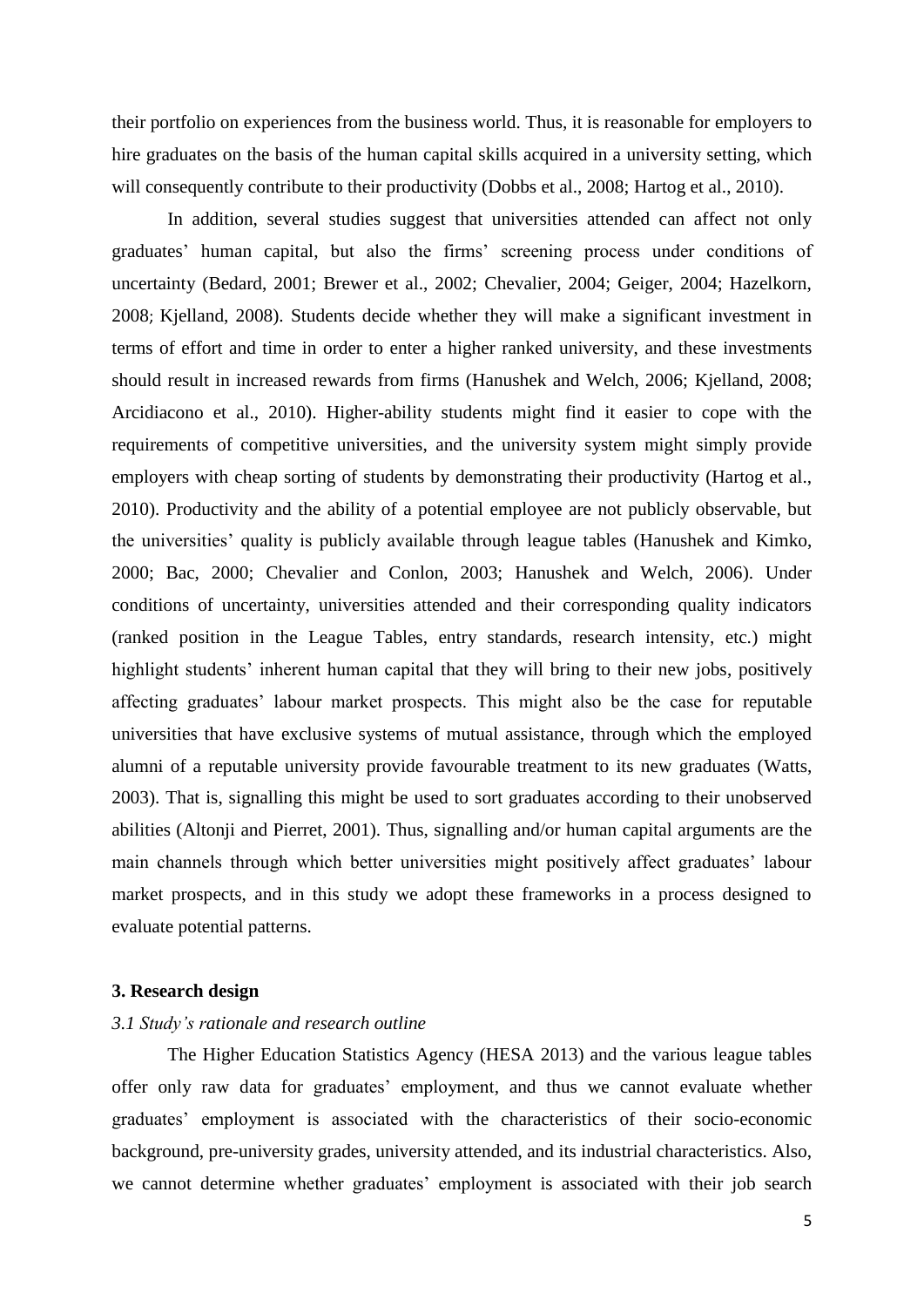their portfolio on experiences from the business world. Thus, it is reasonable for employers to hire graduates on the basis of the human capital skills acquired in a university setting, which will consequently contribute to their productivity (Dobbs et al., 2008; Hartog et al., 2010).

In addition, several studies suggest that universities attended can affect not only graduates' human capital, but also the firms' screening process under conditions of uncertainty (Bedard, 2001; Brewer et al., 2002; Chevalier, 2004; Geiger, 2004; Hazelkorn, 2008; Kjelland, 2008). Students decide whether they will make a significant investment in terms of effort and time in order to enter a higher ranked university, and these investments should result in increased rewards from firms (Hanushek and Welch, 2006; Kjelland, 2008; Arcidiacono et al., 2010). Higher-ability students might find it easier to cope with the requirements of competitive universities, and the university system might simply provide employers with cheap sorting of students by demonstrating their productivity (Hartog et al., 2010). Productivity and the ability of a potential employee are not publicly observable, but the universities' quality is publicly available through league tables (Hanushek and Kimko, 2000; Bac, 2000; Chevalier and Conlon, 2003; Hanushek and Welch, 2006). Under conditions of uncertainty, universities attended and their corresponding quality indicators (ranked position in the League Tables, entry standards, research intensity, etc.) might highlight students' inherent human capital that they will bring to their new jobs, positively affecting graduates' labour market prospects. This might also be the case for reputable universities that have exclusive systems of mutual assistance, through which the employed alumni of a reputable university provide favourable treatment to its new graduates (Watts, 2003). That is, signalling this might be used to sort graduates according to their unobserved abilities (Altonji and Pierret, 2001). Thus, signalling and/or human capital arguments are the main channels through which better universities might positively affect graduates' labour market prospects, and in this study we adopt these frameworks in a process designed to evaluate potential patterns.

#### **3. Research design**

#### *3.1 Study's rationale and research outline*

The Higher Education Statistics Agency (HESA 2013) and the various league tables offer only raw data for graduates' employment, and thus we cannot evaluate whether graduates' employment is associated with the characteristics of their socio-economic background, pre-university grades, university attended, and its industrial characteristics. Also, we cannot determine whether graduates' employment is associated with their job search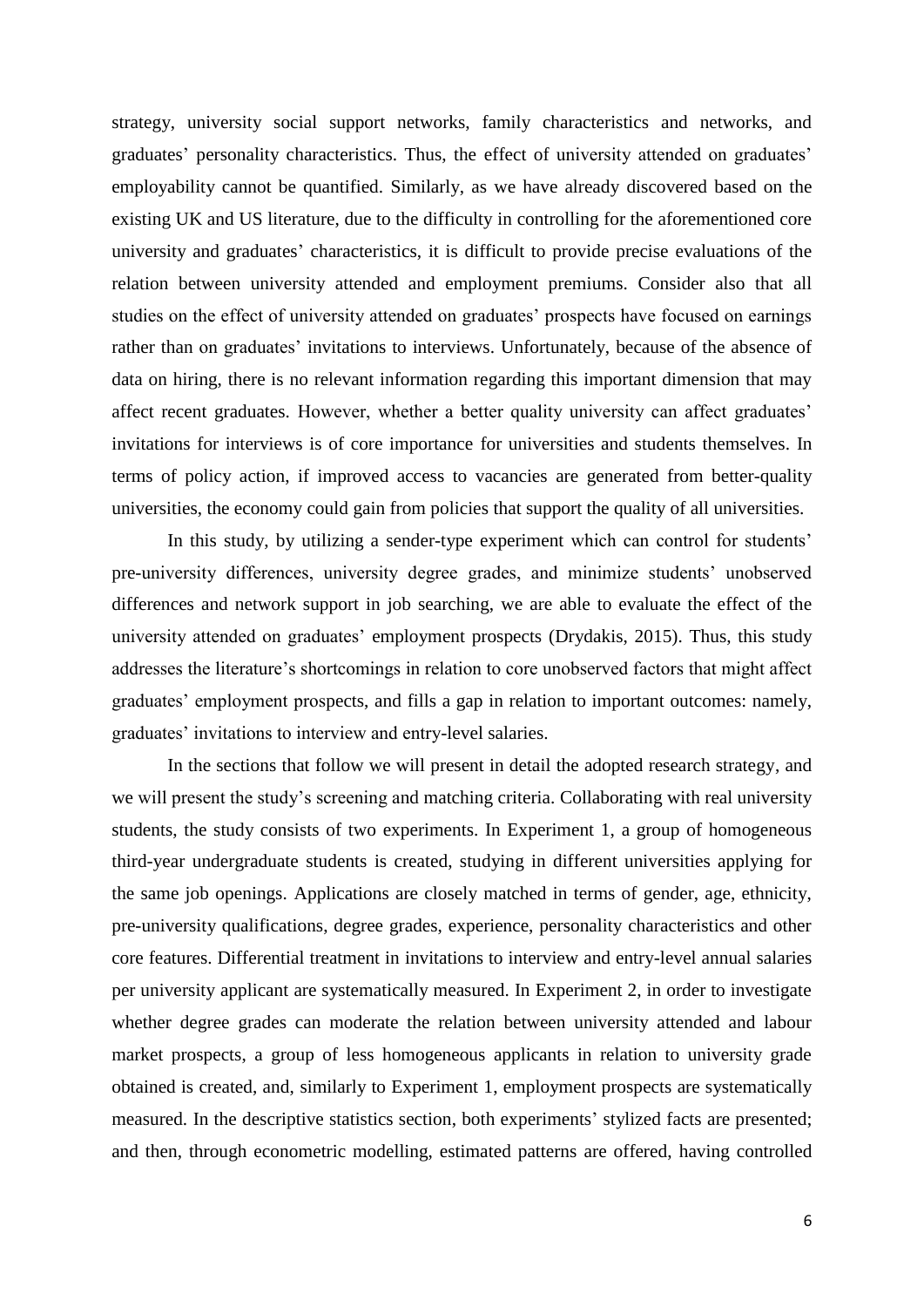strategy, university social support networks, family characteristics and networks, and graduates' personality characteristics. Thus, the effect of university attended on graduates' employability cannot be quantified. Similarly, as we have already discovered based on the existing UK and US literature, due to the difficulty in controlling for the aforementioned core university and graduates' characteristics, it is difficult to provide precise evaluations of the relation between university attended and employment premiums. Consider also that all studies on the effect of university attended on graduates' prospects have focused on earnings rather than on graduates' invitations to interviews. Unfortunately, because of the absence of data on hiring, there is no relevant information regarding this important dimension that may affect recent graduates. However, whether a better quality university can affect graduates' invitations for interviews is of core importance for universities and students themselves. In terms of policy action, if improved access to vacancies are generated from better-quality universities, the economy could gain from policies that support the quality of all universities.

In this study, by utilizing a sender-type experiment which can control for students' pre-university differences, university degree grades, and minimize students' unobserved differences and network support in job searching, we are able to evaluate the effect of the university attended on graduates' employment prospects (Drydakis, 2015). Thus, this study addresses the literature's shortcomings in relation to core unobserved factors that might affect graduates' employment prospects, and fills a gap in relation to important outcomes: namely, graduates' invitations to interview and entry-level salaries.

In the sections that follow we will present in detail the adopted research strategy, and we will present the study's screening and matching criteria. Collaborating with real university students, the study consists of two experiments. In Experiment 1, a group of homogeneous third-year undergraduate students is created, studying in different universities applying for the same job openings. Applications are closely matched in terms of gender, age, ethnicity, pre-university qualifications, degree grades, experience, personality characteristics and other core features. Differential treatment in invitations to interview and entry-level annual salaries per university applicant are systematically measured. In Experiment 2, in order to investigate whether degree grades can moderate the relation between university attended and labour market prospects, a group of less homogeneous applicants in relation to university grade obtained is created, and, similarly to Experiment 1, employment prospects are systematically measured. In the descriptive statistics section, both experiments' stylized facts are presented; and then, through econometric modelling, estimated patterns are offered, having controlled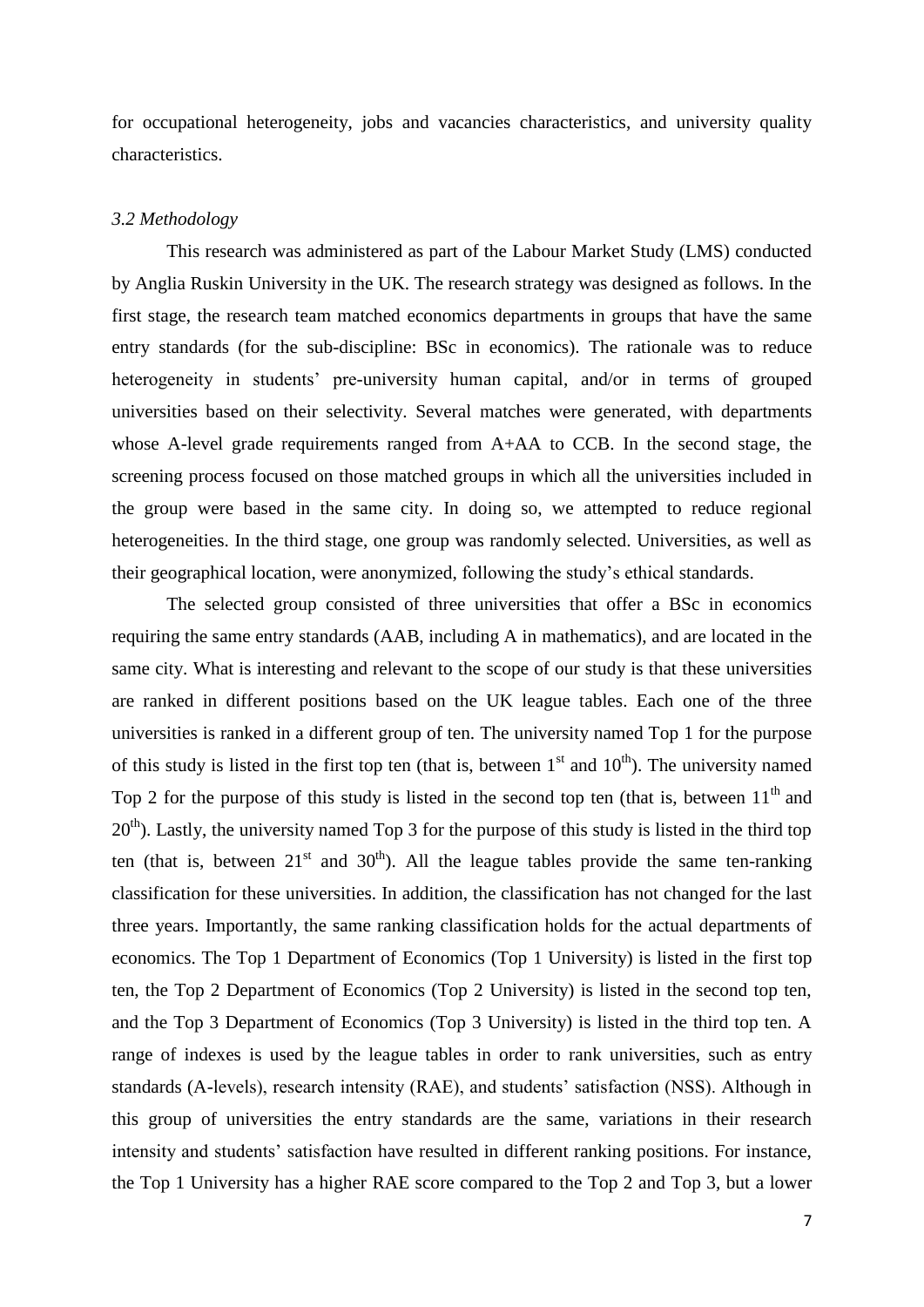for occupational heterogeneity, jobs and vacancies characteristics, and university quality characteristics.

#### *3.2 Methodology*

This research was administered as part of the Labour Market Study (LMS) conducted by Anglia Ruskin University in the UK. The research strategy was designed as follows. In the first stage, the research team matched economics departments in groups that have the same entry standards (for the sub-discipline: BSc in economics). The rationale was to reduce heterogeneity in students' pre-university human capital, and/or in terms of grouped universities based on their selectivity. Several matches were generated, with departments whose A-level grade requirements ranged from A+AA to CCB. In the second stage, the screening process focused on those matched groups in which all the universities included in the group were based in the same city. In doing so, we attempted to reduce regional heterogeneities. In the third stage, one group was randomly selected. Universities, as well as their geographical location, were anonymized, following the study's ethical standards.

The selected group consisted of three universities that offer a BSc in economics requiring the same entry standards (AAB, including A in mathematics), and are located in the same city. What is interesting and relevant to the scope of our study is that these universities are ranked in different positions based on the UK league tables. Each one of the three universities is ranked in a different group of ten. The university named Top 1 for the purpose of this study is listed in the first top ten (that is, between  $1<sup>st</sup>$  and  $10<sup>th</sup>$ ). The university named Top 2 for the purpose of this study is listed in the second top ten (that is, between  $11<sup>th</sup>$  and 20<sup>th</sup>). Lastly, the university named Top 3 for the purpose of this study is listed in the third top ten (that is, between  $21<sup>st</sup>$  and  $30<sup>th</sup>$ ). All the league tables provide the same ten-ranking classification for these universities. In addition, the classification has not changed for the last three years. Importantly, the same ranking classification holds for the actual departments of economics. The Top 1 Department of Economics (Top 1 University) is listed in the first top ten, the Top 2 Department of Economics (Top 2 University) is listed in the second top ten, and the Top 3 Department of Economics (Top 3 University) is listed in the third top ten. A range of indexes is used by the league tables in order to rank universities, such as entry standards (A-levels), research intensity (RAE), and students' satisfaction (NSS). Although in this group of universities the entry standards are the same, variations in their research intensity and students' satisfaction have resulted in different ranking positions. For instance, the Top 1 University has a higher RAE score compared to the Top 2 and Top 3, but a lower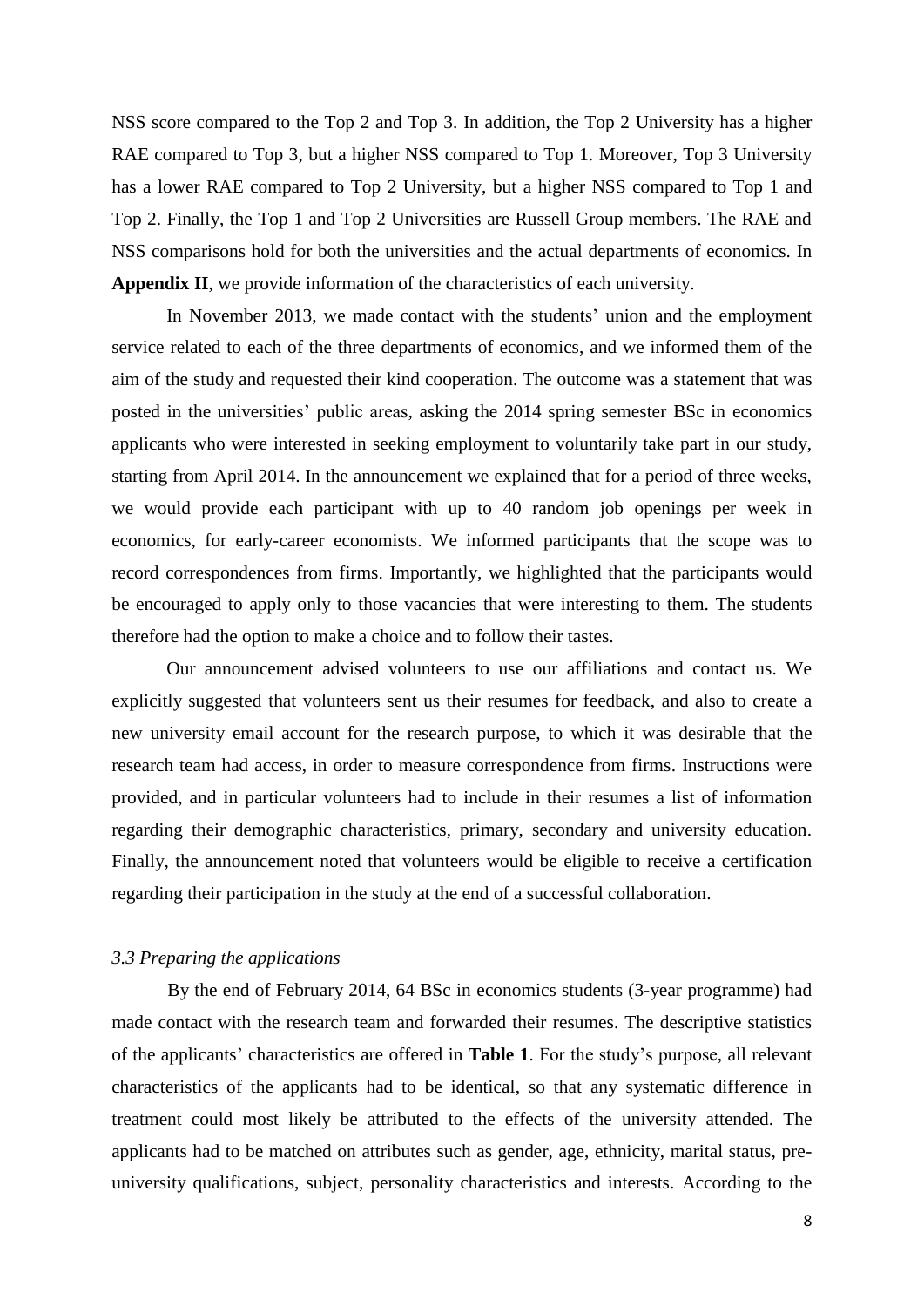NSS score compared to the Top 2 and Top 3. In addition, the Top 2 University has a higher RAE compared to Top 3, but a higher NSS compared to Top 1. Moreover, Top 3 University has a lower RAE compared to Top 2 University, but a higher NSS compared to Top 1 and Top 2. Finally, the Top 1 and Top 2 Universities are Russell Group members. The RAE and NSS comparisons hold for both the universities and the actual departments of economics. In **Appendix II**, we provide information of the characteristics of each university.

In November 2013, we made contact with the students' union and the employment service related to each of the three departments of economics, and we informed them of the aim of the study and requested their kind cooperation. The outcome was a statement that was posted in the universities' public areas, asking the 2014 spring semester BSc in economics applicants who were interested in seeking employment to voluntarily take part in our study, starting from April 2014. In the announcement we explained that for a period of three weeks, we would provide each participant with up to 40 random job openings per week in economics, for early-career economists. We informed participants that the scope was to record correspondences from firms. Importantly, we highlighted that the participants would be encouraged to apply only to those vacancies that were interesting to them. The students therefore had the option to make a choice and to follow their tastes.

Our announcement advised volunteers to use our affiliations and contact us. We explicitly suggested that volunteers sent us their resumes for feedback, and also to create a new university email account for the research purpose, to which it was desirable that the research team had access, in order to measure correspondence from firms. Instructions were provided, and in particular volunteers had to include in their resumes a list of information regarding their demographic characteristics, primary, secondary and university education. Finally, the announcement noted that volunteers would be eligible to receive a certification regarding their participation in the study at the end of a successful collaboration.

#### *3.3 Preparing the applications*

By the end of February 2014, 64 BSc in economics students (3-year programme) had made contact with the research team and forwarded their resumes. The descriptive statistics of the applicants' characteristics are offered in **Table 1**. For the study's purpose, all relevant characteristics of the applicants had to be identical, so that any systematic difference in treatment could most likely be attributed to the effects of the university attended. The applicants had to be matched on attributes such as gender, age, ethnicity, marital status, preuniversity qualifications, subject, personality characteristics and interests. According to the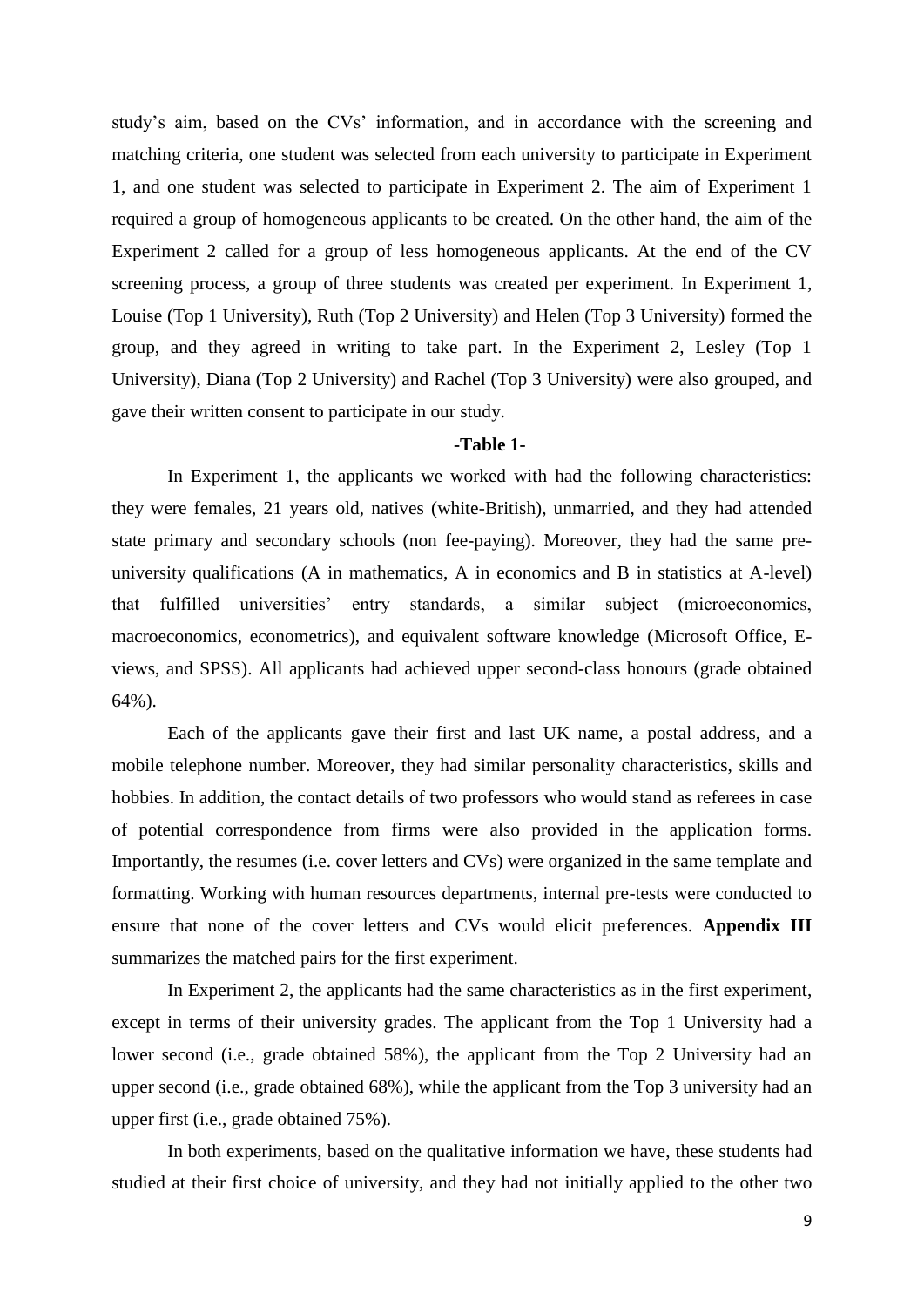study's aim, based on the CVs' information, and in accordance with the screening and matching criteria, one student was selected from each university to participate in Experiment 1, and one student was selected to participate in Experiment 2. The aim of Experiment 1 required a group of homogeneous applicants to be created. On the other hand, the aim of the Experiment 2 called for a group of less homogeneous applicants. At the end of the CV screening process, a group of three students was created per experiment. In Experiment 1, Louise (Top 1 University), Ruth (Top 2 University) and Helen (Top 3 University) formed the group, and they agreed in writing to take part. In the Experiment 2, Lesley (Top 1 University), Diana (Top 2 University) and Rachel (Top 3 University) were also grouped, and gave their written consent to participate in our study.

#### **-Table 1-**

In Experiment 1, the applicants we worked with had the following characteristics: they were females, 21 years old, natives (white-British), unmarried, and they had attended state primary and secondary schools (non fee-paying). Moreover, they had the same preuniversity qualifications (A in mathematics, A in economics and B in statistics at A-level) that fulfilled universities' entry standards, a similar subject (microeconomics, macroeconomics, econometrics), and equivalent software knowledge (Microsoft Office, Eviews, and SPSS). All applicants had achieved upper second-class honours (grade obtained 64%).

Each of the applicants gave their first and last UK name, a postal address, and a mobile telephone number. Moreover, they had similar personality characteristics, skills and hobbies. In addition, the contact details of two professors who would stand as referees in case of potential correspondence from firms were also provided in the application forms. Importantly, the resumes (i.e. cover letters and CVs) were organized in the same template and formatting. Working with human resources departments, internal pre-tests were conducted to ensure that none of the cover letters and CVs would elicit preferences. **Appendix III** summarizes the matched pairs for the first experiment.

In Experiment 2, the applicants had the same characteristics as in the first experiment, except in terms of their university grades. The applicant from the Top 1 University had a lower second (i.e., grade obtained 58%), the applicant from the Top 2 University had an upper second (i.e., grade obtained 68%), while the applicant from the Top 3 university had an upper first (i.e., grade obtained 75%).

In both experiments, based on the qualitative information we have, these students had studied at their first choice of university, and they had not initially applied to the other two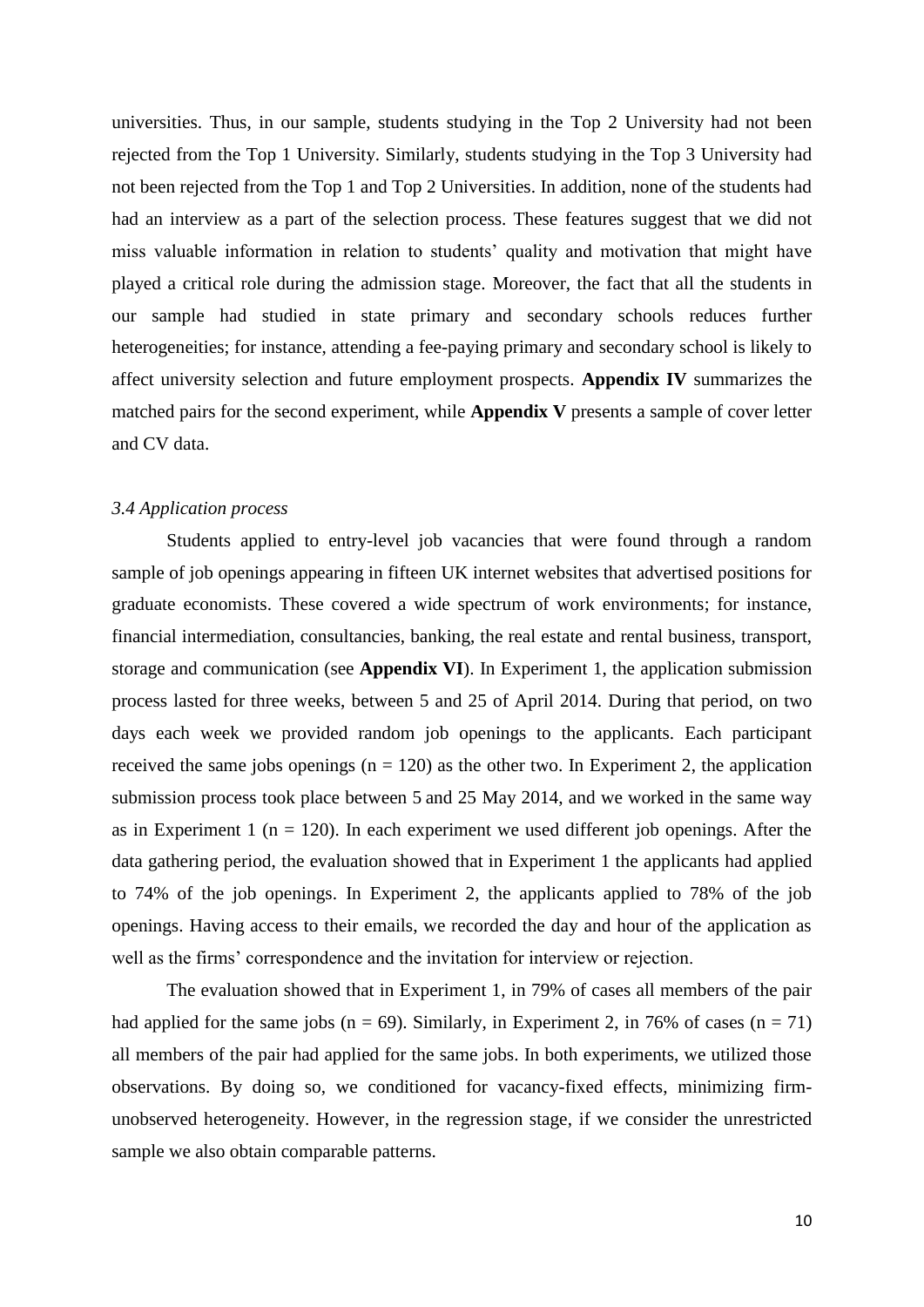universities. Thus, in our sample, students studying in the Top 2 University had not been rejected from the Top 1 University. Similarly, students studying in the Top 3 University had not been rejected from the Top 1 and Top 2 Universities. In addition, none of the students had had an interview as a part of the selection process. These features suggest that we did not miss valuable information in relation to students' quality and motivation that might have played a critical role during the admission stage. Moreover, the fact that all the students in our sample had studied in state primary and secondary schools reduces further heterogeneities; for instance, attending a fee-paying primary and secondary school is likely to affect university selection and future employment prospects. **Appendix IV** summarizes the matched pairs for the second experiment, while **Appendix V** presents a sample of cover letter and CV data.

#### *3.4 Application process*

Students applied to entry-level job vacancies that were found through a random sample of job openings appearing in fifteen UK internet websites that advertised positions for graduate economists. These covered a wide spectrum of work environments; for instance, financial intermediation, consultancies, banking, the real estate and rental business, transport, storage and communication (see **Appendix VI**). In Experiment 1, the application submission process lasted for three weeks, between 5 and 25 of April 2014. During that period, on two days each week we provided random job openings to the applicants. Each participant received the same jobs openings ( $n = 120$ ) as the other two. In Experiment 2, the application submission process took place between 5 and 25 May 2014, and we worked in the same way as in Experiment 1 ( $n = 120$ ). In each experiment we used different job openings. After the data gathering period, the evaluation showed that in Experiment 1 the applicants had applied to 74% of the job openings. In Experiment 2, the applicants applied to 78% of the job openings. Having access to their emails, we recorded the day and hour of the application as well as the firms' correspondence and the invitation for interview or rejection.

The evaluation showed that in Experiment 1, in 79% of cases all members of the pair had applied for the same jobs ( $n = 69$ ). Similarly, in Experiment 2, in 76% of cases ( $n = 71$ ) all members of the pair had applied for the same jobs. In both experiments, we utilized those observations. By doing so, we conditioned for vacancy-fixed effects, minimizing firmunobserved heterogeneity. However, in the regression stage, if we consider the unrestricted sample we also obtain comparable patterns.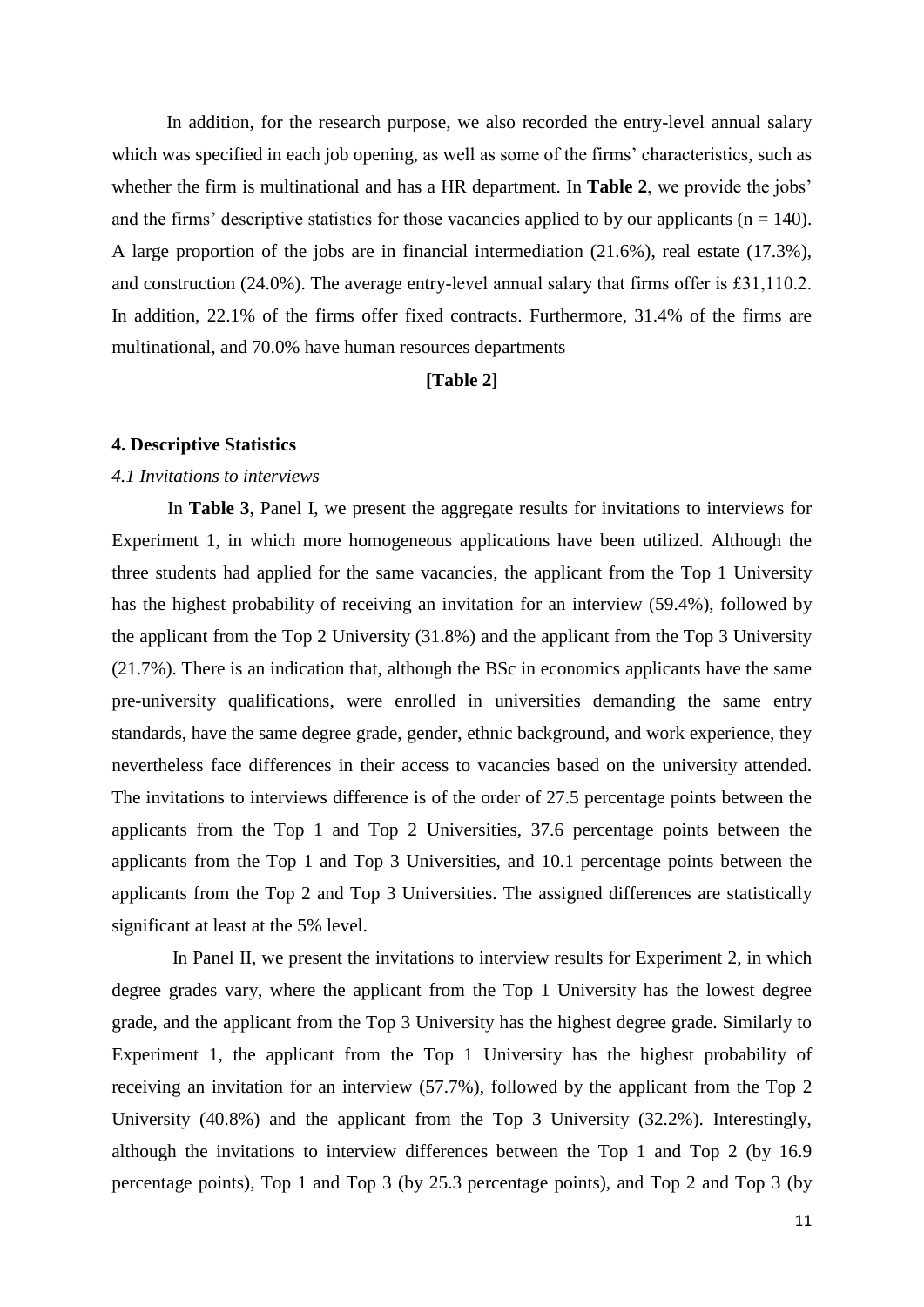In addition, for the research purpose, we also recorded the entry-level annual salary which was specified in each job opening, as well as some of the firms' characteristics, such as whether the firm is multinational and has a HR department. In **Table 2**, we provide the jobs' and the firms' descriptive statistics for those vacancies applied to by our applicants ( $n = 140$ ). A large proportion of the jobs are in financial intermediation (21.6%), real estate (17.3%), and construction (24.0%). The average entry-level annual salary that firms offer is £31,110.2. In addition, 22.1% of the firms offer fixed contracts. Furthermore, 31.4% of the firms are multinational, and 70.0% have human resources departments

### **[Table 2]**

#### **4. Descriptive Statistics**

#### *4.1 Invitations to interviews*

In **Table 3**, Panel I, we present the aggregate results for invitations to interviews for Experiment 1, in which more homogeneous applications have been utilized. Although the three students had applied for the same vacancies, the applicant from the Top 1 University has the highest probability of receiving an invitation for an interview (59.4%), followed by the applicant from the Top 2 University (31.8%) and the applicant from the Top 3 University (21.7%). There is an indication that, although the BSc in economics applicants have the same pre-university qualifications, were enrolled in universities demanding the same entry standards, have the same degree grade, gender, ethnic background, and work experience, they nevertheless face differences in their access to vacancies based on the university attended. The invitations to interviews difference is of the order of 27.5 percentage points between the applicants from the Top 1 and Top 2 Universities, 37.6 percentage points between the applicants from the Top 1 and Top 3 Universities, and 10.1 percentage points between the applicants from the Top 2 and Top 3 Universities. The assigned differences are statistically significant at least at the 5% level.

In Panel II, we present the invitations to interview results for Experiment 2, in which degree grades vary, where the applicant from the Top 1 University has the lowest degree grade, and the applicant from the Top 3 University has the highest degree grade. Similarly to Experiment 1, the applicant from the Top 1 University has the highest probability of receiving an invitation for an interview (57.7%), followed by the applicant from the Top 2 University (40.8%) and the applicant from the Top 3 University (32.2%). Interestingly, although the invitations to interview differences between the Top 1 and Top 2 (by 16.9 percentage points), Top 1 and Top 3 (by 25.3 percentage points), and Top 2 and Top 3 (by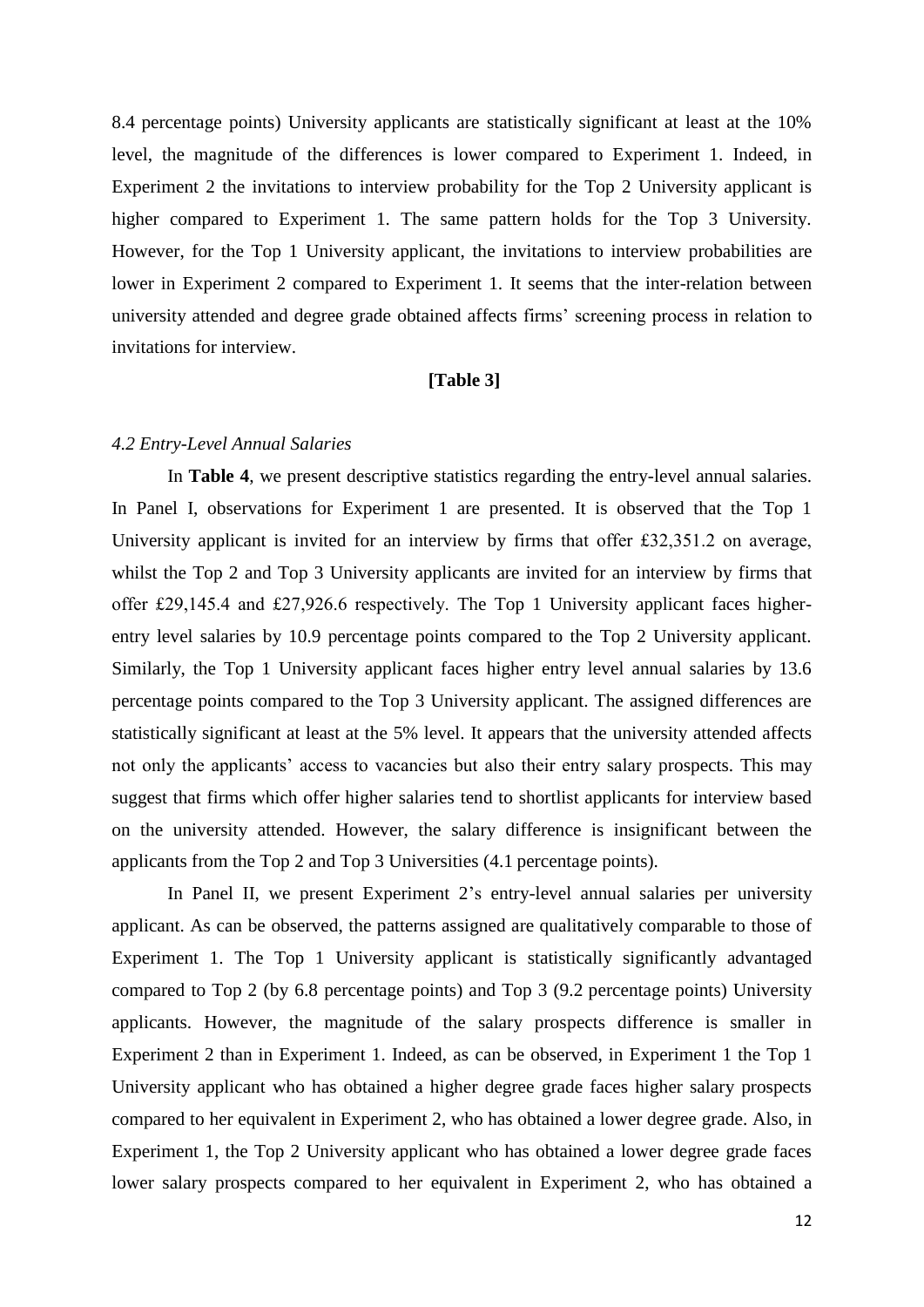8.4 percentage points) University applicants are statistically significant at least at the 10% level, the magnitude of the differences is lower compared to Experiment 1. Indeed, in Experiment 2 the invitations to interview probability for the Top 2 University applicant is higher compared to Experiment 1. The same pattern holds for the Top 3 University. However, for the Top 1 University applicant, the invitations to interview probabilities are lower in Experiment 2 compared to Experiment 1. It seems that the inter-relation between university attended and degree grade obtained affects firms' screening process in relation to invitations for interview.

#### **[Table 3]**

#### *4.2 Entry-Level Annual Salaries*

In **Table 4**, we present descriptive statistics regarding the entry-level annual salaries. In Panel I, observations for Experiment 1 are presented. It is observed that the Top 1 University applicant is invited for an interview by firms that offer £32,351.2 on average, whilst the Top 2 and Top 3 University applicants are invited for an interview by firms that offer £29,145.4 and £27,926.6 respectively. The Top 1 University applicant faces higherentry level salaries by 10.9 percentage points compared to the Top 2 University applicant. Similarly, the Top 1 University applicant faces higher entry level annual salaries by 13.6 percentage points compared to the Top 3 University applicant. The assigned differences are statistically significant at least at the 5% level. It appears that the university attended affects not only the applicants' access to vacancies but also their entry salary prospects. This may suggest that firms which offer higher salaries tend to shortlist applicants for interview based on the university attended. However, the salary difference is insignificant between the applicants from the Top 2 and Top 3 Universities (4.1 percentage points).

In Panel II, we present Experiment 2's entry-level annual salaries per university applicant. As can be observed, the patterns assigned are qualitatively comparable to those of Experiment 1. The Top 1 University applicant is statistically significantly advantaged compared to Top 2 (by 6.8 percentage points) and Top 3 (9.2 percentage points) University applicants. However, the magnitude of the salary prospects difference is smaller in Experiment 2 than in Experiment 1. Indeed, as can be observed, in Experiment 1 the Top 1 University applicant who has obtained a higher degree grade faces higher salary prospects compared to her equivalent in Experiment 2, who has obtained a lower degree grade. Also, in Experiment 1, the Top 2 University applicant who has obtained a lower degree grade faces lower salary prospects compared to her equivalent in Experiment 2, who has obtained a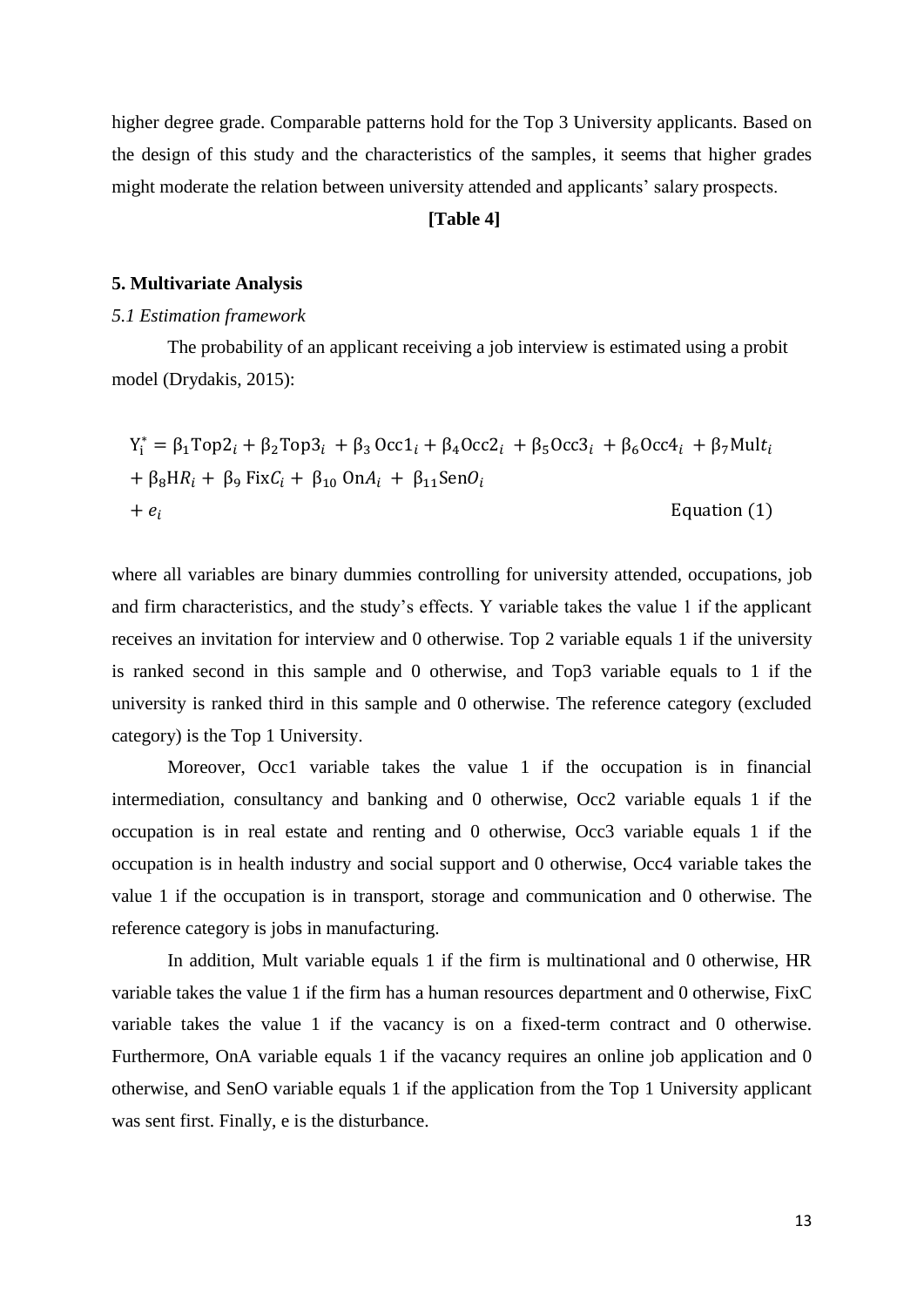higher degree grade. Comparable patterns hold for the Top 3 University applicants. Based on the design of this study and the characteristics of the samples, it seems that higher grades might moderate the relation between university attended and applicants' salary prospects.

#### **[Table 4]**

#### **5. Multivariate Analysis**

#### *5.1 Estimation framework*

The probability of an applicant receiving a job interview is estimated using a probit model (Drydakis, 2015):

$$
Y_i^* = \beta_1 \text{Top2}_i + \beta_2 \text{Top3}_i + \beta_3 \text{ Occ1}_i + \beta_4 \text{Occ2}_i + \beta_5 \text{Occ3}_i + \beta_6 \text{Occ4}_i + \beta_7 \text{Mult}_i
$$
  
+  $\beta_8 \text{HR}_i + \beta_9 \text{FixC}_i + \beta_{10} \text{OnA}_i + \beta_{11} \text{SenO}_i$   
+  $e_i$  Equation (1)

where all variables are binary dummies controlling for university attended, occupations, job and firm characteristics, and the study's effects. Y variable takes the value 1 if the applicant receives an invitation for interview and 0 otherwise. Top 2 variable equals 1 if the university is ranked second in this sample and 0 otherwise, and Top3 variable equals to 1 if the university is ranked third in this sample and 0 otherwise. The reference category (excluded category) is the Top 1 University.

Moreover, Occ1 variable takes the value 1 if the occupation is in financial intermediation, consultancy and banking and 0 otherwise, Occ2 variable equals 1 if the occupation is in real estate and renting and 0 otherwise, Occ3 variable equals 1 if the occupation is in health industry and social support and 0 otherwise, Occ4 variable takes the value 1 if the occupation is in transport, storage and communication and 0 otherwise. The reference category is jobs in manufacturing.

In addition, Mult variable equals 1 if the firm is multinational and 0 otherwise, HR variable takes the value 1 if the firm has a human resources department and 0 otherwise, FixC variable takes the value 1 if the vacancy is on a fixed-term contract and 0 otherwise. Furthermore, OnA variable equals 1 if the vacancy requires an online job application and 0 otherwise, and SenO variable equals 1 if the application from the Top 1 University applicant was sent first. Finally, e is the disturbance.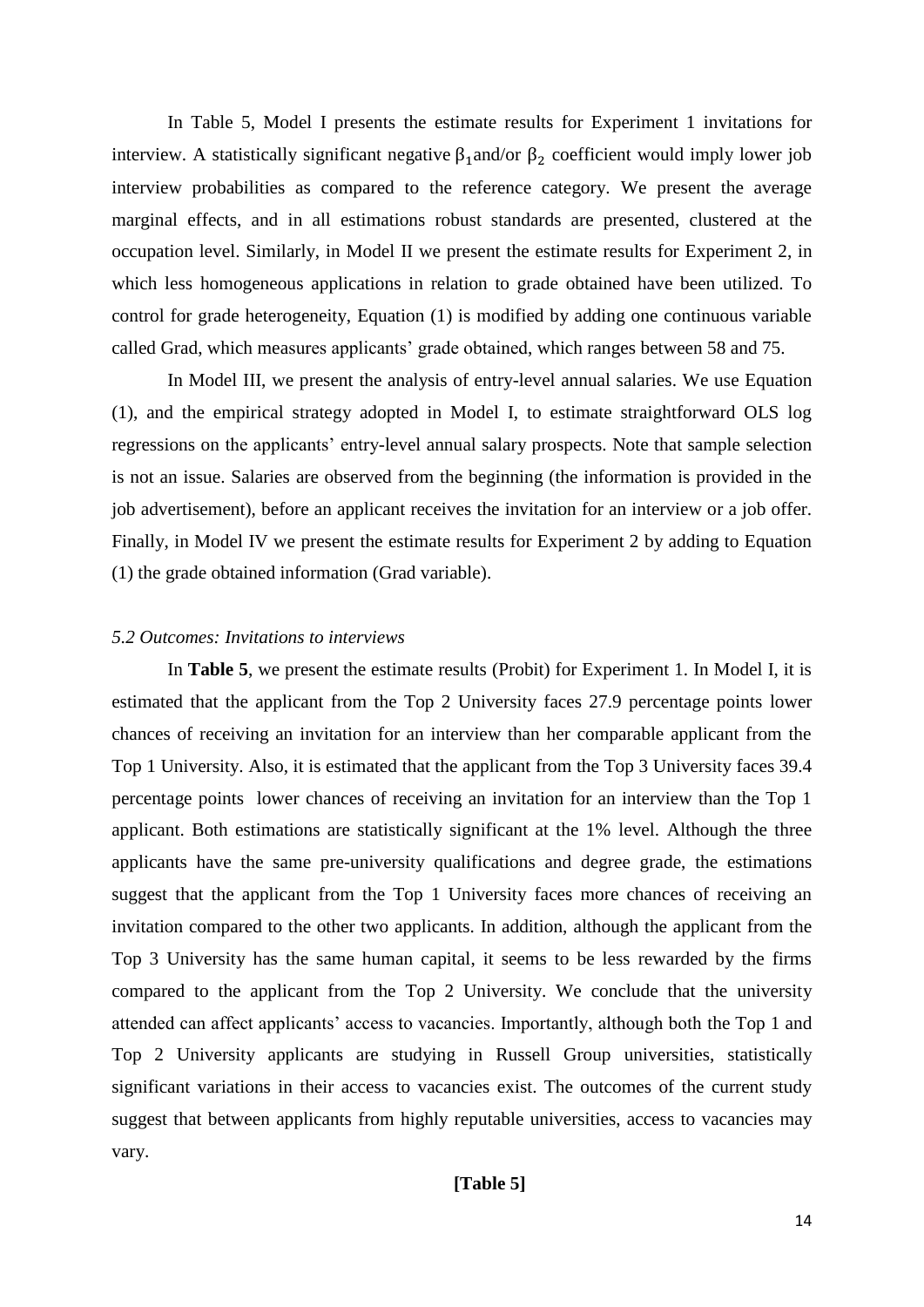In Table 5, Model I presents the estimate results for Experiment 1 invitations for interview. A statistically significant negative  $\beta_1$ and/or  $\beta_2$  coefficient would imply lower job interview probabilities as compared to the reference category. We present the average marginal effects, and in all estimations robust standards are presented, clustered at the occupation level. Similarly, in Model II we present the estimate results for Experiment 2, in which less homogeneous applications in relation to grade obtained have been utilized. To control for grade heterogeneity, Equation (1) is modified by adding one continuous variable called Grad, which measures applicants' grade obtained, which ranges between 58 and 75.

In Model III, we present the analysis of entry-level annual salaries. We use Equation (1), and the empirical strategy adopted in Model I, to estimate straightforward OLS log regressions on the applicants' entry-level annual salary prospects. Note that sample selection is not an issue. Salaries are observed from the beginning (the information is provided in the job advertisement), before an applicant receives the invitation for an interview or a job offer. Finally, in Model IV we present the estimate results for Experiment 2 by adding to Equation (1) the grade obtained information (Grad variable).

#### *5.2 Outcomes: Invitations to interviews*

In **Table 5**, we present the estimate results (Probit) for Experiment 1. In Model I, it is estimated that the applicant from the Top 2 University faces 27.9 percentage points lower chances of receiving an invitation for an interview than her comparable applicant from the Top 1 University. Also, it is estimated that the applicant from the Top 3 University faces 39.4 percentage points lower chances of receiving an invitation for an interview than the Top 1 applicant. Both estimations are statistically significant at the 1% level. Although the three applicants have the same pre-university qualifications and degree grade, the estimations suggest that the applicant from the Top 1 University faces more chances of receiving an invitation compared to the other two applicants. In addition, although the applicant from the Top 3 University has the same human capital, it seems to be less rewarded by the firms compared to the applicant from the Top 2 University. We conclude that the university attended can affect applicants' access to vacancies. Importantly, although both the Top 1 and Top 2 University applicants are studying in Russell Group universities, statistically significant variations in their access to vacancies exist. The outcomes of the current study suggest that between applicants from highly reputable universities, access to vacancies may vary.

#### **[Table 5]**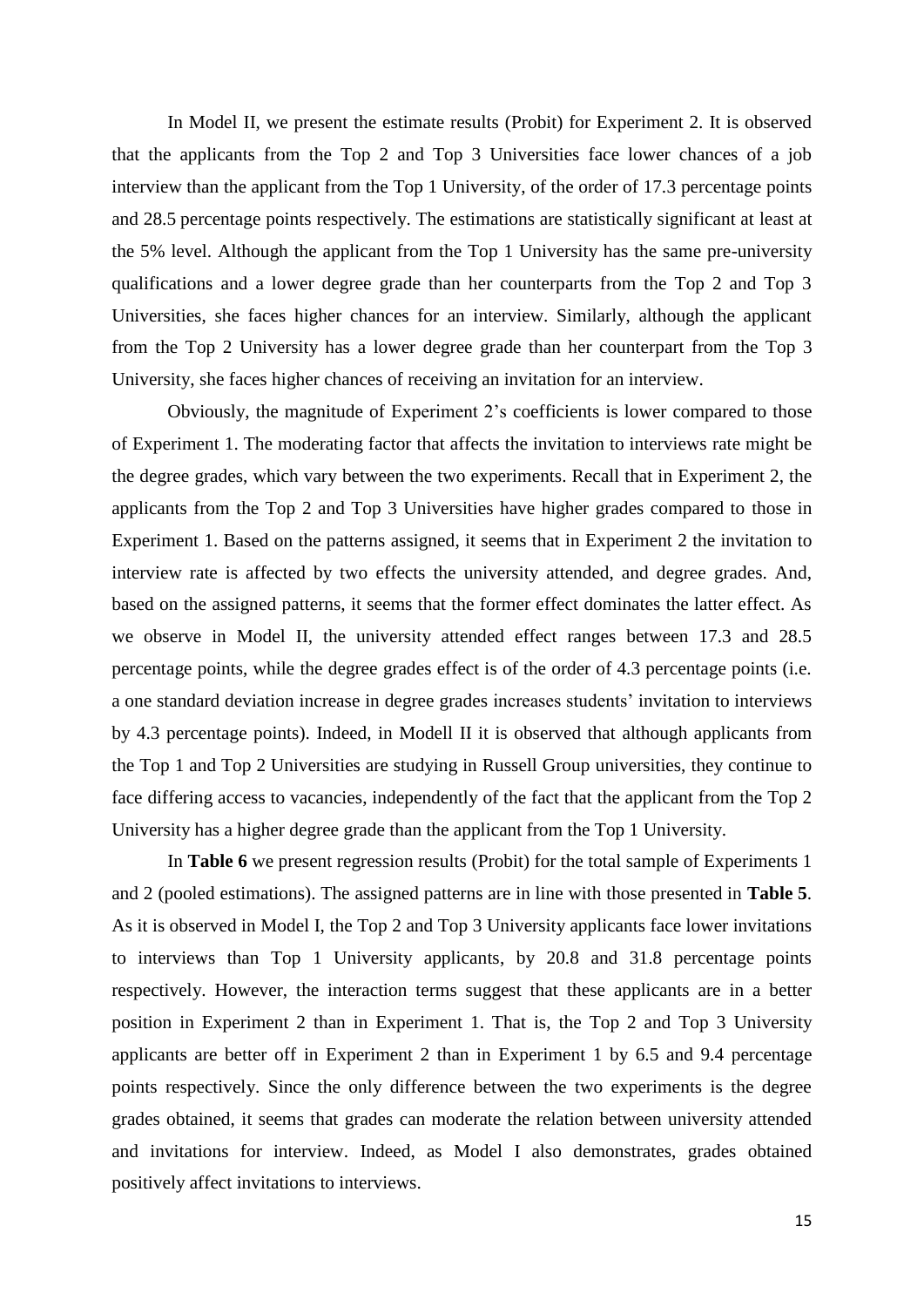In Model II, we present the estimate results (Probit) for Experiment 2. It is observed that the applicants from the Top 2 and Top 3 Universities face lower chances of a job interview than the applicant from the Top 1 University, of the order of 17.3 percentage points and 28.5 percentage points respectively. The estimations are statistically significant at least at the 5% level. Although the applicant from the Top 1 University has the same pre-university qualifications and a lower degree grade than her counterparts from the Top 2 and Top 3 Universities, she faces higher chances for an interview. Similarly, although the applicant from the Top 2 University has a lower degree grade than her counterpart from the Top 3 University, she faces higher chances of receiving an invitation for an interview.

Obviously, the magnitude of Experiment 2's coefficients is lower compared to those of Experiment 1. The moderating factor that affects the invitation to interviews rate might be the degree grades, which vary between the two experiments. Recall that in Experiment 2, the applicants from the Top 2 and Top 3 Universities have higher grades compared to those in Experiment 1. Based on the patterns assigned, it seems that in Experiment 2 the invitation to interview rate is affected by two effects the university attended, and degree grades. And, based on the assigned patterns, it seems that the former effect dominates the latter effect. As we observe in Model II, the university attended effect ranges between 17.3 and 28.5 percentage points, while the degree grades effect is of the order of 4.3 percentage points (i.e. a one standard deviation increase in degree grades increases students' invitation to interviews by 4.3 percentage points). Indeed, in Modell II it is observed that although applicants from the Top 1 and Top 2 Universities are studying in Russell Group universities, they continue to face differing access to vacancies, independently of the fact that the applicant from the Top 2 University has a higher degree grade than the applicant from the Top 1 University.

In **Table 6** we present regression results (Probit) for the total sample of Experiments 1 and 2 (pooled estimations). The assigned patterns are in line with those presented in **Table 5**. As it is observed in Model I, the Top 2 and Top 3 University applicants face lower invitations to interviews than Top 1 University applicants, by 20.8 and 31.8 percentage points respectively. However, the interaction terms suggest that these applicants are in a better position in Experiment 2 than in Experiment 1. That is, the Top 2 and Top 3 University applicants are better off in Experiment 2 than in Experiment 1 by 6.5 and 9.4 percentage points respectively. Since the only difference between the two experiments is the degree grades obtained, it seems that grades can moderate the relation between university attended and invitations for interview. Indeed, as Model I also demonstrates, grades obtained positively affect invitations to interviews.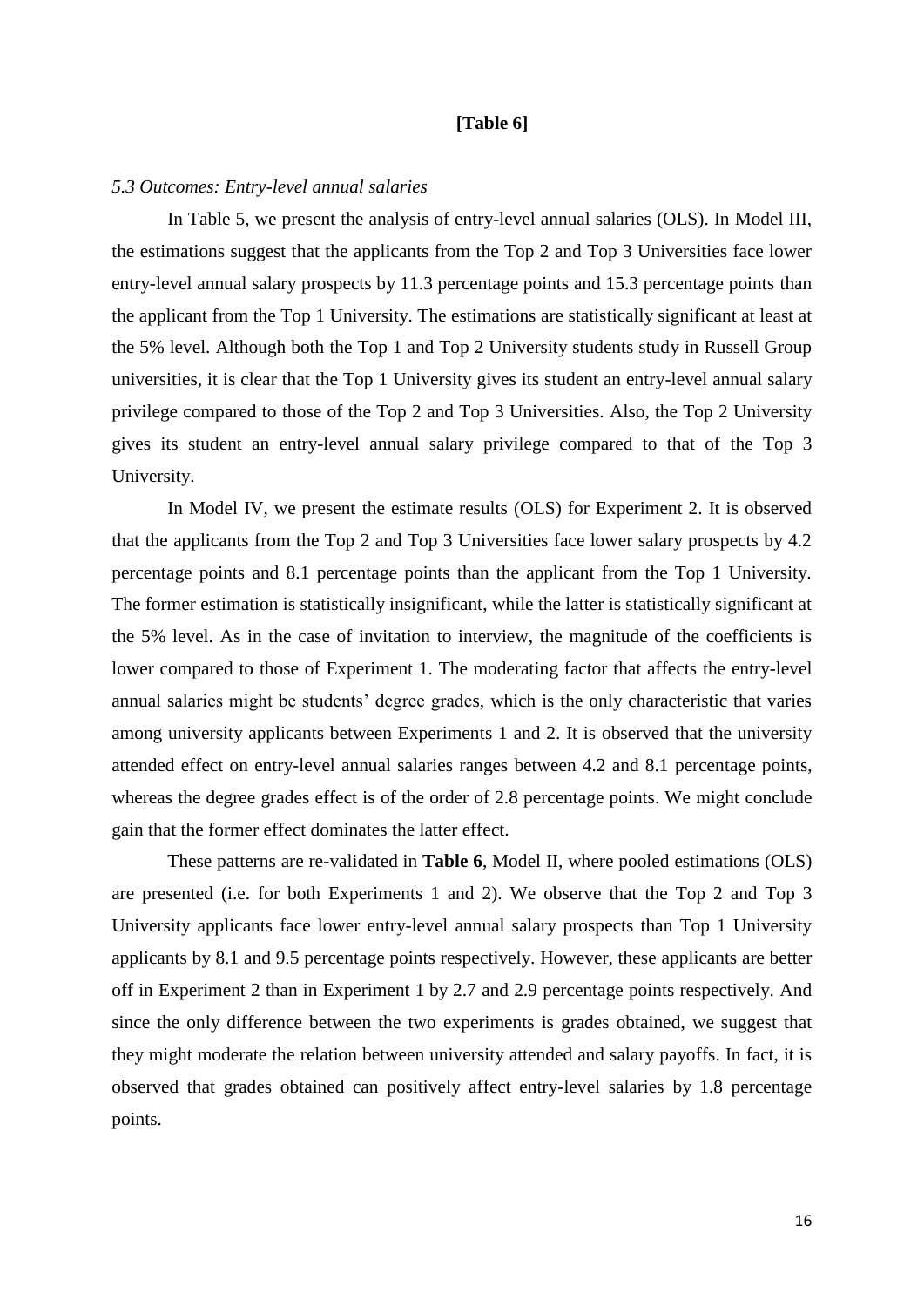#### **[Table 6]**

#### *5.3 Outcomes: Entry-level annual salaries*

In Table 5, we present the analysis of entry-level annual salaries (OLS). In Model III, the estimations suggest that the applicants from the Top 2 and Top 3 Universities face lower entry-level annual salary prospects by 11.3 percentage points and 15.3 percentage points than the applicant from the Top 1 University. The estimations are statistically significant at least at the 5% level. Although both the Top 1 and Top 2 University students study in Russell Group universities, it is clear that the Top 1 University gives its student an entry-level annual salary privilege compared to those of the Top 2 and Top 3 Universities. Also, the Top 2 University gives its student an entry-level annual salary privilege compared to that of the Top 3 University.

In Model IV, we present the estimate results (OLS) for Experiment 2. It is observed that the applicants from the Top 2 and Top 3 Universities face lower salary prospects by 4.2 percentage points and 8.1 percentage points than the applicant from the Top 1 University. The former estimation is statistically insignificant, while the latter is statistically significant at the 5% level. As in the case of invitation to interview, the magnitude of the coefficients is lower compared to those of Experiment 1. The moderating factor that affects the entry-level annual salaries might be students' degree grades, which is the only characteristic that varies among university applicants between Experiments 1 and 2. It is observed that the university attended effect on entry-level annual salaries ranges between 4.2 and 8.1 percentage points, whereas the degree grades effect is of the order of 2.8 percentage points. We might conclude gain that the former effect dominates the latter effect.

These patterns are re-validated in **Table 6**, Model II, where pooled estimations (OLS) are presented (i.e. for both Experiments 1 and 2). We observe that the Top 2 and Top 3 University applicants face lower entry-level annual salary prospects than Top 1 University applicants by 8.1 and 9.5 percentage points respectively. However, these applicants are better off in Experiment 2 than in Experiment 1 by 2.7 and 2.9 percentage points respectively. And since the only difference between the two experiments is grades obtained, we suggest that they might moderate the relation between university attended and salary payoffs. In fact, it is observed that grades obtained can positively affect entry-level salaries by 1.8 percentage points.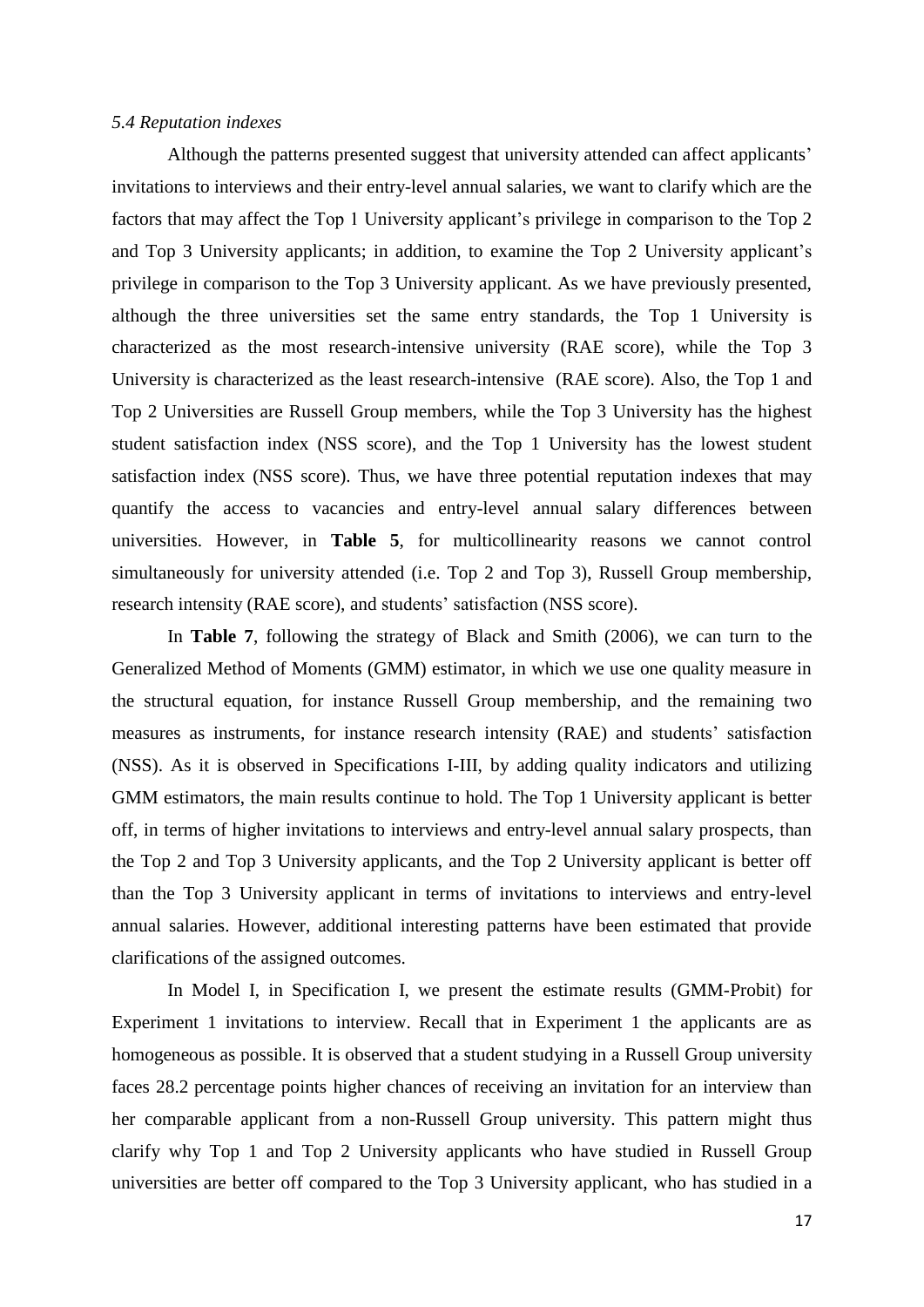#### *5.4 Reputation indexes*

Although the patterns presented suggest that university attended can affect applicants' invitations to interviews and their entry-level annual salaries, we want to clarify which are the factors that may affect the Top 1 University applicant's privilege in comparison to the Top 2 and Top 3 University applicants; in addition, to examine the Top 2 University applicant's privilege in comparison to the Top 3 University applicant. As we have previously presented, although the three universities set the same entry standards, the Top 1 University is characterized as the most research-intensive university (RAE score), while the Top 3 University is characterized as the least research-intensive (RAE score). Also, the Top 1 and Top 2 Universities are Russell Group members, while the Top 3 University has the highest student satisfaction index (NSS score), and the Top 1 University has the lowest student satisfaction index (NSS score). Thus, we have three potential reputation indexes that may quantify the access to vacancies and entry-level annual salary differences between universities. However, in **Table 5**, for multicollinearity reasons we cannot control simultaneously for university attended (i.e. Top 2 and Top 3), Russell Group membership, research intensity (RAE score), and students' satisfaction (NSS score).

In **Table 7**, following the strategy of Black and Smith (2006), we can turn to the Generalized Method of Moments (GMM) estimator, in which we use one quality measure in the structural equation, for instance Russell Group membership, and the remaining two measures as instruments, for instance research intensity (RAE) and students' satisfaction (NSS). As it is observed in Specifications I-III, by adding quality indicators and utilizing GMM estimators, the main results continue to hold. The Top 1 University applicant is better off, in terms of higher invitations to interviews and entry-level annual salary prospects, than the Top 2 and Top 3 University applicants, and the Top 2 University applicant is better off than the Top 3 University applicant in terms of invitations to interviews and entry-level annual salaries. However, additional interesting patterns have been estimated that provide clarifications of the assigned outcomes.

In Model I, in Specification I, we present the estimate results (GMM-Probit) for Experiment 1 invitations to interview. Recall that in Experiment 1 the applicants are as homogeneous as possible. It is observed that a student studying in a Russell Group university faces 28.2 percentage points higher chances of receiving an invitation for an interview than her comparable applicant from a non-Russell Group university. This pattern might thus clarify why Top 1 and Top 2 University applicants who have studied in Russell Group universities are better off compared to the Top 3 University applicant, who has studied in a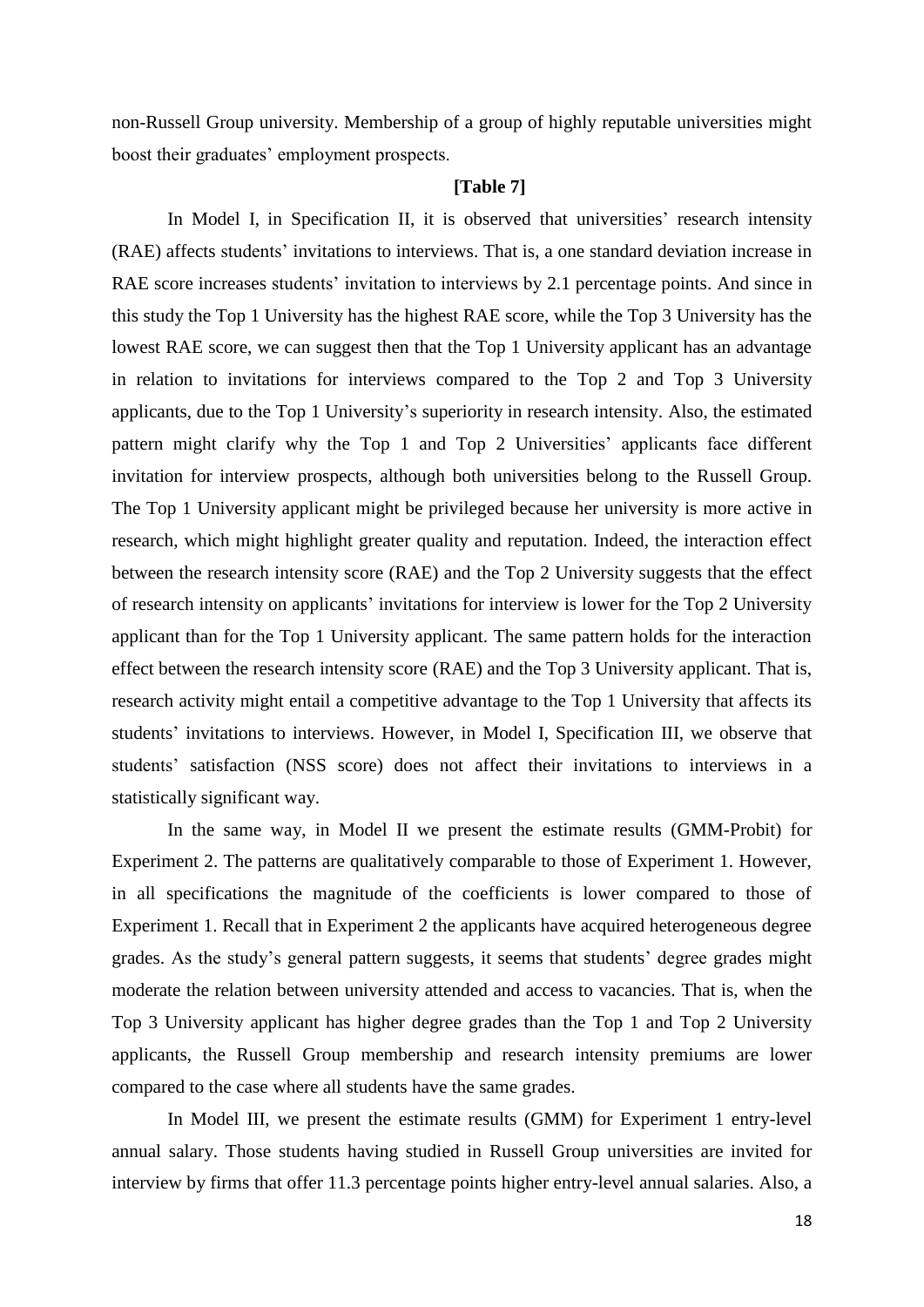non-Russell Group university. Membership of a group of highly reputable universities might boost their graduates' employment prospects.

#### **[Table 7]**

In Model I, in Specification II, it is observed that universities' research intensity (RAE) affects students' invitations to interviews. That is, a one standard deviation increase in RAE score increases students' invitation to interviews by 2.1 percentage points. And since in this study the Top 1 University has the highest RAE score, while the Top 3 University has the lowest RAE score, we can suggest then that the Top 1 University applicant has an advantage in relation to invitations for interviews compared to the Top 2 and Top 3 University applicants, due to the Top 1 University's superiority in research intensity. Also, the estimated pattern might clarify why the Top 1 and Top 2 Universities' applicants face different invitation for interview prospects, although both universities belong to the Russell Group. The Top 1 University applicant might be privileged because her university is more active in research, which might highlight greater quality and reputation. Indeed, the interaction effect between the research intensity score (RAE) and the Top 2 University suggests that the effect of research intensity on applicants' invitations for interview is lower for the Top 2 University applicant than for the Top 1 University applicant. The same pattern holds for the interaction effect between the research intensity score (RAE) and the Top 3 University applicant. That is, research activity might entail a competitive advantage to the Top 1 University that affects its students' invitations to interviews. However, in Model I, Specification III, we observe that students' satisfaction (NSS score) does not affect their invitations to interviews in a statistically significant way.

In the same way, in Model II we present the estimate results (GMM-Probit) for Experiment 2. The patterns are qualitatively comparable to those of Experiment 1. However, in all specifications the magnitude of the coefficients is lower compared to those of Experiment 1. Recall that in Experiment 2 the applicants have acquired heterogeneous degree grades. As the study's general pattern suggests, it seems that students' degree grades might moderate the relation between university attended and access to vacancies. That is, when the Top 3 University applicant has higher degree grades than the Top 1 and Top 2 University applicants, the Russell Group membership and research intensity premiums are lower compared to the case where all students have the same grades.

In Model III, we present the estimate results (GMM) for Experiment 1 entry-level annual salary. Those students having studied in Russell Group universities are invited for interview by firms that offer 11.3 percentage points higher entry-level annual salaries. Also, a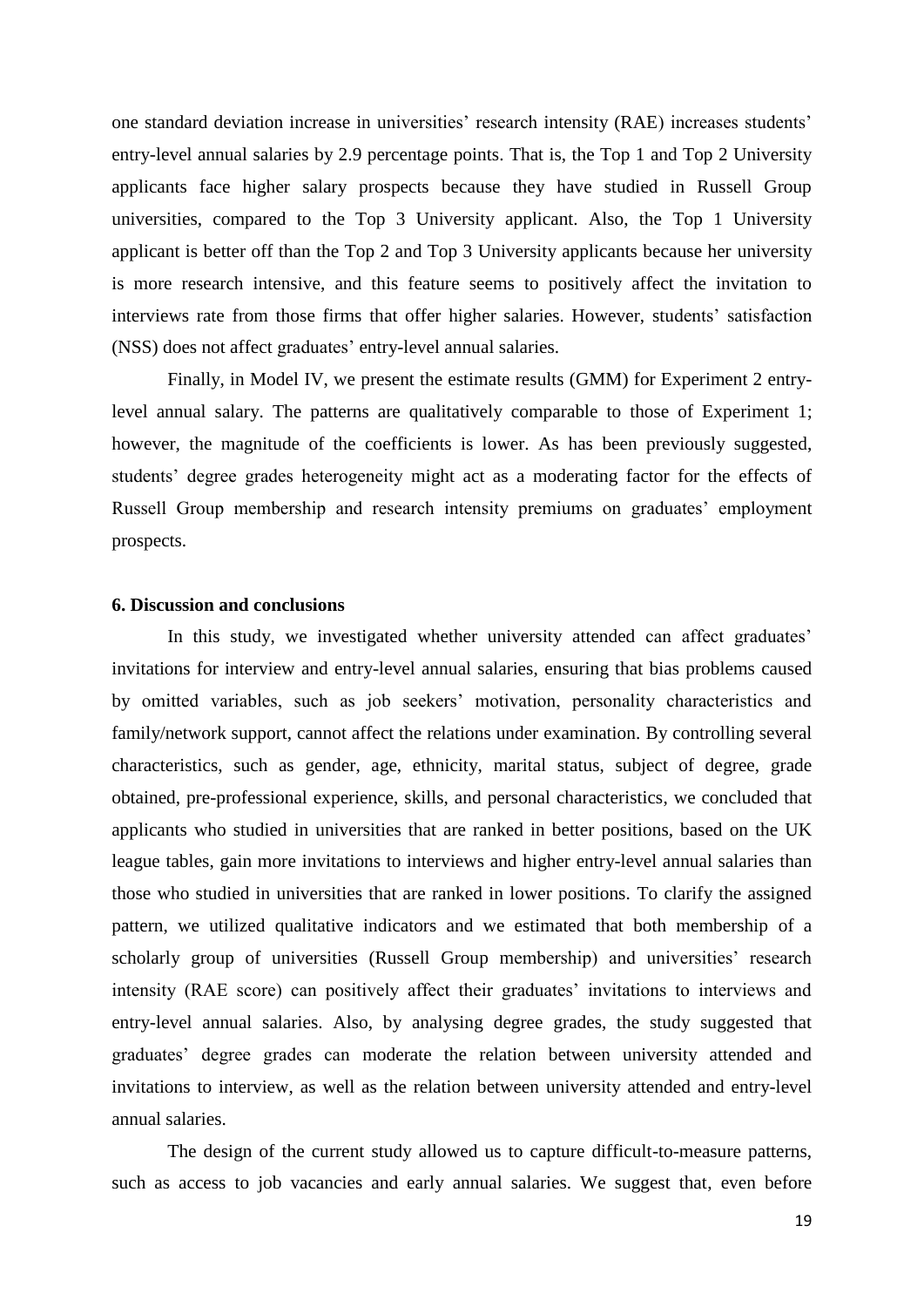one standard deviation increase in universities' research intensity (RAE) increases students' entry-level annual salaries by 2.9 percentage points. That is, the Top 1 and Top 2 University applicants face higher salary prospects because they have studied in Russell Group universities, compared to the Top 3 University applicant. Also, the Top 1 University applicant is better off than the Top 2 and Top 3 University applicants because her university is more research intensive, and this feature seems to positively affect the invitation to interviews rate from those firms that offer higher salaries. However, students' satisfaction (NSS) does not affect graduates' entry-level annual salaries.

Finally, in Model IV, we present the estimate results (GMM) for Experiment 2 entrylevel annual salary. The patterns are qualitatively comparable to those of Experiment 1; however, the magnitude of the coefficients is lower. As has been previously suggested, students' degree grades heterogeneity might act as a moderating factor for the effects of Russell Group membership and research intensity premiums on graduates' employment prospects.

#### **6. Discussion and conclusions**

In this study, we investigated whether university attended can affect graduates' invitations for interview and entry-level annual salaries, ensuring that bias problems caused by omitted variables, such as job seekers' motivation, personality characteristics and family/network support, cannot affect the relations under examination. By controlling several characteristics, such as gender, age, ethnicity, marital status, subject of degree, grade obtained, pre-professional experience, skills, and personal characteristics, we concluded that applicants who studied in universities that are ranked in better positions, based on the UK league tables, gain more invitations to interviews and higher entry-level annual salaries than those who studied in universities that are ranked in lower positions. To clarify the assigned pattern, we utilized qualitative indicators and we estimated that both membership of a scholarly group of universities (Russell Group membership) and universities' research intensity (RAE score) can positively affect their graduates' invitations to interviews and entry-level annual salaries. Also, by analysing degree grades, the study suggested that graduates' degree grades can moderate the relation between university attended and invitations to interview, as well as the relation between university attended and entry-level annual salaries.

The design of the current study allowed us to capture difficult-to-measure patterns, such as access to job vacancies and early annual salaries. We suggest that, even before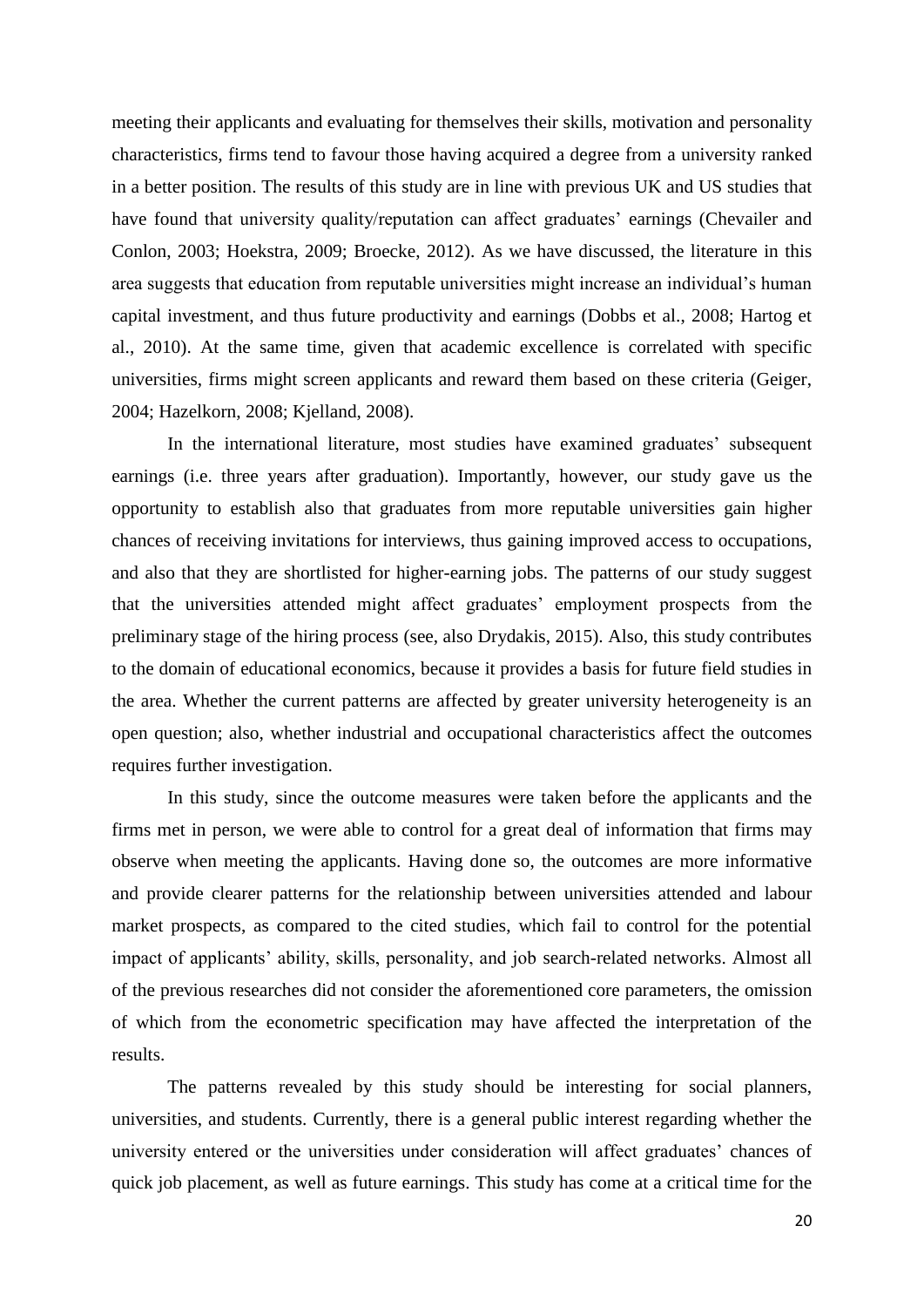meeting their applicants and evaluating for themselves their skills, motivation and personality characteristics, firms tend to favour those having acquired a degree from a university ranked in a better position. The results of this study are in line with previous UK and US studies that have found that university quality/reputation can affect graduates' earnings (Chevailer and Conlon, 2003; Hoekstra, 2009; Broecke, 2012). As we have discussed, the literature in this area suggests that education from reputable universities might increase an individual's human capital investment, and thus future productivity and earnings (Dobbs et al., 2008; Hartog et al., 2010). At the same time, given that academic excellence is correlated with specific universities, firms might screen applicants and reward them based on these criteria (Geiger, 2004; Hazelkorn, 2008; Kjelland, 2008).

In the international literature, most studies have examined graduates' subsequent earnings (i.e. three years after graduation). Importantly, however, our study gave us the opportunity to establish also that graduates from more reputable universities gain higher chances of receiving invitations for interviews, thus gaining improved access to occupations, and also that they are shortlisted for higher-earning jobs. The patterns of our study suggest that the universities attended might affect graduates' employment prospects from the preliminary stage of the hiring process (see, also Drydakis, 2015). Also, this study contributes to the domain of educational economics, because it provides a basis for future field studies in the area. Whether the current patterns are affected by greater university heterogeneity is an open question; also, whether industrial and occupational characteristics affect the outcomes requires further investigation.

In this study, since the outcome measures were taken before the applicants and the firms met in person, we were able to control for a great deal of information that firms may observe when meeting the applicants. Having done so, the outcomes are more informative and provide clearer patterns for the relationship between universities attended and labour market prospects, as compared to the cited studies, which fail to control for the potential impact of applicants' ability, skills, personality, and job search-related networks. Almost all of the previous researches did not consider the aforementioned core parameters, the omission of which from the econometric specification may have affected the interpretation of the results.

The patterns revealed by this study should be interesting for social planners, universities, and students. Currently, there is a general public interest regarding whether the university entered or the universities under consideration will affect graduates' chances of quick job placement, as well as future earnings. This study has come at a critical time for the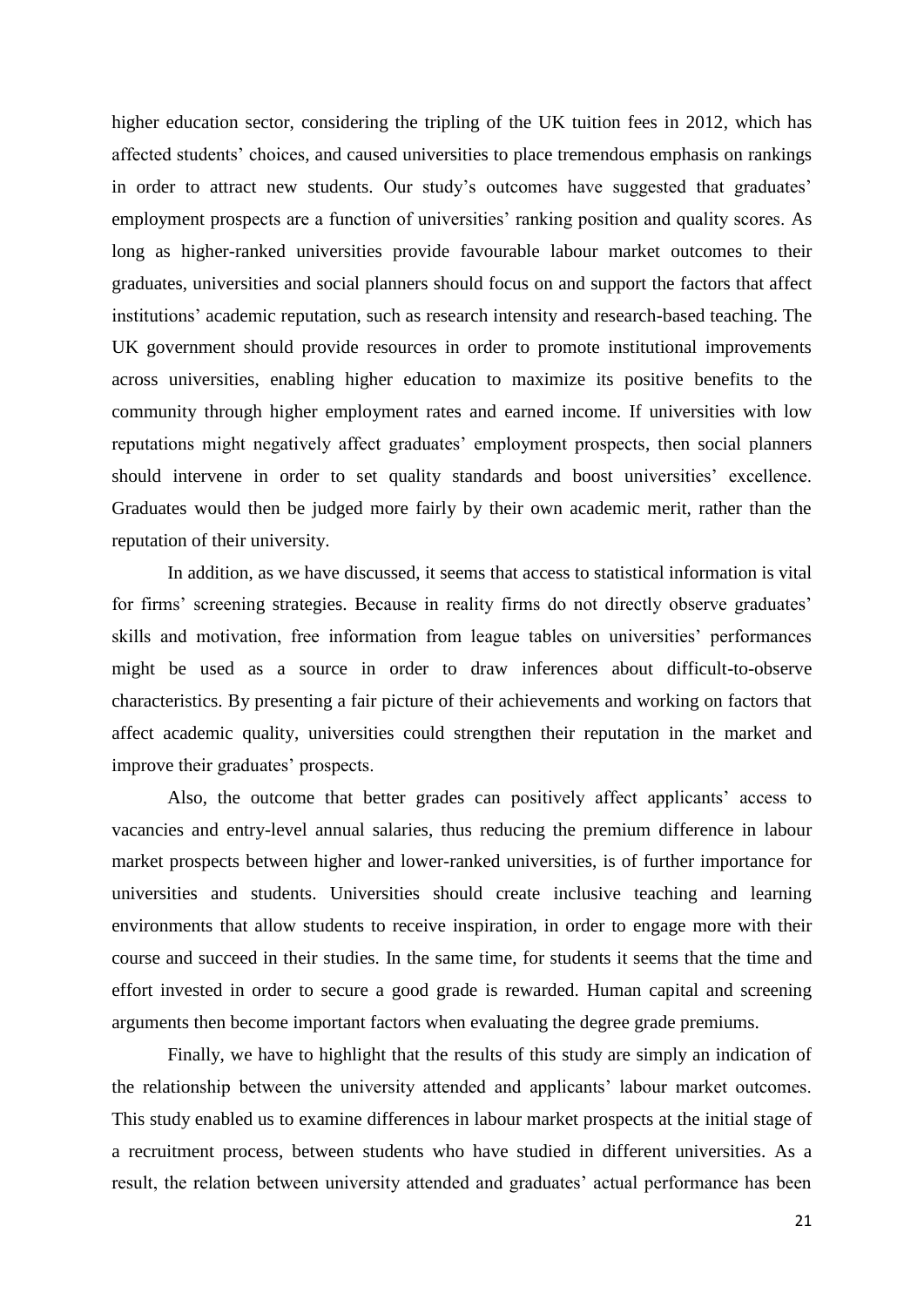higher education sector, considering the tripling of the UK tuition fees in 2012, which has affected students' choices, and caused universities to place tremendous emphasis on rankings in order to attract new students. Our study's outcomes have suggested that graduates' employment prospects are a function of universities' ranking position and quality scores. As long as higher-ranked universities provide favourable labour market outcomes to their graduates, universities and social planners should focus on and support the factors that affect institutions' academic reputation, such as research intensity and research-based teaching. The UK government should provide resources in order to promote institutional improvements across universities, enabling higher education to maximize its positive benefits to the community through higher employment rates and earned income. If universities with low reputations might negatively affect graduates' employment prospects, then social planners should intervene in order to set quality standards and boost universities' excellence. Graduates would then be judged more fairly by their own academic merit, rather than the reputation of their university.

In addition, as we have discussed, it seems that access to statistical information is vital for firms' screening strategies. Because in reality firms do not directly observe graduates' skills and motivation, free information from league tables on universities' performances might be used as a source in order to draw inferences about difficult-to-observe characteristics. By presenting a fair picture of their achievements and working on factors that affect academic quality, universities could strengthen their reputation in the market and improve their graduates' prospects.

Also, the outcome that better grades can positively affect applicants' access to vacancies and entry-level annual salaries, thus reducing the premium difference in labour market prospects between higher and lower-ranked universities, is of further importance for universities and students. Universities should create inclusive teaching and learning environments that allow students to receive inspiration, in order to engage more with their course and succeed in their studies. In the same time, for students it seems that the time and effort invested in order to secure a good grade is rewarded. Human capital and screening arguments then become important factors when evaluating the degree grade premiums.

Finally, we have to highlight that the results of this study are simply an indication of the relationship between the university attended and applicants' labour market outcomes. This study enabled us to examine differences in labour market prospects at the initial stage of a recruitment process, between students who have studied in different universities. As a result, the relation between university attended and graduates' actual performance has been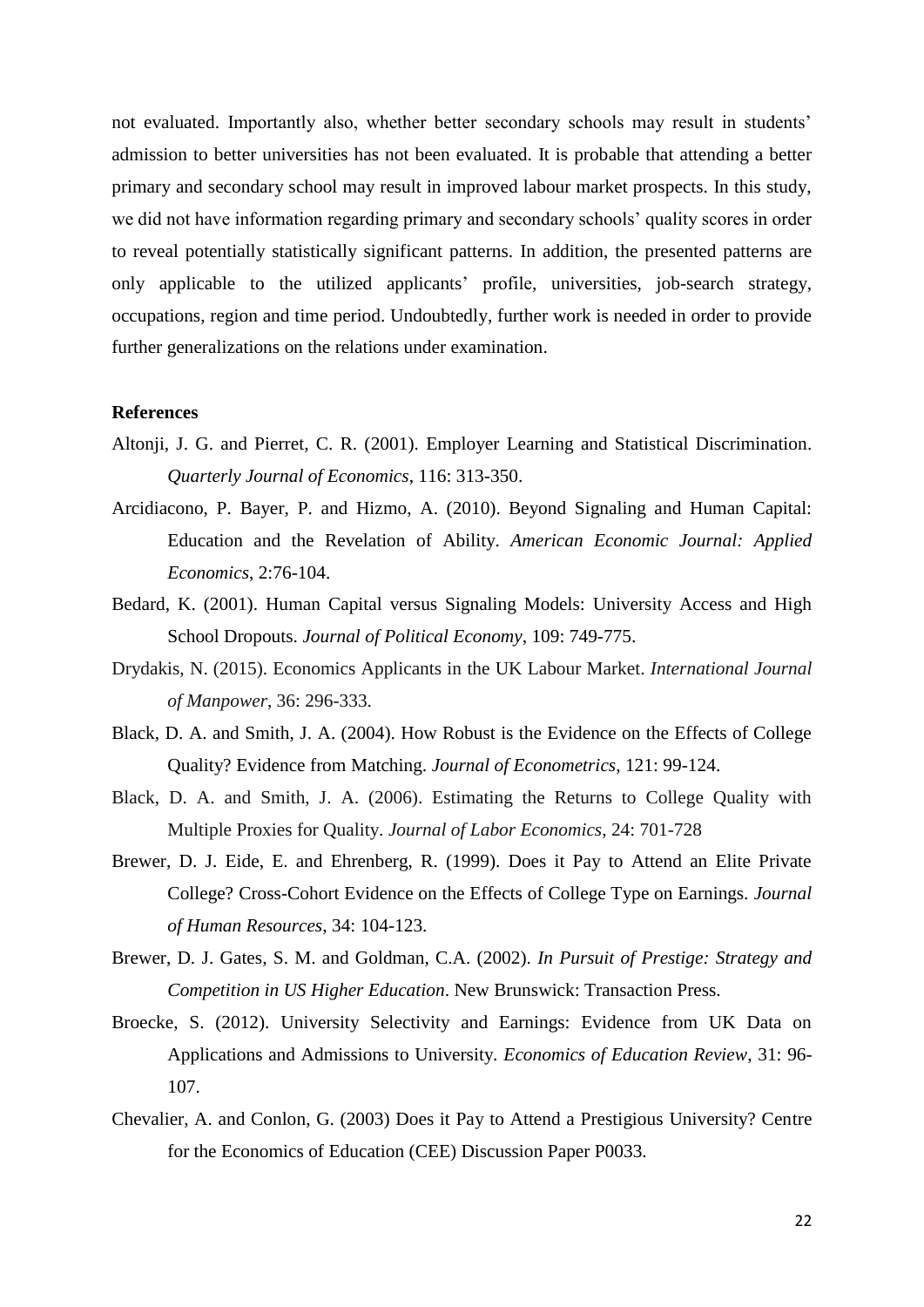not evaluated. Importantly also, whether better secondary schools may result in students' admission to better universities has not been evaluated. It is probable that attending a better primary and secondary school may result in improved labour market prospects. In this study, we did not have information regarding primary and secondary schools' quality scores in order to reveal potentially statistically significant patterns. In addition, the presented patterns are only applicable to the utilized applicants' profile, universities, job-search strategy, occupations, region and time period. Undoubtedly, further work is needed in order to provide further generalizations on the relations under examination.

#### **References**

- Altonji, J. G. and Pierret, C. R. (2001). Employer Learning and Statistical Discrimination. *Quarterly Journal of Economics*, 116: 313-350.
- Arcidiacono, P. Bayer, P. and Hizmo, A. (2010). Beyond Signaling and Human Capital: Education and the Revelation of Ability. *American Economic Journal: Applied Economics*, 2:76-104.
- Bedard, K. (2001). Human Capital versus Signaling Models: University Access and High School Dropouts. *Journal of Political Economy*, 109: 749-775.
- Drydakis, N. (2015). Economics Applicants in the UK Labour Market. *International Journal of Manpower*, 36: 296-333.
- Black, D. A. and Smith, J. A. (2004). How Robust is the Evidence on the Effects of College Quality? Evidence from Matching. *Journal of Econometrics*, 121: 99-124.
- Black, D. A. and Smith, J. A. (2006). Estimating the Returns to College Quality with Multiple Proxies for Quality. *Journal of Labor Economics*, 24: 701-728
- Brewer, D. J. Eide, E. and Ehrenberg, R. (1999). Does it Pay to Attend an Elite Private College? Cross-Cohort Evidence on the Effects of College Type on Earnings. *Journal of Human Resources*, 34: 104-123.
- Brewer, D. J. Gates, S. M. and Goldman, C.A. (2002). *In Pursuit of Prestige: Strategy and Competition in US Higher Education*. New Brunswick: Transaction Press.
- Broecke, S. (2012). University Selectivity and Earnings: Evidence from UK Data on Applications and Admissions to University. *Economics of Education Review*, 31: 96- 107.
- Chevalier, A. and Conlon, G. (2003) Does it Pay to Attend a Prestigious University? Centre for the Economics of Education (CEE) Discussion Paper P0033.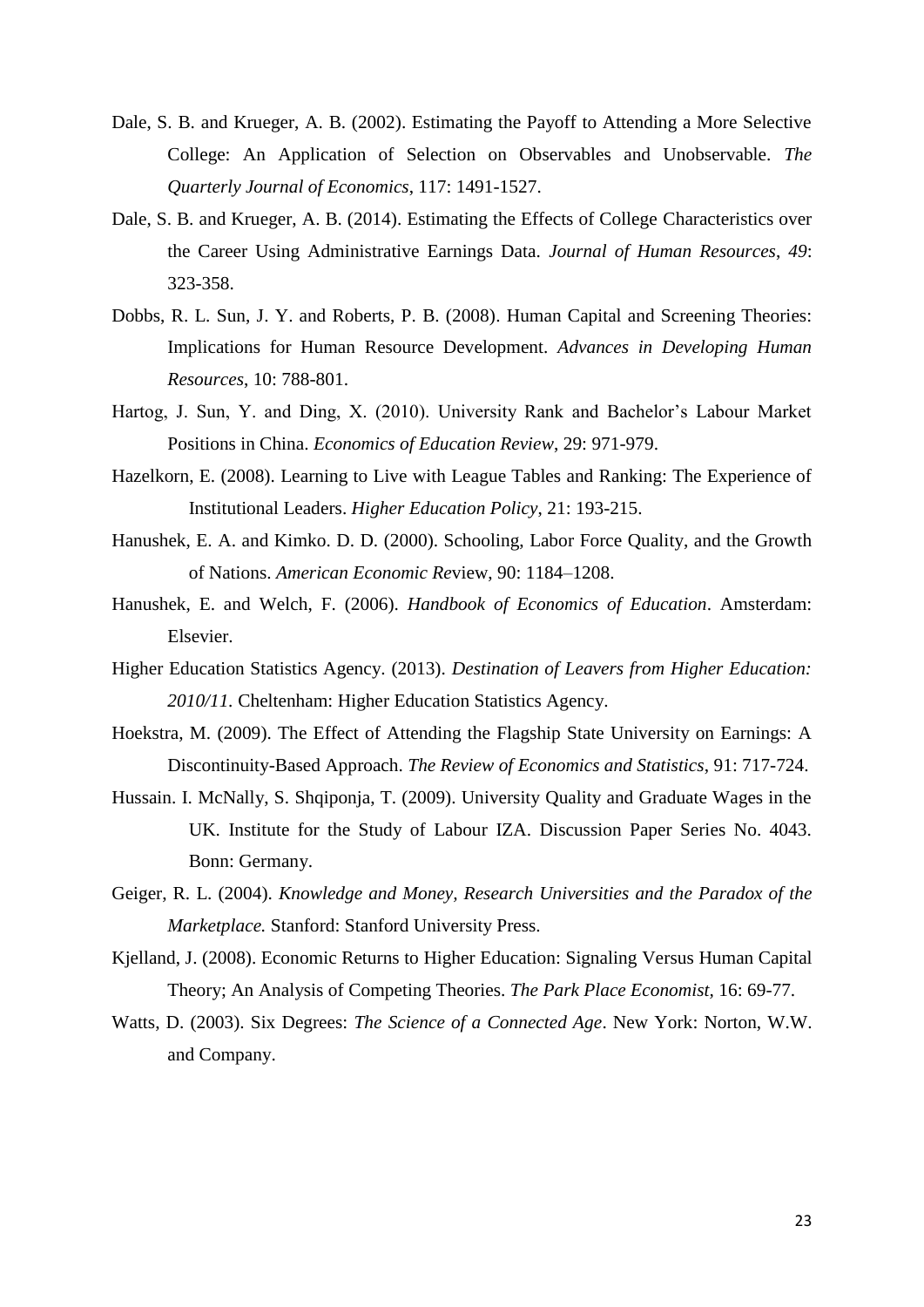- Dale, S. B. and Krueger, A. B. (2002). Estimating the Payoff to Attending a More Selective College: An Application of Selection on Observables and Unobservable. *The Quarterly Journal of Economics*, 117: 1491-1527.
- Dale, S. B. and Krueger, A. B. (2014). Estimating the Effects of College Characteristics over the Career Using Administrative Earnings Data. *Journal of Human Resources*, *49*: 323-358.
- Dobbs, R. L. Sun, J. Y. and Roberts, P. B. (2008). Human Capital and Screening Theories: Implications for Human Resource Development. *Advances in Developing Human Resources*, 10: 788-801.
- Hartog, J. Sun, Y. and Ding, X. (2010). University Rank and Bachelor's Labour Market Positions in China. *Economics of Education Review*, 29: 971-979.
- Hazelkorn, E. (2008). Learning to Live with League Tables and Ranking: The Experience of Institutional Leaders. *Higher Education Policy*, 21: 193-215.
- Hanushek, E. A. and Kimko. D. D. (2000). Schooling, Labor Force Quality, and the Growth of Nations. *American Economic Re*view, 90: 1184–1208.
- Hanushek, E. and Welch, F. (2006). *Handbook of Economics of Education*. Amsterdam: Elsevier.
- Higher Education Statistics Agency. (2013). *Destination of Leavers from Higher Education: 2010/11.* Cheltenham: Higher Education Statistics Agency.
- Hoekstra, M. (2009). The Effect of Attending the Flagship State University on Earnings: A Discontinuity-Based Approach. *The Review of Economics and Statistics*, 91: 717-724.
- Hussain. I. McNally, S. Shqiponja, T. (2009). University Quality and Graduate Wages in the UK. Institute for the Study of Labour IZA. Discussion Paper Series No. 4043. Bonn: Germany.
- Geiger, R. L. (2004). *Knowledge and Money, Research Universities and the Paradox of the Marketplace.* Stanford: Stanford University Press.
- Kjelland, J. (2008). Economic Returns to Higher Education: Signaling Versus Human Capital Theory; An Analysis of Competing Theories. *The Park Place Economist,* 16: 69-77.
- Watts, D. (2003). Six Degrees: *The Science of a Connected Age*. New York: Norton, W.W. and Company.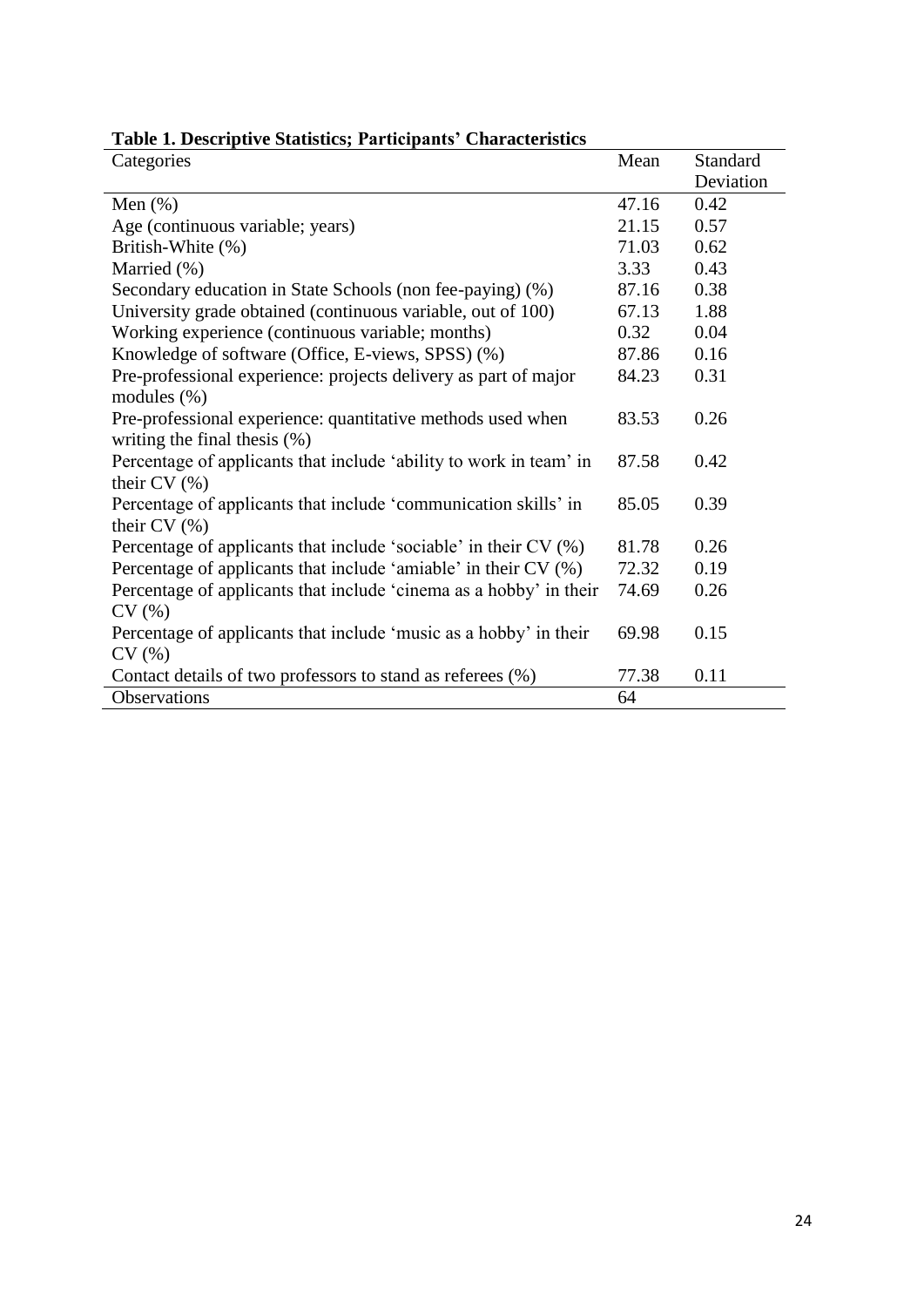| Categories                                                         | Mean  | Standard  |
|--------------------------------------------------------------------|-------|-----------|
|                                                                    |       | Deviation |
| Men $(\%)$                                                         | 47.16 | 0.42      |
| Age (continuous variable; years)                                   | 21.15 | 0.57      |
| British-White (%)                                                  | 71.03 | 0.62      |
| Married (%)                                                        | 3.33  | 0.43      |
| Secondary education in State Schools (non fee-paying) (%)          | 87.16 | 0.38      |
| University grade obtained (continuous variable, out of 100)        | 67.13 | 1.88      |
| Working experience (continuous variable; months)                   | 0.32  | 0.04      |
| Knowledge of software (Office, E-views, SPSS) (%)                  | 87.86 | 0.16      |
| Pre-professional experience: projects delivery as part of major    | 84.23 | 0.31      |
| modules $(\%)$                                                     |       |           |
| Pre-professional experience: quantitative methods used when        | 83.53 | 0.26      |
| writing the final thesis $(\%)$                                    |       |           |
| Percentage of applicants that include 'ability to work in team' in | 87.58 | 0.42      |
| their CV $(\% )$                                                   |       |           |
| Percentage of applicants that include 'communication skills' in    | 85.05 | 0.39      |
| their $CV(%)$                                                      |       |           |
| Percentage of applicants that include 'sociable' in their CV (%)   | 81.78 | 0.26      |
| Percentage of applicants that include 'amiable' in their CV (%)    | 72.32 | 0.19      |
| Percentage of applicants that include 'cinema as a hobby' in their | 74.69 | 0.26      |
| CV(%)                                                              |       |           |
| Percentage of applicants that include 'music as a hobby' in their  | 69.98 | 0.15      |
| CV(%)                                                              |       |           |
| Contact details of two professors to stand as referees (%)         | 77.38 | 0.11      |
| Observations                                                       | 64    |           |

# **Table 1. Descriptive Statistics; Participants' Characteristics**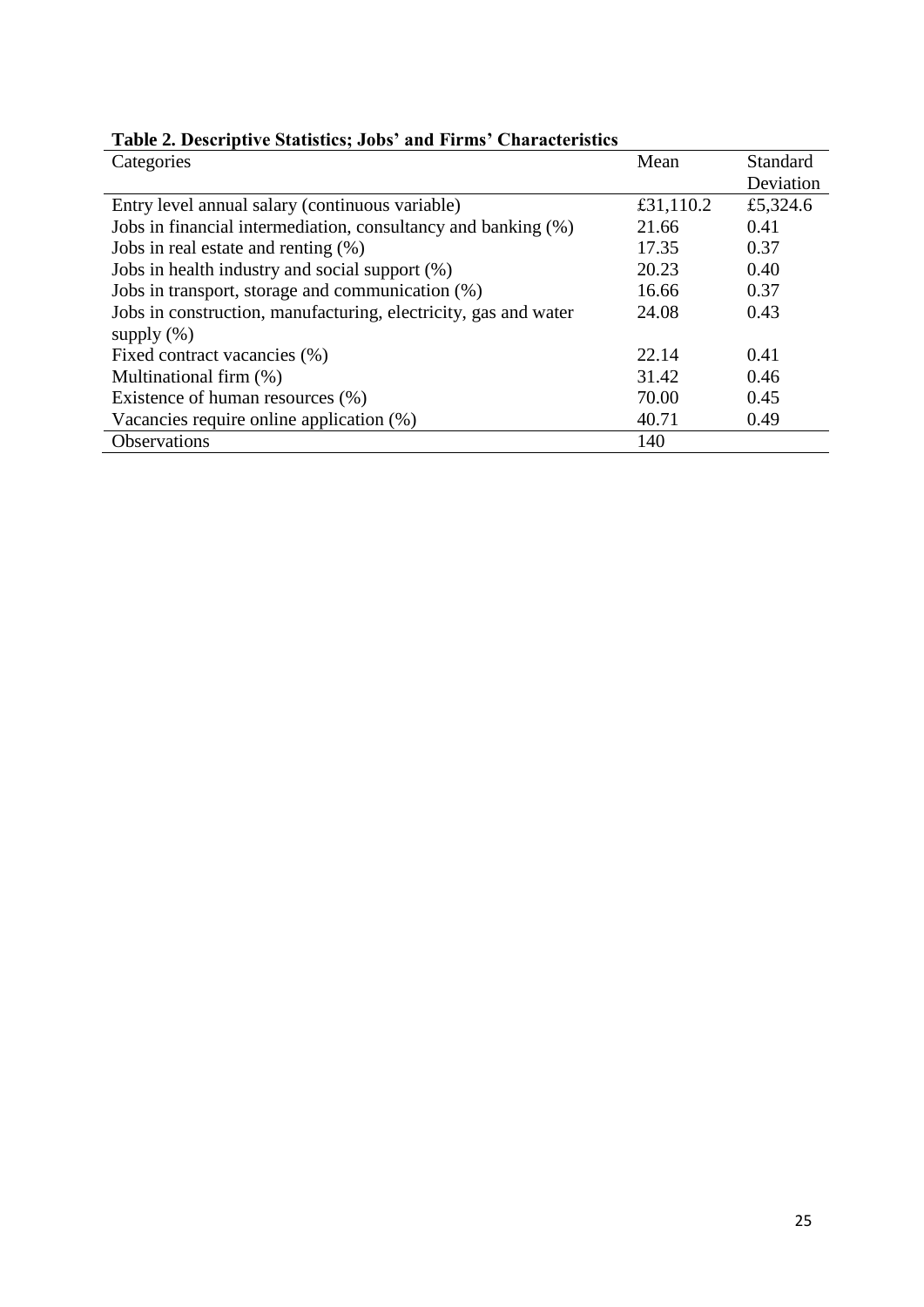| Categories                                                      | Mean      | Standard  |
|-----------------------------------------------------------------|-----------|-----------|
|                                                                 |           | Deviation |
| Entry level annual salary (continuous variable)                 | £31,110.2 | £5,324.6  |
| Jobs in financial intermediation, consultancy and banking (%)   | 21.66     | 0.41      |
| Jobs in real estate and renting (%)                             | 17.35     | 0.37      |
| Jobs in health industry and social support (%)                  | 20.23     | 0.40      |
| Jobs in transport, storage and communication (%)                | 16.66     | 0.37      |
| Jobs in construction, manufacturing, electricity, gas and water | 24.08     | 0.43      |
| supply $(\%)$                                                   |           |           |
| Fixed contract vacancies (%)                                    | 22.14     | 0.41      |
| Multinational firm (%)                                          | 31.42     | 0.46      |
| Existence of human resources (%)                                | 70.00     | 0.45      |
| Vacancies require online application (%)                        | 40.71     | 0.49      |
| Observations                                                    | 140       |           |

# **Table 2. Descriptive Statistics; Jobs' and Firms' Characteristics**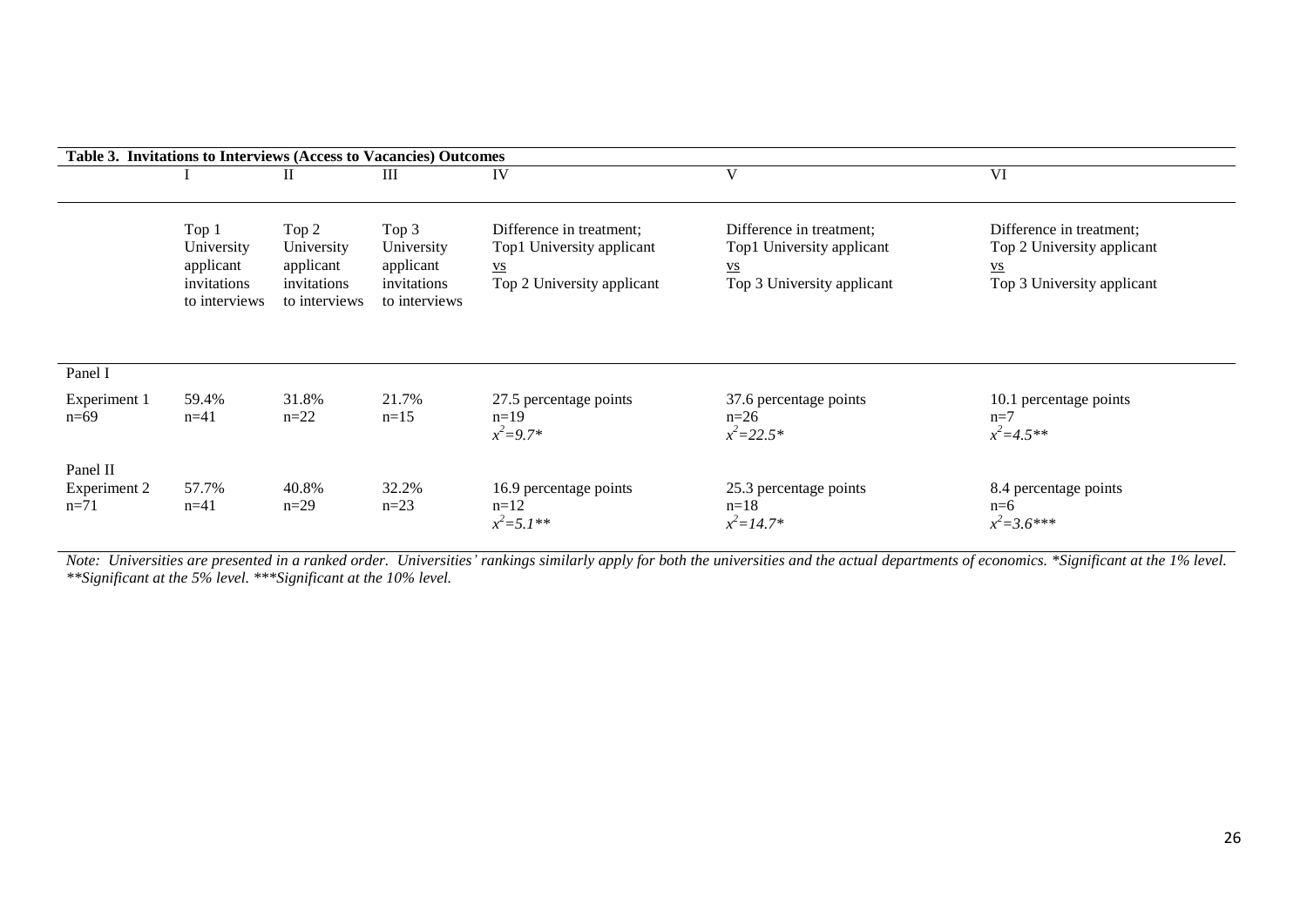| Table 3. Invitations to Interviews (Access to Vacancies) Outcomes |                                                                  |                                                                  |                                                                  |                                                                                                                 |                                                                                                                 |                                                                                                                  |
|-------------------------------------------------------------------|------------------------------------------------------------------|------------------------------------------------------------------|------------------------------------------------------------------|-----------------------------------------------------------------------------------------------------------------|-----------------------------------------------------------------------------------------------------------------|------------------------------------------------------------------------------------------------------------------|
|                                                                   |                                                                  | П                                                                | Ш                                                                | IV                                                                                                              | V                                                                                                               | VI                                                                                                               |
|                                                                   | Top 1<br>University<br>applicant<br>invitations<br>to interviews | Top 2<br>University<br>applicant<br>invitations<br>to interviews | Top 3<br>University<br>applicant<br>invitations<br>to interviews | Difference in treatment:<br>Top1 University applicant<br>$\underline{\mathbf{v}}$<br>Top 2 University applicant | Difference in treatment;<br>Top1 University applicant<br>$\underline{\mathbf{v}}$<br>Top 3 University applicant | Difference in treatment;<br>Top 2 University applicant<br>$\underline{\mathbf{v}}$<br>Top 3 University applicant |
| Panel I                                                           |                                                                  |                                                                  |                                                                  |                                                                                                                 |                                                                                                                 |                                                                                                                  |
| Experiment 1<br>$n=69$                                            | 59.4%<br>$n=41$                                                  | 31.8%<br>$n=22$                                                  | 21.7%<br>$n=15$                                                  | 27.5 percentage points<br>$n=19$<br>$x^2=9.7*$                                                                  | 37.6 percentage points<br>$n=26$<br>$x^2 = 22.5*$                                                               | 10.1 percentage points<br>$n=7$<br>$x^2 = 4.5$ **                                                                |
| Panel II<br>Experiment 2<br>$n=71$                                | 57.7%<br>$n=41$                                                  | 40.8%<br>$n=29$                                                  | 32.2%<br>$n=23$                                                  | 16.9 percentage points<br>$n=12$<br>$x^2 = 5.1$ **                                                              | 25.3 percentage points<br>$n=18$<br>$x^2 = 14.7*$                                                               | 8.4 percentage points<br>$n=6$<br>$x^2 = 3.6$ ***                                                                |

Note: Universities are presented in a ranked order. Universities' rankings similarly apply for both the universities and the actual departments of economics. \*Significant at the 1% level. *\*\*Significant at the 5% level. \*\*\*Significant at the 10% level.*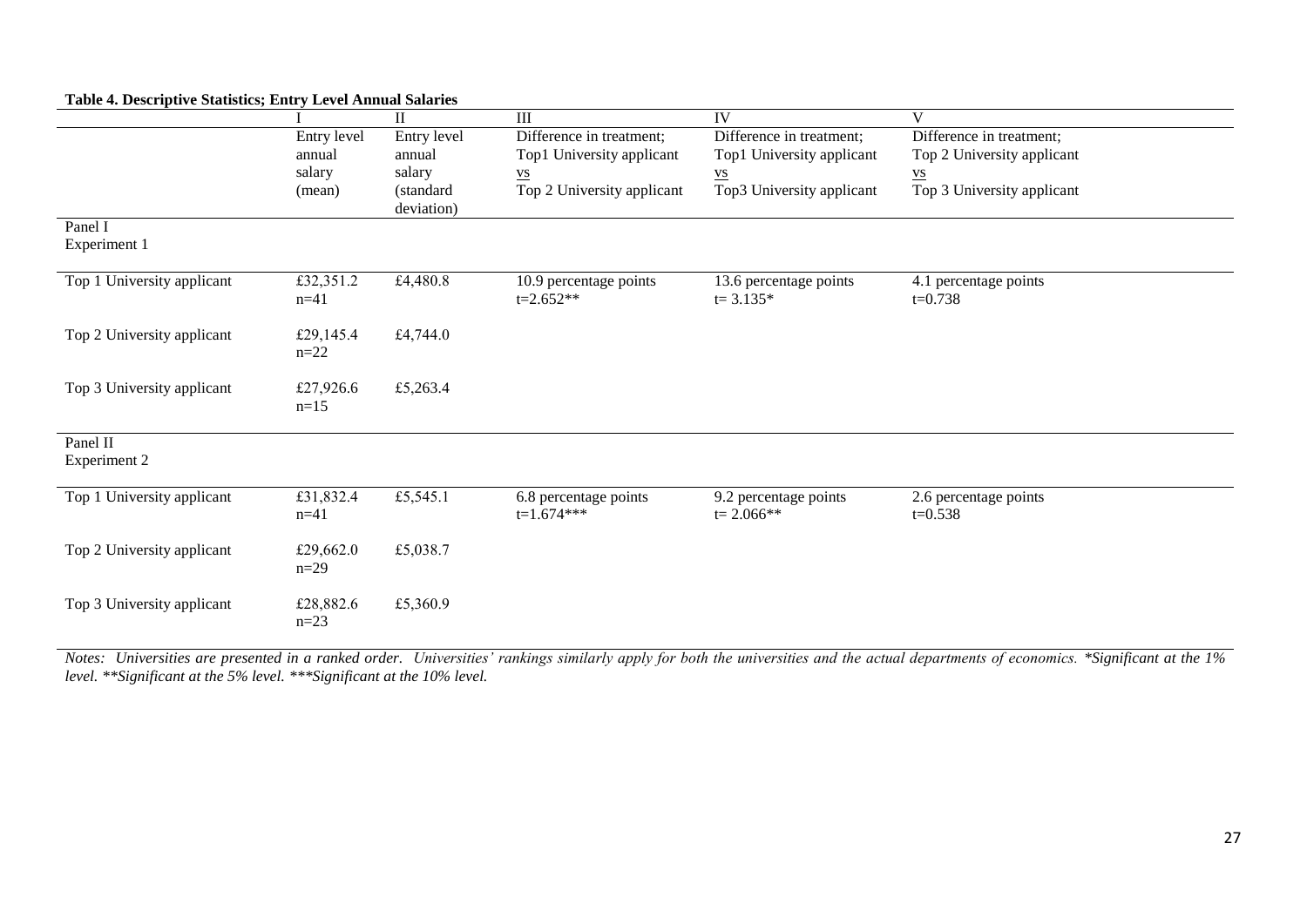| таяк ¬. Descriptive Statistics, Emiry Ecver Anniual Salarics |                       | $\scriptstyle\rm II$    | III                                   | IV                                     | V                                  |
|--------------------------------------------------------------|-----------------------|-------------------------|---------------------------------------|----------------------------------------|------------------------------------|
|                                                              |                       |                         | Difference in treatment;              | Difference in treatment;               | Difference in treatment;           |
|                                                              | Entry level           | Entry level             |                                       |                                        |                                    |
|                                                              | annual                | annual                  | Top1 University applicant             | Top1 University applicant              | Top 2 University applicant         |
|                                                              | salary                | salary                  | $\underline{\mathbf{v}}$              | $\underline{\mathbf{v}}$               | $\underline{\mathbf{v}}$           |
|                                                              | (mean)                | (standard<br>deviation) | Top 2 University applicant            | Top3 University applicant              | Top 3 University applicant         |
| Panel I                                                      |                       |                         |                                       |                                        |                                    |
| Experiment 1                                                 |                       |                         |                                       |                                        |                                    |
| Top 1 University applicant                                   | £32,351.2<br>$n = 41$ | £4,480.8                | 10.9 percentage points<br>$t=2.652**$ | 13.6 percentage points<br>$t = 3.135*$ | 4.1 percentage points<br>$t=0.738$ |
| Top 2 University applicant                                   | £29,145.4<br>$n=22$   | £4,744.0                |                                       |                                        |                                    |
| Top 3 University applicant                                   | £27,926.6<br>$n=15$   | £5,263.4                |                                       |                                        |                                    |
| Panel II<br><b>Experiment 2</b>                              |                       |                         |                                       |                                        |                                    |
|                                                              |                       |                         |                                       |                                        |                                    |
| Top 1 University applicant                                   | £31,832.4<br>$n=41$   | £5,545.1                | 6.8 percentage points<br>$t=1.674***$ | 9.2 percentage points<br>$t = 2.066**$ | 2.6 percentage points<br>$t=0.538$ |
| Top 2 University applicant                                   | £29,662.0<br>$n=29$   | £5,038.7                |                                       |                                        |                                    |
| Top 3 University applicant                                   | £28,882.6<br>$n=23$   | £5,360.9                |                                       |                                        |                                    |

#### **Table 4. Descriptive Statistics; Entry Level Annual Salaries**

*Notes: Universities are presented in a ranked order. Universities' rankings similarly apply for both the universities and the actual departments of economics. \*Significant at the 1% level. \*\*Significant at the 5% level. \*\*\*Significant at the 10% level.*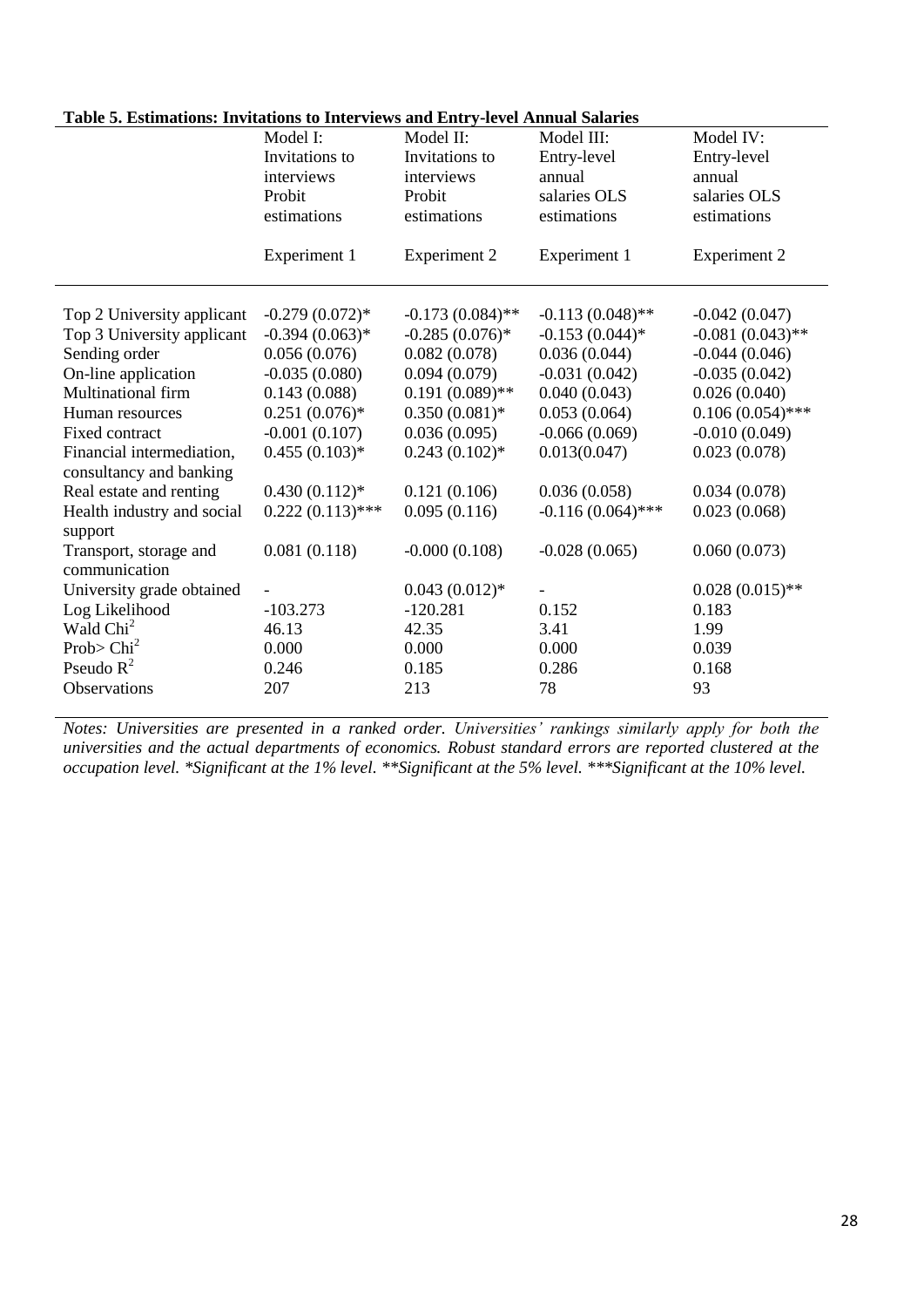| radic 9. Estimations. Invitations to filter views and Entry-iever Annual Salaries |                    |                     |                     |                     |
|-----------------------------------------------------------------------------------|--------------------|---------------------|---------------------|---------------------|
|                                                                                   | Model I:           | Model II:           | Model III:          | Model IV:           |
|                                                                                   | Invitations to     | Invitations to      | Entry-level         | Entry-level         |
|                                                                                   | interviews         | interviews          | annual              | annual              |
|                                                                                   | Probit             | Probit              | salaries OLS        | salaries OLS        |
|                                                                                   | estimations        | estimations         | estimations         | estimations         |
|                                                                                   | Experiment 1       | <b>Experiment 2</b> | Experiment 1        | <b>Experiment 2</b> |
|                                                                                   |                    |                     |                     |                     |
|                                                                                   |                    |                     |                     |                     |
| Top 2 University applicant                                                        | $-0.279(0.072)$ *  | $-0.173(0.084)$ **  | $-0.113(0.048)$ **  | $-0.042(0.047)$     |
| Top 3 University applicant                                                        | $-0.394(0.063)*$   | $-0.285(0.076)$ *   | $-0.153(0.044)$ *   | $-0.081(0.043)$ **  |
| Sending order                                                                     | 0.056(0.076)       | 0.082(0.078)        | 0.036(0.044)        | $-0.044(0.046)$     |
| On-line application                                                               | $-0.035(0.080)$    | 0.094(0.079)        | $-0.031(0.042)$     | $-0.035(0.042)$     |
| Multinational firm                                                                | 0.143(0.088)       | $0.191(0.089)$ **   | 0.040(0.043)        | 0.026(0.040)        |
| Human resources                                                                   | $0.251(0.076)*$    | $0.350(0.081)$ *    | 0.053(0.064)        | $0.106(0.054)$ ***  |
| <b>Fixed contract</b>                                                             | $-0.001(0.107)$    | 0.036(0.095)        | $-0.066(0.069)$     | $-0.010(0.049)$     |
| Financial intermediation,                                                         | $0.455(0.103)*$    | $0.243(0.102)*$     | 0.013(0.047)        | 0.023(0.078)        |
| consultancy and banking                                                           |                    |                     |                     |                     |
| Real estate and renting                                                           | $0.430(0.112)*$    | 0.121(0.106)        | 0.036(0.058)        | 0.034(0.078)        |
| Health industry and social                                                        | $0.222(0.113)$ *** | 0.095(0.116)        | $-0.116(0.064)$ *** | 0.023(0.068)        |
| support                                                                           |                    |                     |                     |                     |
| Transport, storage and                                                            | 0.081(0.118)       | $-0.000(0.108)$     | $-0.028(0.065)$     | 0.060(0.073)        |
| communication                                                                     |                    |                     |                     |                     |
| University grade obtained                                                         |                    | $0.043(0.012)*$     |                     | $0.028(0.015)$ **   |
| Log Likelihood                                                                    | $-103.273$         | $-120.281$          | 0.152               | 0.183               |
| Wald Chi <sup>2</sup>                                                             | 46.13              | 42.35               | 3.41                | 1.99                |
| Prob> $Chi2$                                                                      | 0.000              | 0.000               | 0.000               | 0.039               |
| Pseudo $R^2$                                                                      | 0.246              | 0.185               | 0.286               | 0.168               |
| Observations                                                                      | 207                | 213                 | 78                  | 93                  |
|                                                                                   |                    |                     |                     |                     |

## **Table 5. Estimations: Invitations to Interviews and Entry-level Annual Salaries**

*Notes: Universities are presented in a ranked order. Universities' rankings similarly apply for both the universities and the actual departments of economics. Robust standard errors are reported clustered at the occupation level. \*Significant at the 1% level. \*\*Significant at the 5% level. \*\*\*Significant at the 10% level.*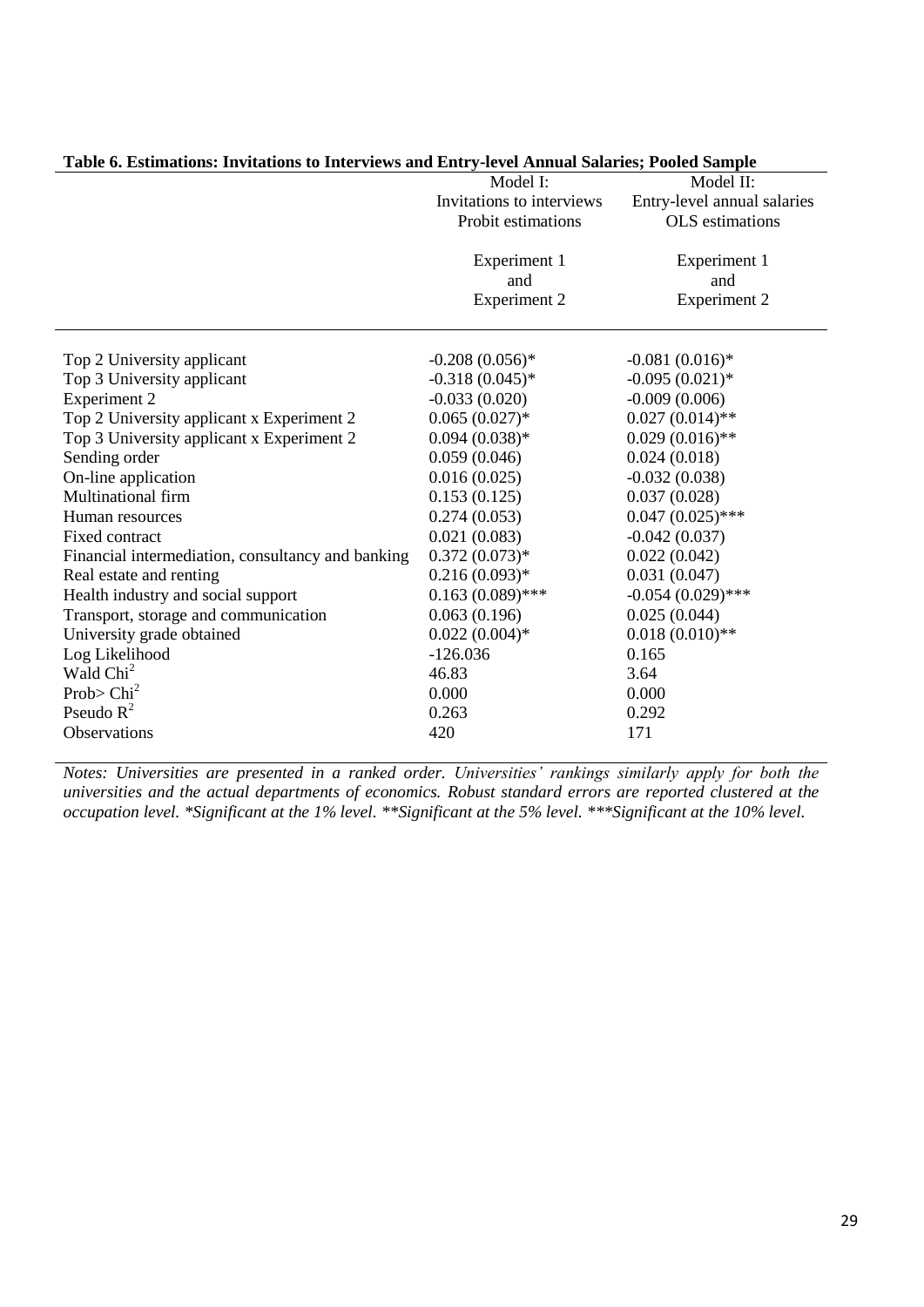| Invitations to interviews<br>Entry-level annual salaries<br>OLS estimations<br>Probit estimations<br>Experiment 1<br>Experiment 1<br>and<br>and<br><b>Experiment 2</b><br><b>Experiment 2</b><br>$-0.208(0.056)*$<br>$-0.081(0.016)*$<br>Top 2 University applicant<br>$-0.318(0.045)*$<br>$-0.095(0.021)$ *<br>Top 3 University applicant<br>$-0.033(0.020)$<br>$-0.009(0.006)$<br><b>Experiment 2</b> |
|---------------------------------------------------------------------------------------------------------------------------------------------------------------------------------------------------------------------------------------------------------------------------------------------------------------------------------------------------------------------------------------------------------|
|                                                                                                                                                                                                                                                                                                                                                                                                         |
|                                                                                                                                                                                                                                                                                                                                                                                                         |
|                                                                                                                                                                                                                                                                                                                                                                                                         |
|                                                                                                                                                                                                                                                                                                                                                                                                         |
|                                                                                                                                                                                                                                                                                                                                                                                                         |
|                                                                                                                                                                                                                                                                                                                                                                                                         |
|                                                                                                                                                                                                                                                                                                                                                                                                         |
|                                                                                                                                                                                                                                                                                                                                                                                                         |
|                                                                                                                                                                                                                                                                                                                                                                                                         |
|                                                                                                                                                                                                                                                                                                                                                                                                         |
|                                                                                                                                                                                                                                                                                                                                                                                                         |
| $0.027(0.014)$ **<br>Top 2 University applicant x Experiment 2<br>$0.065(0.027)$ *                                                                                                                                                                                                                                                                                                                      |
| $0.029(0.016)$ **<br>Top 3 University applicant x Experiment 2<br>$0.094(0.038)*$                                                                                                                                                                                                                                                                                                                       |
| 0.024(0.018)<br>Sending order<br>0.059(0.046)                                                                                                                                                                                                                                                                                                                                                           |
| On-line application<br>0.016(0.025)<br>$-0.032(0.038)$                                                                                                                                                                                                                                                                                                                                                  |
| <b>Multinational firm</b><br>0.153(0.125)<br>0.037(0.028)                                                                                                                                                                                                                                                                                                                                               |
| $0.047(0.025)$ ***<br>0.274(0.053)<br>Human resources                                                                                                                                                                                                                                                                                                                                                   |
| Fixed contract<br>0.021(0.083)<br>$-0.042(0.037)$                                                                                                                                                                                                                                                                                                                                                       |
| $0.372(0.073)*$<br>0.022(0.042)<br>Financial intermediation, consultancy and banking                                                                                                                                                                                                                                                                                                                    |
| $0.216(0.093)*$<br>0.031(0.047)<br>Real estate and renting                                                                                                                                                                                                                                                                                                                                              |
| Health industry and social support<br>$0.163(0.089)$ ***<br>$-0.054(0.029)$ ***                                                                                                                                                                                                                                                                                                                         |
| Transport, storage and communication<br>0.063(0.196)<br>0.025(0.044)                                                                                                                                                                                                                                                                                                                                    |
| University grade obtained<br>$0.022(0.004)$ *<br>$0.018(0.010)$ **                                                                                                                                                                                                                                                                                                                                      |
| Log Likelihood<br>$-126.036$<br>0.165                                                                                                                                                                                                                                                                                                                                                                   |
| Wald Chi <sup>2</sup><br>46.83<br>3.64                                                                                                                                                                                                                                                                                                                                                                  |
| Prob> $Chi2$<br>0.000<br>0.000                                                                                                                                                                                                                                                                                                                                                                          |
| Pseudo $R^2$<br>0.263<br>0.292                                                                                                                                                                                                                                                                                                                                                                          |
| 420<br>Observations<br>171                                                                                                                                                                                                                                                                                                                                                                              |

### **Table 6. Estimations: Invitations to Interviews and Entry-level Annual Salaries; Pooled Sample**

*Notes: Universities are presented in a ranked order. Universities' rankings similarly apply for both the universities and the actual departments of economics. Robust standard errors are reported clustered at the occupation level. \*Significant at the 1% level. \*\*Significant at the 5% level. \*\*\*Significant at the 10% level.*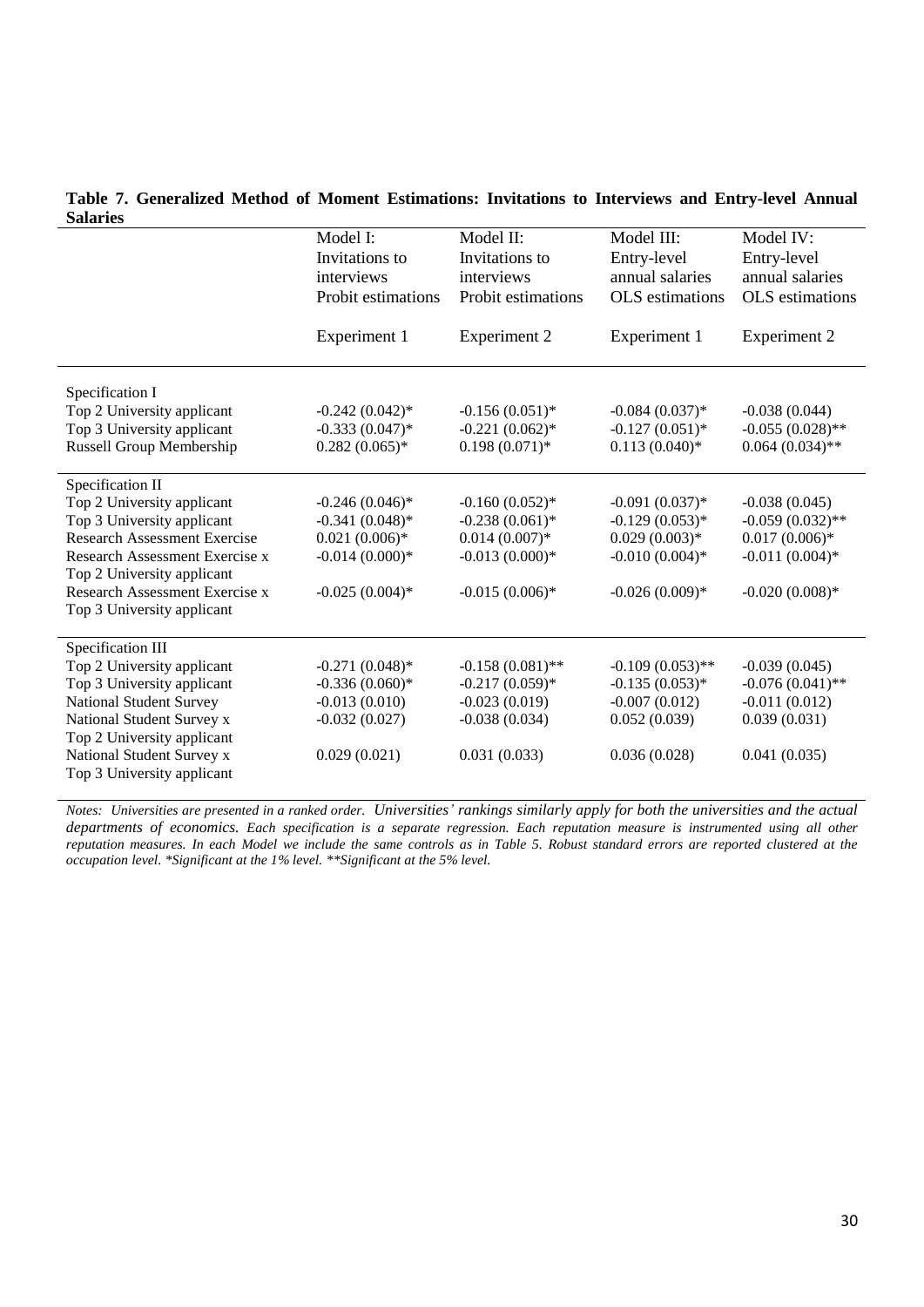#### **Table 7. Generalized Method of Moment Estimations: Invitations to Interviews and Entry-level Annual Salaries**

|                                                              | Model I:<br>Invitations to<br>interviews<br>Probit estimations | Model II:<br>Invitations to<br>interviews<br>Probit estimations | Model III:<br>Entry-level<br>annual salaries<br>OLS estimations | Model IV:<br>Entry-level<br>annual salaries<br>OLS estimations |
|--------------------------------------------------------------|----------------------------------------------------------------|-----------------------------------------------------------------|-----------------------------------------------------------------|----------------------------------------------------------------|
|                                                              | Experiment 1                                                   | <b>Experiment 2</b>                                             | Experiment 1                                                    | <b>Experiment 2</b>                                            |
| Specification I                                              |                                                                |                                                                 |                                                                 |                                                                |
| Top 2 University applicant                                   | $-0.242(0.042)$ *                                              | $-0.156(0.051)$ *                                               | $-0.084(0.037)*$                                                | $-0.038(0.044)$                                                |
| Top 3 University applicant                                   | $-0.333(0.047)$ *                                              | $-0.221(0.062)$ *                                               | $-0.127(0.051)$ *                                               | $-0.055(0.028)$ **                                             |
| Russell Group Membership                                     | $0.282(0.065)*$                                                | $0.198(0.071)*$                                                 | $0.113(0.040)*$                                                 | $0.064(0.034)$ **                                              |
| Specification II                                             |                                                                |                                                                 |                                                                 |                                                                |
| Top 2 University applicant                                   | $-0.246(0.046)*$                                               | $-0.160(0.052)$ *                                               | $-0.091(0.037)$ *                                               | $-0.038(0.045)$                                                |
| Top 3 University applicant                                   | $-0.341(0.048)$ *                                              | $-0.238(0.061)$ *                                               | $-0.129(0.053)*$                                                | $-0.059(0.032)$ **                                             |
| <b>Research Assessment Exercise</b>                          | $0.021(0.006)*$                                                | $0.014(0.007)*$                                                 | $0.029(0.003)*$                                                 | $0.017(0.006)*$                                                |
| Research Assessment Exercise x<br>Top 2 University applicant | $-0.014(0.000)*$                                               | $-0.013(0.000)*$                                                | $-0.010(0.004)$ *                                               | $-0.011(0.004)$ *                                              |
| Research Assessment Exercise x<br>Top 3 University applicant | $-0.025(0.004)$ *                                              | $-0.015(0.006)$ *                                               | $-0.026(0.009)*$                                                | $-0.020(0.008)*$                                               |
|                                                              |                                                                |                                                                 |                                                                 |                                                                |
| Specification III                                            |                                                                |                                                                 |                                                                 |                                                                |
| Top 2 University applicant                                   | $-0.271(0.048)$ *                                              | $-0.158(0.081)$ **                                              | $-0.109(0.053)$ **                                              | $-0.039(0.045)$                                                |
| Top 3 University applicant                                   | $-0.336(0.060)*$                                               | $-0.217(0.059)*$                                                | $-0.135(0.053)*$                                                | $-0.076(0.041)$ **                                             |
| National Student Survey                                      | $-0.013(0.010)$                                                | $-0.023(0.019)$                                                 | $-0.007(0.012)$                                                 | $-0.011(0.012)$                                                |
| National Student Survey x<br>Top 2 University applicant      | $-0.032(0.027)$                                                | $-0.038(0.034)$                                                 | 0.052(0.039)                                                    | 0.039(0.031)                                                   |
| National Student Survey x<br>Top 3 University applicant      | 0.029(0.021)                                                   | 0.031(0.033)                                                    | 0.036(0.028)                                                    | 0.041(0.035)                                                   |

*Notes: Universities are presented in a ranked order. Universities' rankings similarly apply for both the universities and the actual departments of economics. Each specification is a separate regression. Each reputation measure is instrumented using all other reputation measures. In each Model we include the same controls as in Table 5. Robust standard errors are reported clustered at the occupation level. \*Significant at the 1% level. \*\*Significant at the 5% level.*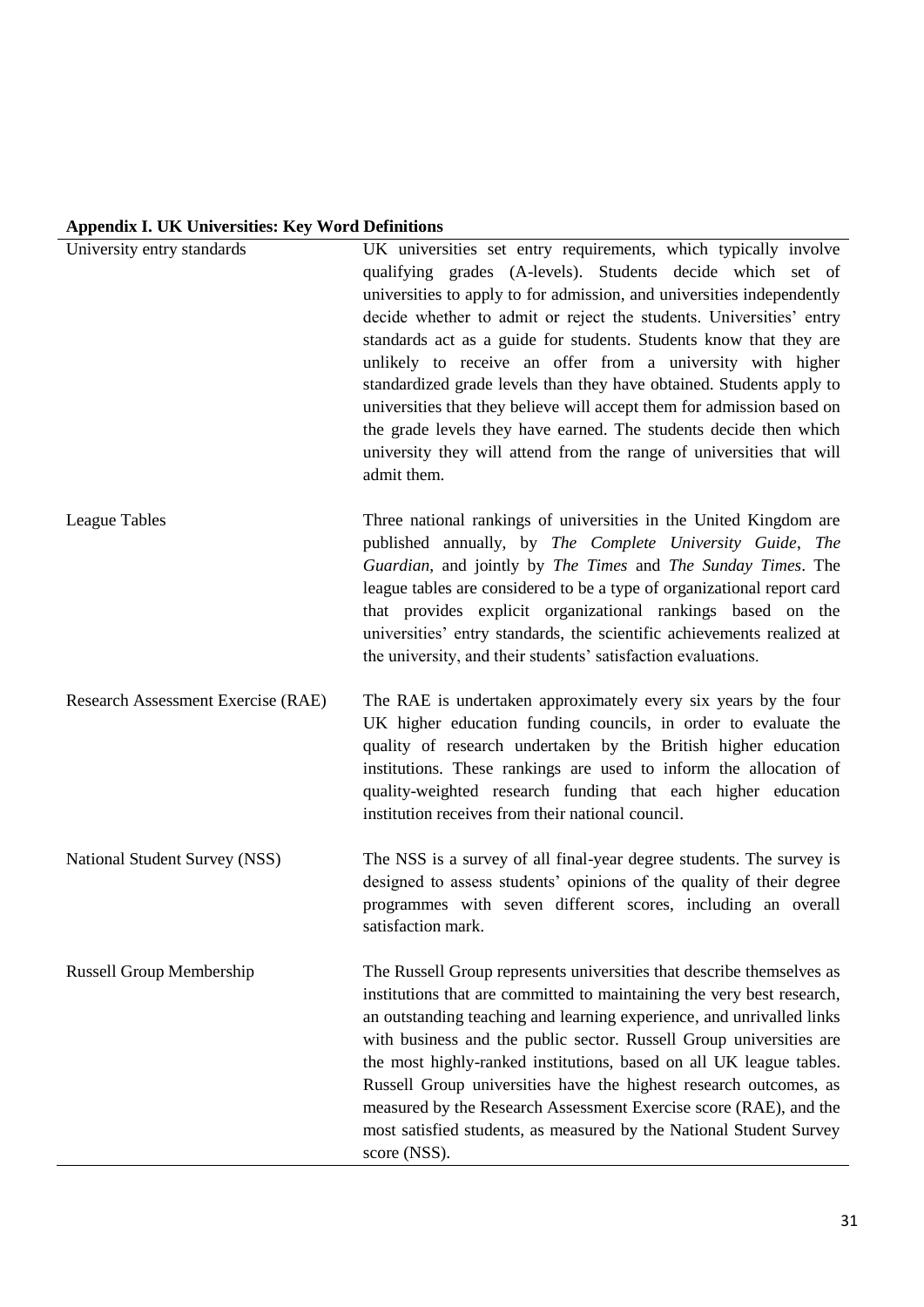# **Appendix I. UK Universities: Key Word Definitions**

| University entry standards         | UK universities set entry requirements, which typically involve<br>qualifying grades (A-levels). Students decide which set of<br>universities to apply to for admission, and universities independently<br>decide whether to admit or reject the students. Universities' entry<br>standards act as a guide for students. Students know that they are<br>unlikely to receive an offer from a university with higher<br>standardized grade levels than they have obtained. Students apply to<br>universities that they believe will accept them for admission based on<br>the grade levels they have earned. The students decide then which<br>university they will attend from the range of universities that will<br>admit them. |
|------------------------------------|----------------------------------------------------------------------------------------------------------------------------------------------------------------------------------------------------------------------------------------------------------------------------------------------------------------------------------------------------------------------------------------------------------------------------------------------------------------------------------------------------------------------------------------------------------------------------------------------------------------------------------------------------------------------------------------------------------------------------------|
| League Tables                      | Three national rankings of universities in the United Kingdom are<br>published annually, by The Complete University Guide, The<br>Guardian, and jointly by The Times and The Sunday Times. The<br>league tables are considered to be a type of organizational report card<br>that provides explicit organizational rankings based on the<br>universities' entry standards, the scientific achievements realized at<br>the university, and their students' satisfaction evaluations.                                                                                                                                                                                                                                              |
| Research Assessment Exercise (RAE) | The RAE is undertaken approximately every six years by the four<br>UK higher education funding councils, in order to evaluate the<br>quality of research undertaken by the British higher education<br>institutions. These rankings are used to inform the allocation of<br>quality-weighted research funding that each higher education<br>institution receives from their national council.                                                                                                                                                                                                                                                                                                                                    |
| National Student Survey (NSS)      | The NSS is a survey of all final-year degree students. The survey is<br>designed to assess students' opinions of the quality of their degree<br>programmes with seven different scores, including an overall<br>satisfaction mark.                                                                                                                                                                                                                                                                                                                                                                                                                                                                                               |
| <b>Russell Group Membership</b>    | The Russell Group represents universities that describe themselves as<br>institutions that are committed to maintaining the very best research,<br>an outstanding teaching and learning experience, and unrivalled links<br>with business and the public sector. Russell Group universities are<br>the most highly-ranked institutions, based on all UK league tables.<br>Russell Group universities have the highest research outcomes, as<br>measured by the Research Assessment Exercise score (RAE), and the<br>most satisfied students, as measured by the National Student Survey<br>score (NSS).                                                                                                                          |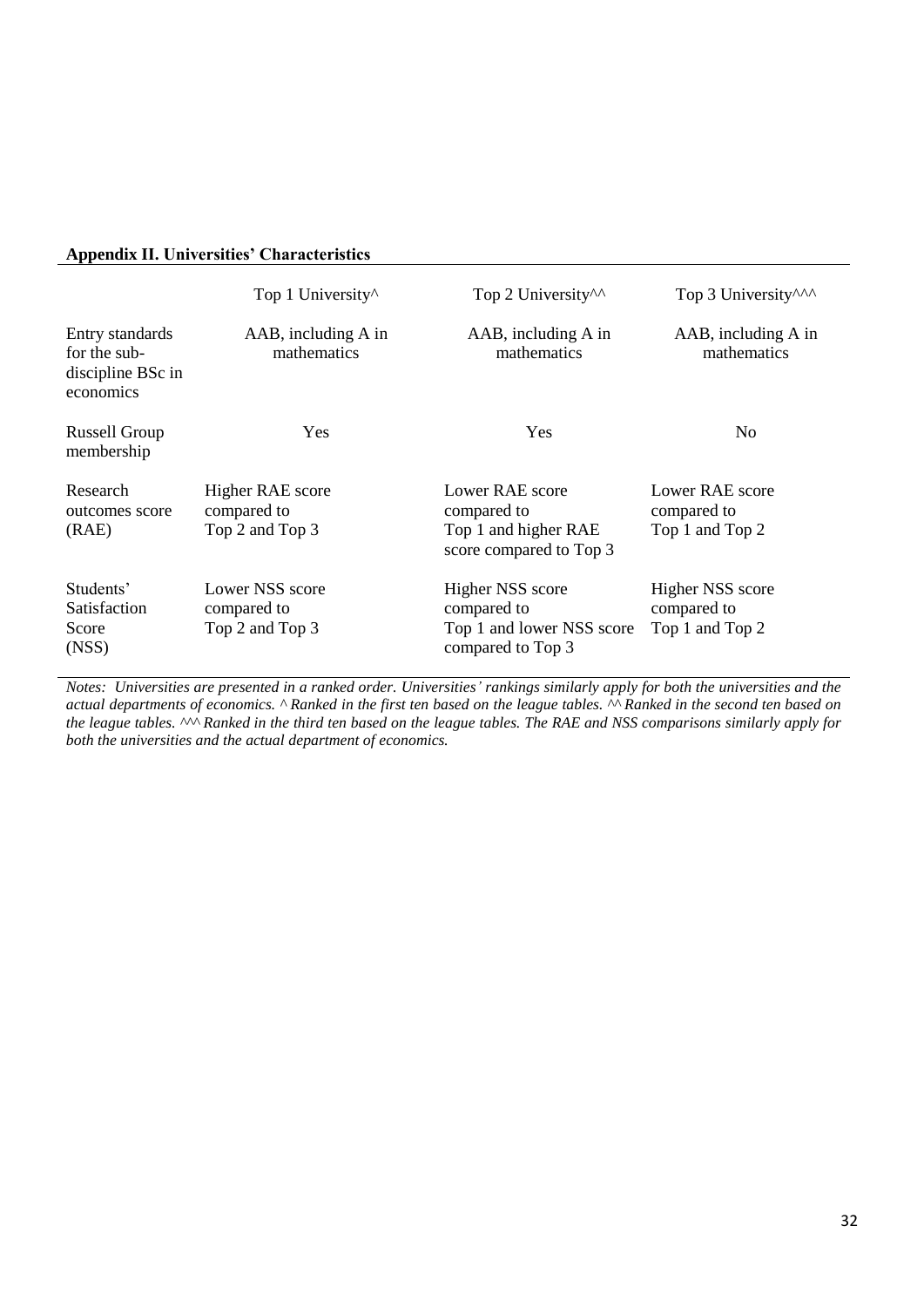### **Appendix II. Universities' Characteristics**

|                                                                   | Top 1 University <sup>^</sup>                      | Top 2 University <sup><math>\wedge</math></sup>                                   | Top 3 University <sup><math>\wedge\wedge\wedge</math></sup> |
|-------------------------------------------------------------------|----------------------------------------------------|-----------------------------------------------------------------------------------|-------------------------------------------------------------|
| Entry standards<br>for the sub-<br>discipline BSc in<br>economics | AAB, including A in<br>mathematics                 | AAB, including A in<br>mathematics                                                | AAB, including A in<br>mathematics                          |
| Russell Group<br>membership                                       | <b>Yes</b>                                         | <b>Yes</b>                                                                        | N <sub>0</sub>                                              |
| Research<br>outcomes score<br>(RAE)                               | Higher RAE score<br>compared to<br>Top 2 and Top 3 | Lower RAE score<br>compared to<br>Top 1 and higher RAE<br>score compared to Top 3 | Lower RAE score<br>compared to<br>Top 1 and Top 2           |
| Students'<br>Satisfaction<br>Score<br>(NS)                        | Lower NSS score<br>compared to<br>Top 2 and Top 3  | Higher NSS score<br>compared to<br>Top 1 and lower NSS score<br>compared to Top 3 | Higher NSS score<br>compared to<br>Top 1 and Top 2          |

*Notes: Universities are presented in a ranked order. Universities' rankings similarly apply for both the universities and the actual departments of economics. ^ Ranked in the first ten based on the league tables. ^^ Ranked in the second ten based on the league tables. ^^^ Ranked in the third ten based on the league tables. The RAE and NSS comparisons similarly apply for both the universities and the actual department of economics.*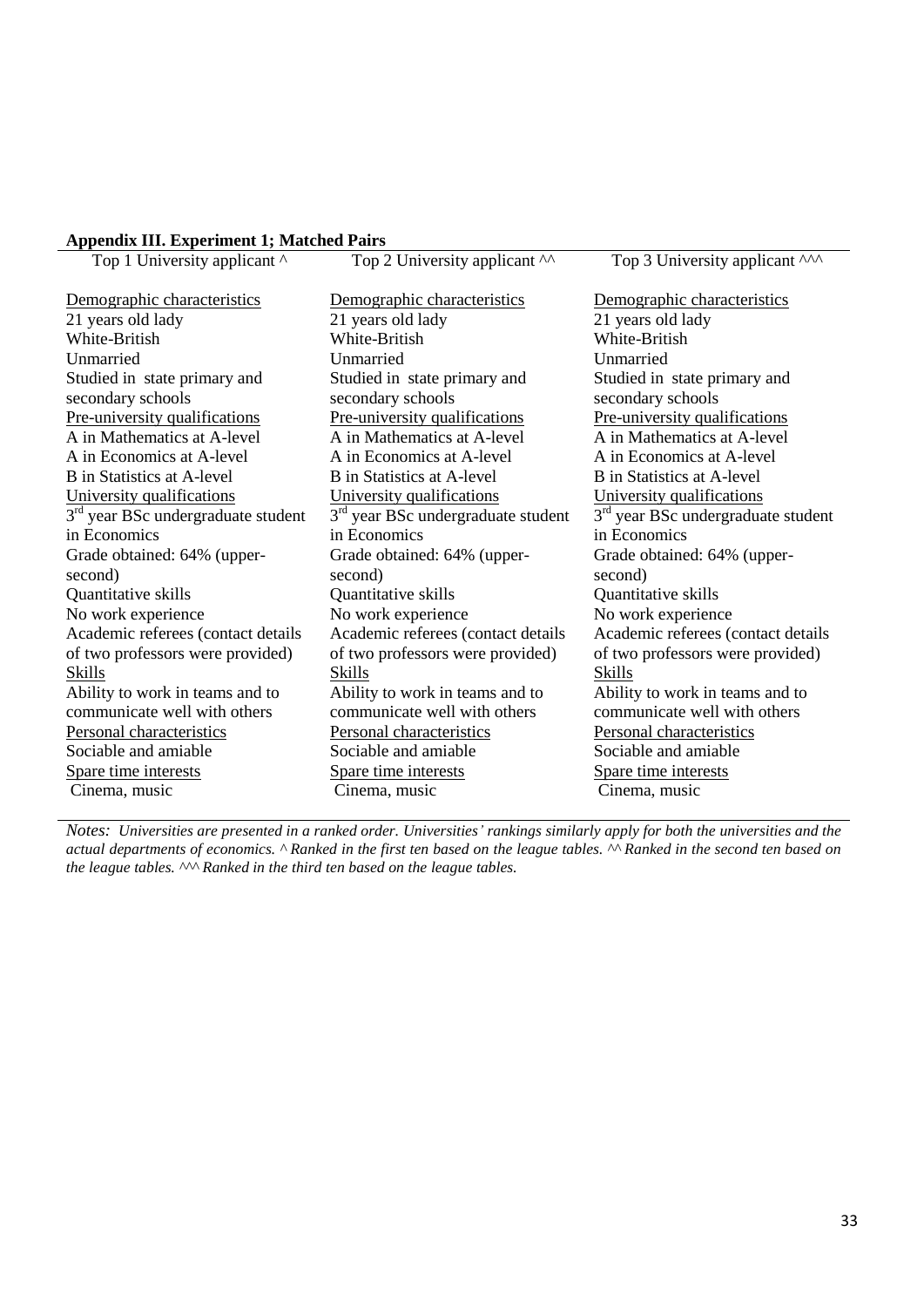#### **Appendix III. Experiment 1; Matched Pairs**

| Top 1 University applicant ^                   | Top 2 University applicant ^^                  | Top 3 University applicant ^^^       |
|------------------------------------------------|------------------------------------------------|--------------------------------------|
| Demographic characteristics                    | Demographic characteristics                    | Demographic characteristics          |
| 21 years old lady                              | 21 years old lady                              | 21 years old lady                    |
| White-British                                  | White-British                                  | White-British                        |
| Unmarried                                      | Unmarried                                      | Unmarried                            |
| Studied in state primary and                   | Studied in state primary and                   | Studied in state primary and         |
| secondary schools                              | secondary schools                              | secondary schools                    |
| Pre-university qualifications                  | Pre-university qualifications                  | Pre-university qualifications        |
| A in Mathematics at A-level                    | A in Mathematics at A-level                    | A in Mathematics at A-level          |
| A in Economics at A-level                      | A in Economics at A-level                      | A in Economics at A-level            |
| B in Statistics at A-level                     | B in Statistics at A-level                     | B in Statistics at A-level           |
| University qualifications                      | University qualifications                      | University qualifications            |
| 3 <sup>rd</sup> year BSc undergraduate student | 3 <sup>rd</sup> year BSc undergraduate student | $3rd$ year BSc undergraduate student |
| in Economics                                   | in Economics                                   | in Economics                         |
| Grade obtained: 64% (upper-                    | Grade obtained: 64% (upper-                    | Grade obtained: 64% (upper-          |
| second)                                        | second)                                        | second)                              |
| Quantitative skills                            | Quantitative skills                            | Quantitative skills                  |
| No work experience                             | No work experience                             | No work experience                   |
| Academic referees (contact details             | Academic referees (contact details             | Academic referees (contact details   |
| of two professors were provided)               | of two professors were provided)               | of two professors were provided)     |
| <b>Skills</b>                                  | Skills                                         | Skills                               |
| Ability to work in teams and to                | Ability to work in teams and to                | Ability to work in teams and to      |
| communicate well with others                   | communicate well with others                   | communicate well with others         |
| Personal characteristics                       | Personal characteristics                       | Personal characteristics             |
| Sociable and amiable                           | Sociable and amiable                           | Sociable and amiable                 |
| Spare time interests                           | Spare time interests                           | Spare time interests                 |
| Cinema, music                                  | Cinema, music                                  | Cinema, music                        |

*Notes: Universities are presented in a ranked order. Universities' rankings similarly apply for both the universities and the actual departments of economics. ^ Ranked in the first ten based on the league tables. ^^ Ranked in the second ten based on the league tables. ^^^ Ranked in the third ten based on the league tables.*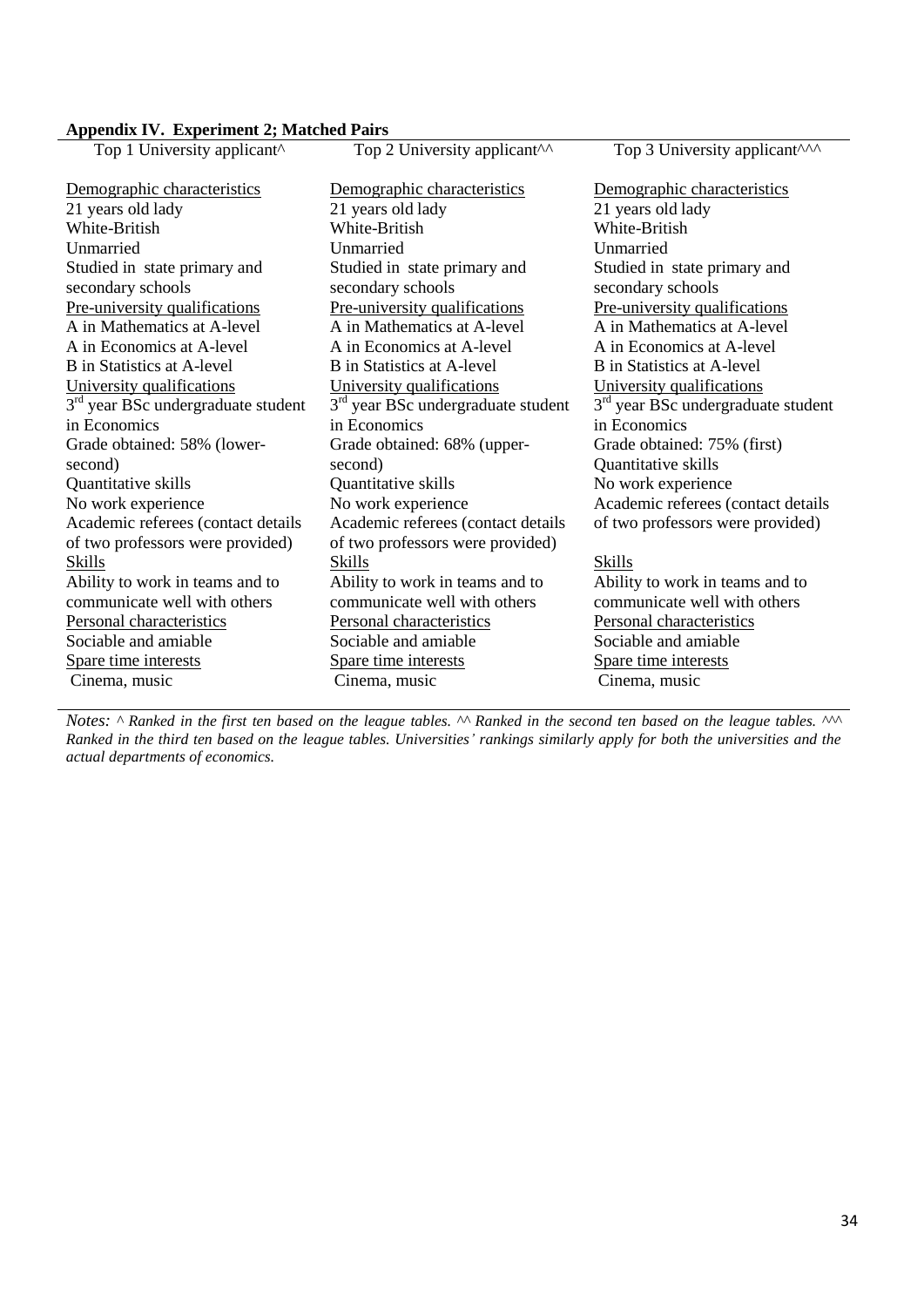#### **Appendix IV. Experiment 2; Matched Pairs**

| Top 1 University applicant <sup>^</sup>        | Top 2 University applicant <sup>^^</sup>       | Top 3 University applicant <sup>^^^</sup> |
|------------------------------------------------|------------------------------------------------|-------------------------------------------|
| Demographic characteristics                    | Demographic characteristics                    | Demographic characteristics               |
| 21 years old lady                              | 21 years old lady                              | 21 years old lady                         |
| White-British                                  | White-British                                  | White-British                             |
| Unmarried                                      | Unmarried                                      | Unmarried                                 |
| Studied in state primary and                   | Studied in state primary and                   | Studied in state primary and              |
| secondary schools                              | secondary schools                              | secondary schools                         |
| Pre-university qualifications                  | Pre-university qualifications                  | Pre-university qualifications             |
| A in Mathematics at A-level                    | A in Mathematics at A-level                    | A in Mathematics at A-level               |
| A in Economics at A-level                      | A in Economics at A-level                      | A in Economics at A-level                 |
| <b>B</b> in Statistics at A-level              | <b>B</b> in Statistics at A-level              | <b>B</b> in Statistics at A-level         |
| University qualifications                      | University qualifications                      | University qualifications                 |
| 3 <sup>rd</sup> year BSc undergraduate student | 3 <sup>rd</sup> year BSc undergraduate student | $3rd$ year BSc undergraduate student      |
| in Economics                                   | in Economics                                   | in Economics                              |
| Grade obtained: 58% (lower-                    | Grade obtained: 68% (upper-                    | Grade obtained: 75% (first)               |
| second)                                        | second)                                        | Quantitative skills                       |
| Quantitative skills                            | Quantitative skills                            | No work experience                        |
| No work experience                             | No work experience                             | Academic referees (contact details        |
| Academic referees (contact details             | Academic referees (contact details             | of two professors were provided)          |
| of two professors were provided)               | of two professors were provided)               |                                           |
| <b>Skills</b>                                  | <b>Skills</b>                                  | <b>Skills</b>                             |
| Ability to work in teams and to                | Ability to work in teams and to                | Ability to work in teams and to           |
| communicate well with others                   | communicate well with others                   | communicate well with others              |
| Personal characteristics                       | Personal characteristics                       | Personal characteristics                  |
| Sociable and amiable                           | Sociable and amiable                           | Sociable and amiable                      |
| Spare time interests                           | Spare time interests                           | Spare time interests                      |
| Cinema, music                                  | Cinema, music                                  | Cinema, music                             |

*Notes: ^ Ranked in the first ten based on the league tables. ^^ Ranked in the second ten based on the league tables. ^^^ Ranked in the third ten based on the league tables. Universities' rankings similarly apply for both the universities and the actual departments of economics.*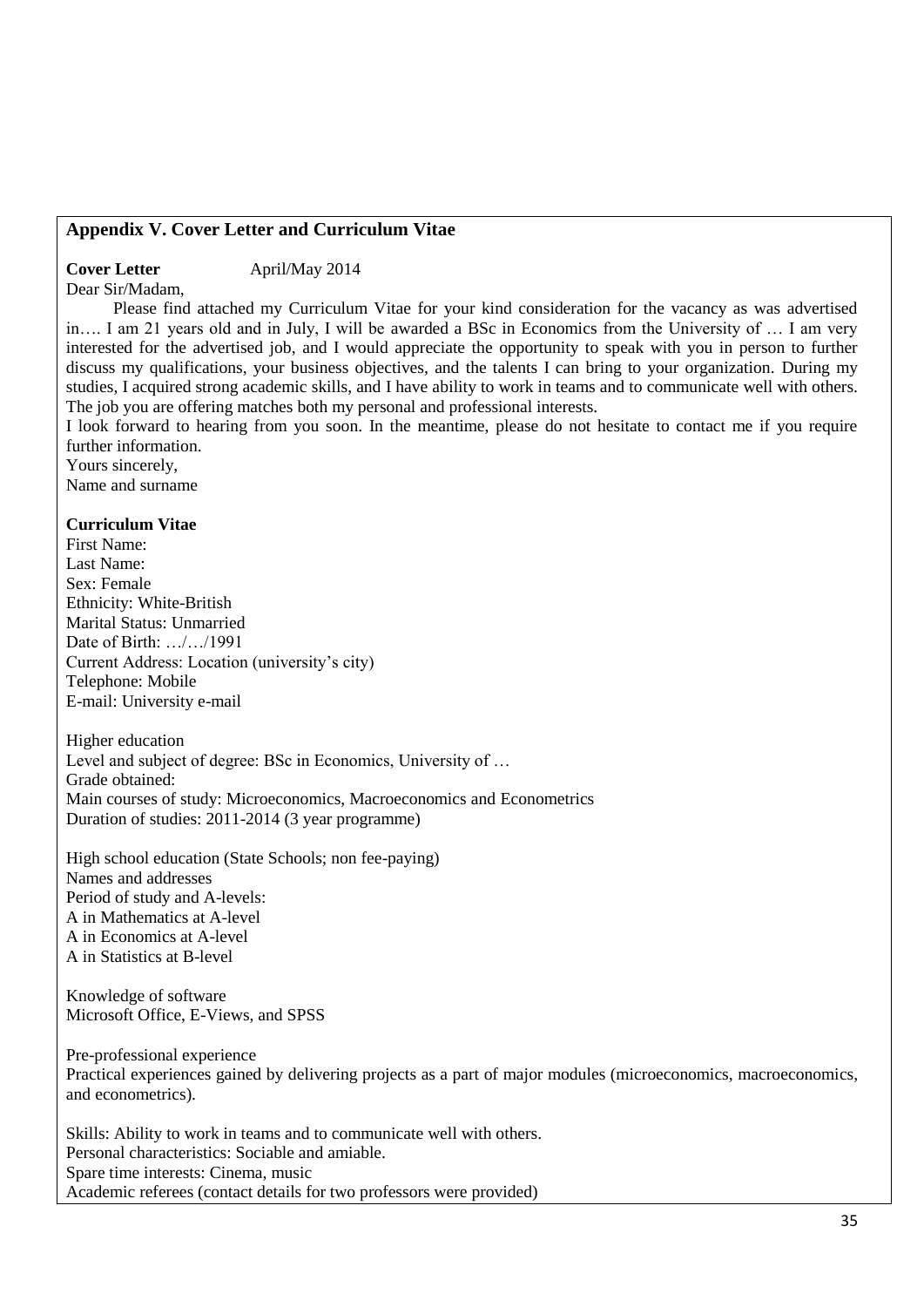#### **Appendix V. Cover Letter and Curriculum Vitae**

#### **Cover Letter** April/May 2014

#### Dear Sir/Madam,

 Please find attached my Curriculum Vitae for your kind consideration for the vacancy as was advertised in…. I am 21 years old and in July, I will be awarded a BSc in Economics from the University of … I am very interested for the advertised job, and I would appreciate the opportunity to speak with you in person to further discuss my qualifications, your business objectives, and the talents I can bring to your organization. During my studies, I acquired strong academic skills, and I have ability to work in teams and to communicate well with others. The job you are offering matches both my personal and professional interests.

I look forward to hearing from you soon. In the meantime, please do not hesitate to contact me if you require further information.

Yours sincerely, Name and surname

#### **Curriculum Vitae**

First Name: Last Name: Sex: Female Ethnicity: White-British Marital Status: Unmarried Date of Birth: …/…/1991 Current Address: Location (university's city) Telephone: Mobile E-mail: University e-mail

Higher education Level and subject of degree: BSc in Economics, University of … Grade obtained: Main courses of study: Microeconomics, Macroeconomics and Econometrics Duration of studies: 2011-2014 (3 year programme)

High school education (State Schools; non fee-paying) Names and addresses Period of study and A-levels: A in Mathematics at A-level A in Economics at A-level A in Statistics at B-level

Knowledge of software Microsoft Office, E-Views, and SPSS

Pre-professional experience Practical experiences gained by delivering projects as a part of major modules (microeconomics, macroeconomics, and econometrics).

Skills: Ability to work in teams and to communicate well with others. Personal characteristics: Sociable and amiable. Spare time interests: Cinema, music Academic referees (contact details for two professors were provided)